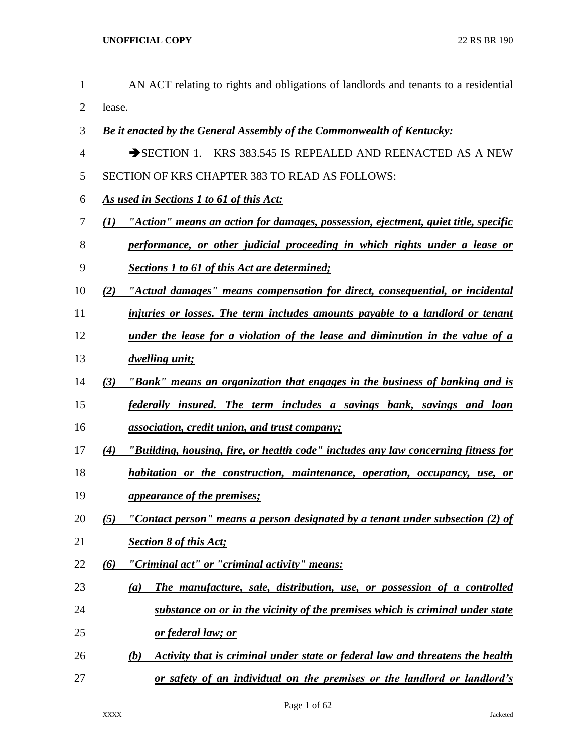AN ACT relating to rights and obligations of landlords and tenants to a residential lease. *Be it enacted by the General Assembly of the Commonwealth of Kentucky:* 4 SECTION 1. KRS 383.545 IS REPEALED AND REENACTED AS A NEW SECTION OF KRS CHAPTER 383 TO READ AS FOLLOWS: *As used in Sections 1 to 61 of this Act: (1) "Action" means an action for damages, possession, ejectment, quiet title, specific performance, or other judicial proceeding in which rights under a lease or Sections 1 to 61 of this Act are determined; (2) "Actual damages" means compensation for direct, consequential, or incidental injuries or losses. The term includes amounts payable to a landlord or tenant under the lease for a violation of the lease and diminution in the value of a dwelling unit; (3) "Bank" means an organization that engages in the business of banking and is federally insured. The term includes a savings bank, savings and loan association, credit union, and trust company; (4) "Building, housing, fire, or health code" includes any law concerning fitness for habitation or the construction, maintenance, operation, occupancy, use, or appearance of the premises; (5) "Contact person" means a person designated by a tenant under subsection (2) of Section 8 of this Act; (6) "Criminal act" or "criminal activity" means: (a) The manufacture, sale, distribution, use, or possession of a controlled substance on or in the vicinity of the premises which is criminal under state or federal law; or (b) Activity that is criminal under state or federal law and threatens the health or safety of an individual on the premises or the landlord or landlord's*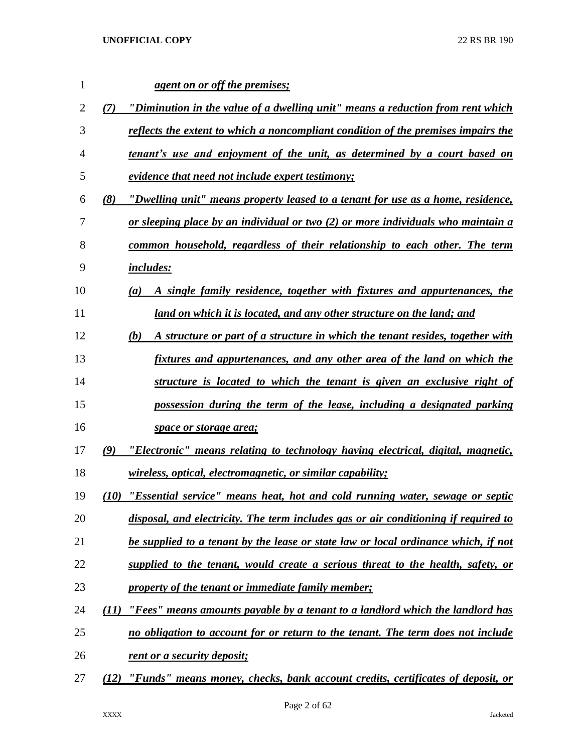| $\mathbf{1}$   |      | agent on or off the premises;                                                        |
|----------------|------|--------------------------------------------------------------------------------------|
| $\overline{2}$ | (7)  | "Diminution in the value of a dwelling unit" means a reduction from rent which       |
| 3              |      | reflects the extent to which a noncompliant condition of the premises impairs the    |
| $\overline{4}$ |      | <u>tenant's use and enjoyment of the unit, as determined by a court based on</u>     |
| 5              |      | evidence that need not include expert testimony;                                     |
| 6              | (8)  | "Dwelling unit" means property leased to a tenant for use as a home, residence,      |
| 7              |      | or sleeping place by an individual or two $(2)$ or more individuals who maintain a   |
| 8              |      | common household, regardless of their relationship to each other. The term           |
| 9              |      | <i>includes:</i>                                                                     |
| 10             |      | A single family residence, together with fixtures and appurtenances, the<br>(a)      |
| 11             |      | land on which it is located, and any other structure on the land; and                |
| 12             |      | A structure or part of a structure in which the tenant resides, together with<br>(b) |
| 13             |      | fixtures and appurtenances, and any other area of the land on which the              |
| 14             |      | structure is located to which the tenant is given an exclusive right of              |
| 15             |      | possession during the term of the lease, including a designated parking              |
| 16             |      | space or storage area;                                                               |
| 17             | (9)  | "Electronic" means relating to technology having electrical, digital, magnetic,      |
| 18             |      | <i>wireless, optical, electromagnetic, or similar capability;</i>                    |
| 19             | (10) | "Essential service" means heat, hot and cold running water, sewage or septic         |
| 20             |      | disposal, and electricity. The term includes gas or air conditioning if required to  |
| 21             |      | be supplied to a tenant by the lease or state law or local ordinance which, if not   |
| 22             |      | supplied to the tenant, would create a serious threat to the health, safety, or      |
| 23             |      | property of the tenant or immediate family member;                                   |
| 24             | (11) | "Fees" means amounts payable by a tenant to a landlord which the landlord has        |
| 25             |      | no obligation to account for or return to the tenant. The term does not include      |
| 26             |      | rent or a security deposit;                                                          |
| 27             | (12) | "Funds" means money, checks, bank account credits, certificates of deposit, or       |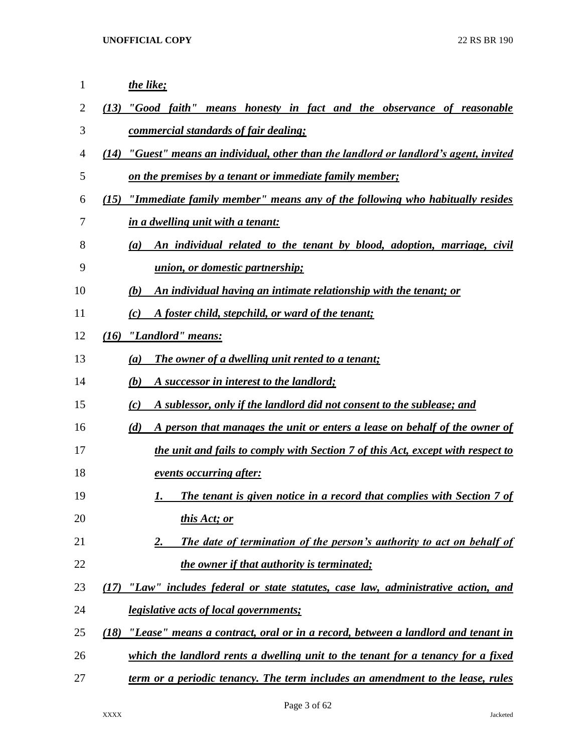| $\mathbf{1}$ | the like;                                                                                 |
|--------------|-------------------------------------------------------------------------------------------|
| 2            | "Good faith" means honesty in fact and the observance of reasonable<br>(13)               |
| 3            | commercial standards of fair dealing;                                                     |
| 4            | "Guest" means an individual, other than the landlord or landlord's agent, invited<br>(14) |
| 5            | on the premises by a tenant or immediate family member;                                   |
| 6            | "Immediate family member" means any of the following who habitually resides<br>(15)       |
| 7            | in a dwelling unit with a tenant:                                                         |
| 8            | An individual related to the tenant by blood, adoption, marriage, civil<br>(a)            |
| 9            | union, or domestic partnership;                                                           |
| 10           | An individual having an intimate relationship with the tenant; or<br>(b)                  |
| 11           | A foster child, stepchild, or ward of the tenant;<br>(c)                                  |
| 12           | "Landlord" means:<br>(16)                                                                 |
| 13           | The owner of a dwelling unit rented to a tenant;<br>(a)                                   |
| 14           | (b)<br>A successor in interest to the landlord;                                           |
| 15           | A sublessor, only if the landlord did not consent to the sublease; and<br>(c)             |
| 16           | A person that manages the unit or enters a lease on behalf of the owner of<br>(d)         |
| 17           | the unit and fails to comply with Section 7 of this Act, except with respect to           |
| 18           | events occurring after:                                                                   |
| 19           | <b>The tenant is given notice in a record that complies with Section 7 of</b><br>1.       |
| 20           | <u>this Act; or</u>                                                                       |
| 21           | The date of termination of the person's authority to act on behalf of<br>2.               |
| 22           | the owner if that authority is terminated;                                                |
| 23           | "Law" includes federal or state statutes, case law, administrative action, and<br>(17)    |
| 24           | <i><u><b>legislative acts of local governments;</b></u></i>                               |
| 25           | "Lease" means a contract, oral or in a record, between a landlord and tenant in<br>(18)   |
| 26           | which the landlord rents a dwelling unit to the tenant for a tenancy for a fixed          |
| 27           | term or a periodic tenancy. The term includes an amendment to the lease, rules            |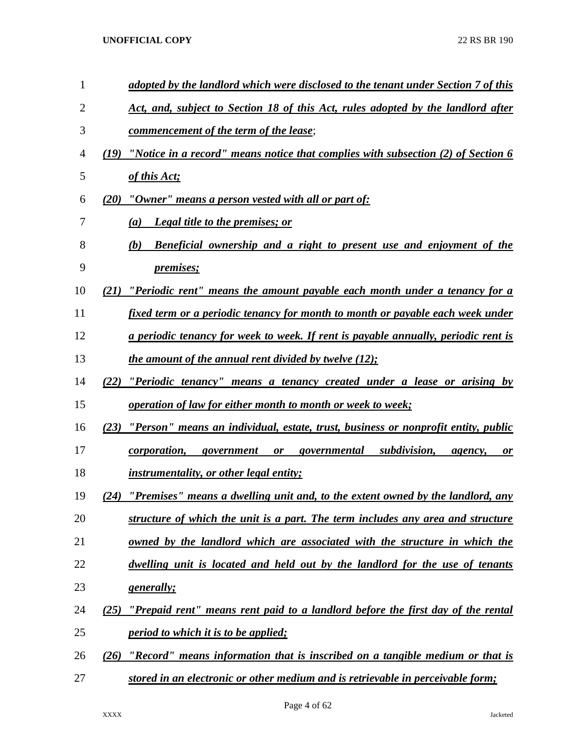| $\mathbf{1}$   | adopted by the landlord which were disclosed to the tenant under Section 7 of this         |
|----------------|--------------------------------------------------------------------------------------------|
| $\overline{2}$ | Act, and, subject to Section 18 of this Act, rules adopted by the landlord after           |
| 3              | <u>commencement of the term of the lease;</u>                                              |
| 4              | "Notice in a record" means notice that complies with subsection $(2)$ of Section 6<br>(19) |
| 5              | of this Act;                                                                               |
| 6              | $(20)$ "Owner" means a person vested with all or part of:                                  |
| 7              | <b>Legal title to the premises; or</b><br>$\left(a\right)$                                 |
| 8              | <b>Beneficial ownership and a right to present use and enjoyment of the</b><br>(b)         |
| 9              | <i>premises</i> ;                                                                          |
| 10             | "Periodic rent" means the amount payable each month under a tenancy for a                  |
| 11             | fixed term or a periodic tenancy for month to month or payable each week under             |
| 12             | <u>a periodic tenancy for week to week. If rent is payable annually, periodic rent is</u>  |
| 13             | <u>the amount of the annual rent divided by twelve (12);</u>                               |
| 14             | "Periodic tenancy" means a tenancy created under a lease or arising by<br>(22)             |
| 15             | <i><u><b>operation of law for either month to month or week to week;</b></u></i>           |
| 16             | "Person" means an individual, estate, trust, business or nonprofit entity, public<br>(23)  |
| 17             | <i>corporation</i> , government or governmental subdivision,<br>agency,<br><b>or</b>       |
| 18             | <i>instrumentality, or other legal entity;</i>                                             |
| 19             | "Premises" means a dwelling unit and, to the extent owned by the landlord, any<br>(24)     |
| 20             | structure of which the unit is a part. The term includes any area and structure            |
| 21             | owned by the landlord which are associated with the structure in which the                 |
| 22             | dwelling unit is located and held out by the landlord for the use of tenants               |
| 23             | <u>generally;</u>                                                                          |
| 24             | "Prepaid rent" means rent paid to a landlord before the first day of the rental<br>(25)    |
| 25             | <i>period to which it is to be applied;</i>                                                |
| 26             | "Record" means information that is inscribed on a tangible medium or that is<br>(26)       |
| 27             | stored in an electronic or other medium and is retrievable in perceivable form;            |

Page 4 of 62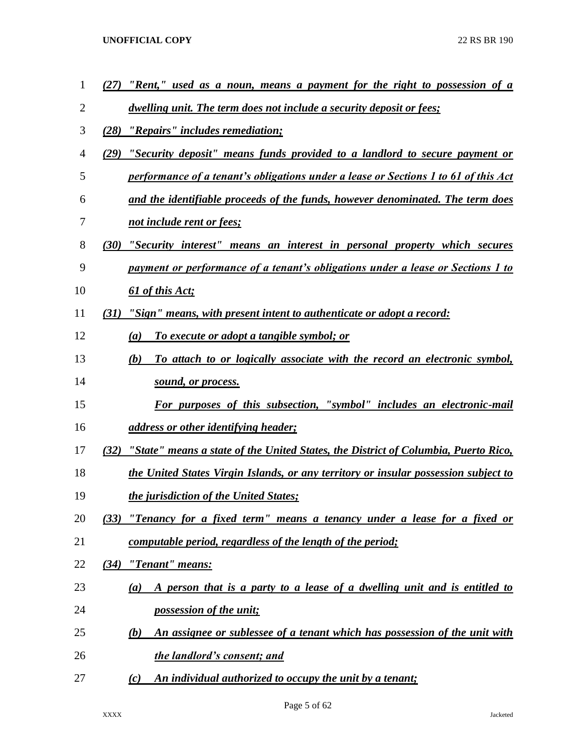| $\mathbf{1}$ | "Rent," used as a noun, means a payment for the right to possession of a<br>(27)           |
|--------------|--------------------------------------------------------------------------------------------|
| 2            | dwelling unit. The term does not include a security deposit or fees;                       |
| 3            | (28)<br>"Repairs" includes remediation;                                                    |
| 4            | "Security deposit" means funds provided to a landlord to secure payment or<br>(29)         |
| 5            | performance of a tenant's obligations under a lease or Sections 1 to 61 of this Act        |
| 6            | and the identifiable proceeds of the funds, however denominated. The term does             |
| 7            | not include rent or fees;                                                                  |
| 8            | (30)<br>"Security interest" means an interest in personal property which secures           |
| 9            | payment or performance of a tenant's obligations under a lease or Sections 1 to            |
| 10           | 61 of this Act;                                                                            |
| 11           | "Sign" means, with present intent to authenticate or adopt a record:<br>(31)               |
| 12           | <u>To execute or adopt a tangible symbol; or</u><br>(a)                                    |
| 13           | To attach to or logically associate with the record an electronic symbol,<br>(b)           |
| 14           | sound, or process.                                                                         |
| 15           | For purposes of this subsection, "symbol" includes an electronic-mail                      |
| 16           | <u>address or other identifying header;</u>                                                |
| 17           | "State" means a state of the United States, the District of Columbia, Puerto Rico,<br>(32) |
| 18           | the United States Virgin Islands, or any territory or insular possession subject to        |
| 19           | <i>the jurisdiction of the United States;</i>                                              |
| 20           | "Tenancy for a fixed term" means a tenancy under a lease for a fixed or<br>(33)            |
| 21           | <u>computable period, regardless of the length of the period;</u>                          |
| 22           | "Tenant" means:<br>(34)                                                                    |
| 23           | A person that is a party to a lease of a dwelling unit and is entitled to<br>(a)           |
| 24           | <i>possession of the unit;</i>                                                             |
| 25           | An assignee or sublessee of a tenant which has possession of the unit with<br>(b)          |
| 26           | the landlord's consent; and                                                                |
| 27           | An individual authorized to occupy the unit by a tenant;<br>(c)                            |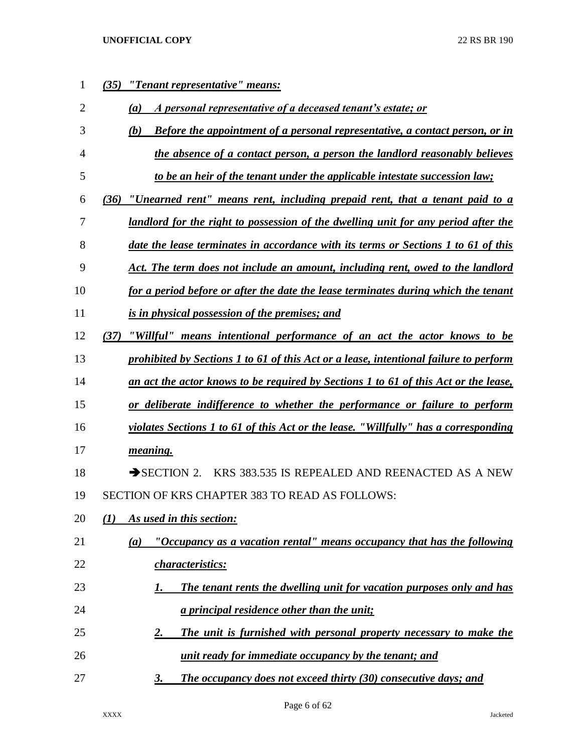| 1              | "Tenant representative" means:<br>(35)                                                     |
|----------------|--------------------------------------------------------------------------------------------|
| $\overline{2}$ | A personal representative of a deceased tenant's estate; or<br>(a)                         |
| 3              | <b>Before the appointment of a personal representative, a contact person, or in</b><br>(b) |
| 4              | the absence of a contact person, a person the landlord reasonably believes                 |
| 5              | to be an heir of the tenant under the applicable intestate succession law;                 |
| 6              | "Unearned rent" means rent, including prepaid rent, that a tenant paid to a<br>(36)        |
| 7              | landlord for the right to possession of the dwelling unit for any period after the         |
| 8              | date the lease terminates in accordance with its terms or Sections 1 to 61 of this         |
| 9              | Act. The term does not include an amount, including rent, owed to the landlord             |
| 10             | for a period before or after the date the lease terminates during which the tenant         |
| 11             | is in physical possession of the premises; and                                             |
| 12             | "Willful" means intentional performance of an act the actor knows to be<br>(37)            |
| 13             | prohibited by Sections 1 to 61 of this Act or a lease, intentional failure to perform      |
| 14             | an act the actor knows to be required by Sections 1 to 61 of this Act or the lease,        |
| 15             | or deliberate indifference to whether the performance or failure to perform                |
| 16             | violates Sections 1 to 61 of this Act or the lease. "Willfully" has a corresponding        |
| 17             | meaning.                                                                                   |
| 18             | KRS 383.535 IS REPEALED AND REENACTED AS A NEW<br>$\rightarrow$ SECTION 2.                 |
| 19             | <b>SECTION OF KRS CHAPTER 383 TO READ AS FOLLOWS:</b>                                      |
| 20             | As used in this section:<br>(1)                                                            |
| 21             | "Occupancy as a vacation rental" means occupancy that has the following<br>(a)             |
| 22             | characteristics:                                                                           |
| 23             | The tenant rents the dwelling unit for vacation purposes only and has<br>1.                |
| 24             | a principal residence other than the unit;                                                 |
| 25             | The unit is furnished with personal property necessary to make the<br>2.                   |
| 26             | unit ready for immediate occupancy by the tenant; and                                      |
| 27             | <b>The occupancy does not exceed thirty (30) consecutive days; and</b><br><u>3.</u>        |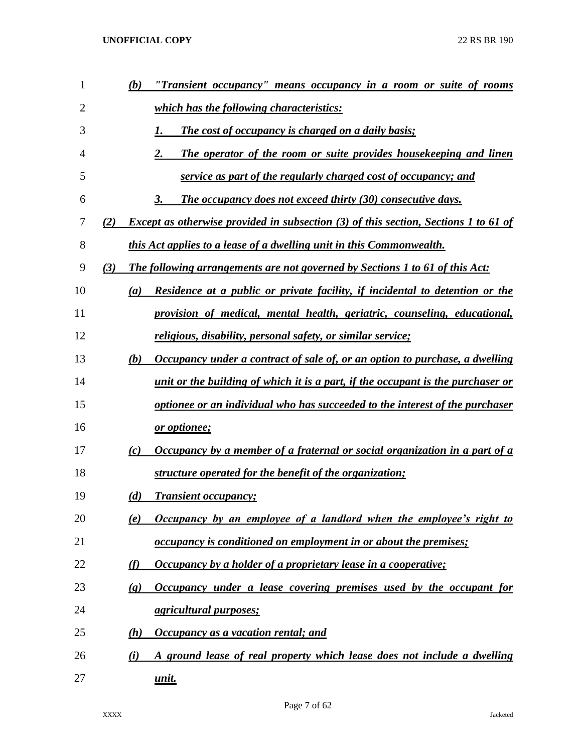| 1  | "Transient occupancy" means occupancy in a room or suite of rooms<br>(b)                          |
|----|---------------------------------------------------------------------------------------------------|
| 2  | which has the following characteristics:                                                          |
| 3  | <b>The cost of occupancy is charged on a daily basis;</b><br>1.                                   |
| 4  | The operator of the room or suite provides housekeeping and linen<br>2.                           |
| 5  | service as part of the regularly charged cost of occupancy; and                                   |
| 6  | The occupancy does not exceed thirty (30) consecutive days.<br>3.                                 |
| 7  | <b>Except as otherwise provided in subsection (3) of this section, Sections 1 to 61 of</b><br>(2) |
| 8  | this Act applies to a lease of a dwelling unit in this Commonwealth.                              |
| 9  | The following arrangements are not governed by Sections 1 to 61 of this Act:<br>(3)               |
| 10 | Residence at a public or private facility, if incidental to detention or the<br>(a)               |
| 11 | provision of medical, mental health, geriatric, counseling, educational,                          |
| 12 | <u>religious, disability, personal safety, or similar service;</u>                                |
| 13 | Occupancy under a contract of sale of, or an option to purchase, a dwelling<br>(b)                |
| 14 | <u>unit or the building of which it is a part, if the occupant is the purchaser or</u>            |
| 15 | optionee or an individual who has succeeded to the interest of the purchaser                      |
| 16 | or optionee;                                                                                      |
| 17 | Occupancy by a member of a fraternal or social organization in a part of a<br>$\left( c\right)$   |
| 18 | structure operated for the benefit of the organization;                                           |
| 19 | <b>Transient occupancy;</b><br>(d)                                                                |
| 20 | Occupancy by an employee of a landlord when the employee's right to<br>(e)                        |
| 21 | <i>occupancy is conditioned on employment in or about the premises;</i>                           |
| 22 | Occupancy by a holder of a proprietary lease in a cooperative;<br>(f)                             |
| 23 | Occupancy under a lease covering premises used by the occupant for<br>$\left( \mathbf{g} \right)$ |
| 24 | <i>agricultural purposes;</i>                                                                     |
| 25 | Occupancy as a vacation rental; and<br>(h)                                                        |
| 26 | A ground lease of real property which lease does not include a dwelling<br>(i)                    |
| 27 | <u>unit.</u>                                                                                      |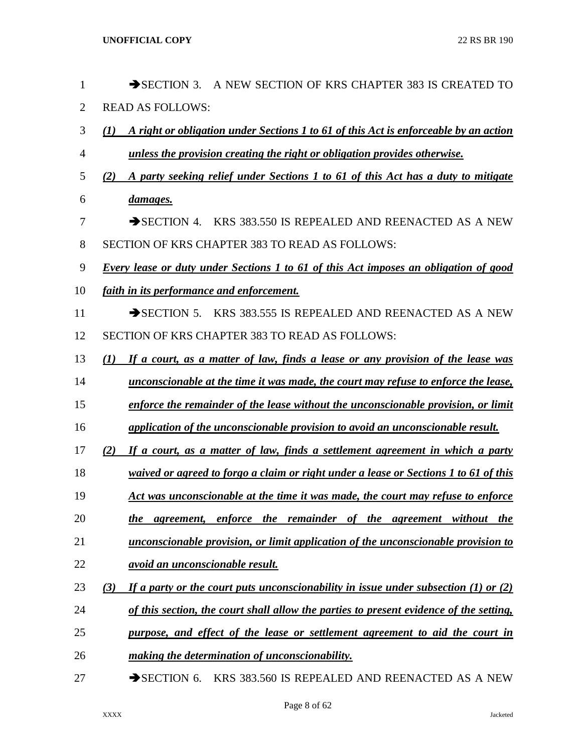| $\mathbf{1}$   | $\rightarrow$ SECTION 3.<br>A NEW SECTION OF KRS CHAPTER 383 IS CREATED TO                  |
|----------------|---------------------------------------------------------------------------------------------|
| $\overline{2}$ | <b>READ AS FOLLOWS:</b>                                                                     |
| 3              | A right or obligation under Sections 1 to 61 of this Act is enforceable by an action<br>(1) |
| 4              | unless the provision creating the right or obligation provides otherwise.                   |
| 5              | A party seeking relief under Sections 1 to 61 of this Act has a duty to mitigate<br>(2)     |
| 6              | damages.                                                                                    |
| 7              | KRS 383,550 IS REPEALED AND REENACTED AS A NEW<br>$\rightarrow$ SECTION 4.                  |
| 8              | <b>SECTION OF KRS CHAPTER 383 TO READ AS FOLLOWS:</b>                                       |
| 9              | Every lease or duty under Sections 1 to 61 of this Act imposes an obligation of good        |
| 10             | faith in its performance and enforcement.                                                   |
| 11             | KRS 383.555 IS REPEALED AND REENACTED AS A NEW<br>$\rightarrow$ SECTION 5.                  |
| 12             | SECTION OF KRS CHAPTER 383 TO READ AS FOLLOWS:                                              |
| 13             | If a court, as a matter of law, finds a lease or any provision of the lease was<br>(I)      |
| 14             | unconscionable at the time it was made, the court may refuse to enforce the lease,          |
| 15             | enforce the remainder of the lease without the unconscionable provision, or limit           |
| 16             | application of the unconscionable provision to avoid an unconscionable result.              |
| 17             | If a court, as a matter of law, finds a settlement agreement in which a party<br>(2)        |
| 18             | waived or agreed to forgo a claim or right under a lease or Sections 1 to 61 of this        |
| 19             | Act was unconscionable at the time it was made, the court may refuse to enforce             |
| 20             | the agreement, enforce the remainder of the agreement without the                           |
| 21             | unconscionable provision, or limit application of the unconscionable provision to           |
| 22             | avoid an unconscionable result.                                                             |
| 23             | If a party or the court puts unconscionability in issue under subsection (1) or (2)<br>(3)  |
| 24             | of this section, the court shall allow the parties to present evidence of the setting,      |
| 25             | purpose, and effect of the lease or settlement agreement to aid the court in                |
| 26             | making the determination of unconscionability.                                              |
| 27             | $\rightarrow$ SECTION 6.<br>KRS 383.560 IS REPEALED AND REENACTED AS A NEW                  |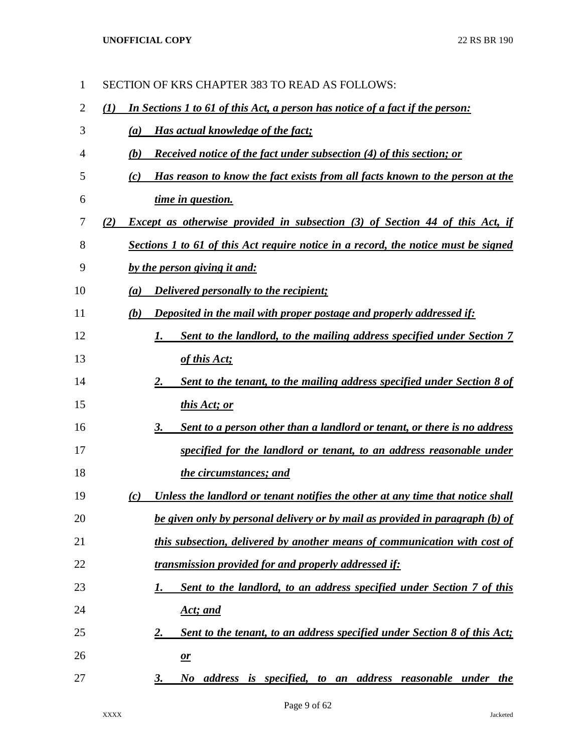| 1              | SECTION OF KRS CHAPTER 383 TO READ AS FOLLOWS:                                             |
|----------------|--------------------------------------------------------------------------------------------|
| $\overline{2}$ | In Sections 1 to 61 of this Act, a person has notice of a fact if the person:<br>(1)       |
| 3              | Has actual knowledge of the fact;<br>(a)                                                   |
| 4              | <b>Received notice of the fact under subsection (4) of this section; or</b><br>(b)         |
| 5              | Has reason to know the fact exists from all facts known to the person at the<br>(c)        |
| 6              | time in question.                                                                          |
| 7              | <b>Except as otherwise provided in subsection (3) of Section 44 of this Act, if</b><br>(2) |
| 8              | Sections 1 to 61 of this Act require notice in a record, the notice must be signed         |
| 9              | by the person giving it and:                                                               |
| 10             | <b>Delivered personally to the recipient;</b><br>(a)                                       |
| 11             | Deposited in the mail with proper postage and properly addressed if:<br>(b)                |
| 12             | Sent to the landlord, to the mailing address specified under Section 7<br>1.               |
| 13             | of this Act;                                                                               |
| 14             | Sent to the tenant, to the mailing address specified under Section 8 of<br>2.              |
| 15             | this Act; or                                                                               |
| 16             | Sent to a person other than a landlord or tenant, or there is no address<br>3.             |
| 17             | specified for the landlord or tenant, to an address reasonable under                       |
| 18             | the circumstances; and                                                                     |
| 19             | Unless the landlord or tenant notifies the other at any time that notice shall<br>(c)      |
| 20             | be given only by personal delivery or by mail as provided in paragraph (b) of              |
| 21             | this subsection, delivered by another means of communication with cost of                  |
| 22             | transmission provided for and properly addressed if:                                       |
| 23             | Sent to the landlord, to an address specified under Section 7 of this                      |
| 24             | Act; and                                                                                   |
| 25             | Sent to the tenant, to an address specified under Section 8 of this Act;<br>2.             |
| 26             | $\mathbf{\underline{or}}$                                                                  |
| 27             | No address is specified, to an address reasonable under the<br>3.                          |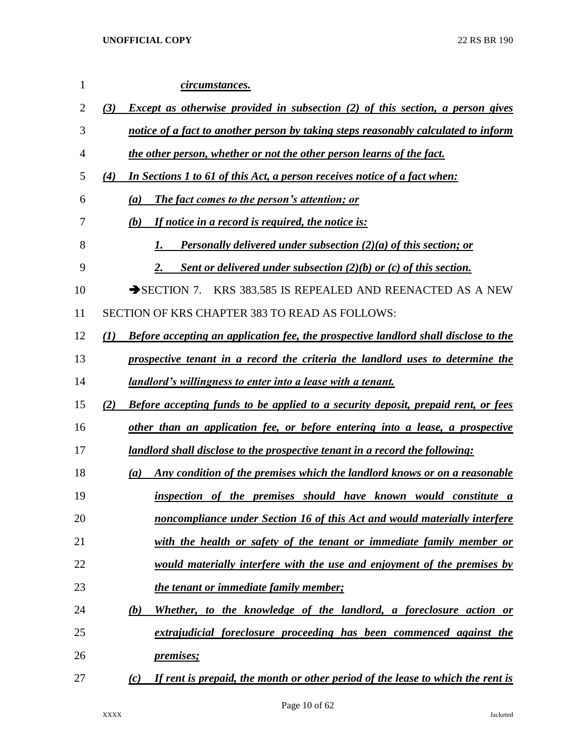| 1  | circumstances.                                                                                    |
|----|---------------------------------------------------------------------------------------------------|
| 2  | Except as otherwise provided in subsection (2) of this section, a person gives<br>(3)             |
| 3  | notice of a fact to another person by taking steps reasonably calculated to inform                |
| 4  | the other person, whether or not the other person learns of the fact.                             |
| 5  | In Sections 1 to 61 of this Act, a person receives notice of a fact when:<br>(4)                  |
| 6  | (a)<br>The fact comes to the person's attention; or                                               |
| 7  | If notice in a record is required, the notice is:<br>(b)                                          |
| 8  | <b>Personally delivered under subsection (2)(a) of this section; or</b>                           |
| 9  | Sent or delivered under subsection $(2)(b)$ or $(c)$ of this section.<br>2.                       |
| 10 | $\rightarrow$ SECTION 7.<br>KRS 383.585 IS REPEALED AND REENACTED AS A NEW                        |
| 11 | <b>SECTION OF KRS CHAPTER 383 TO READ AS FOLLOWS:</b>                                             |
| 12 | <b>Before accepting an application fee, the prospective landlord shall disclose to the</b><br>(I) |
| 13 | prospective tenant in a record the criteria the landlord uses to determine the                    |
| 14 | <u>landlord's willingness to enter into a lease with a tenant.</u>                                |
| 15 | <b>Before accepting funds to be applied to a security deposit, prepaid rent, or fees</b><br>(2)   |
| 16 | other than an application fee, or before entering into a lease, a prospective                     |
| 17 | landlord shall disclose to the prospective tenant in a record the following:                      |
| 18 | Any condition of the premises which the landlord knows or on a reasonable<br>(a)                  |
| 19 | inspection of the premises should have known would constitute a                                   |
| 20 | noncompliance under Section 16 of this Act and would materially interfere                         |
| 21 | with the health or safety of the tenant or immediate family member or                             |
| 22 | <u>would materially interfere with the use and enjoyment of the premises by</u>                   |
| 23 | the tenant or immediate family member;                                                            |
| 24 | Whether, to the knowledge of the landlord, a foreclosure action or<br>(b)                         |
| 25 | extrajudicial foreclosure proceeding has been commenced against the                               |
| 26 | <u>premises;</u>                                                                                  |
| 27 | If rent is prepaid, the month or other period of the lease to which the rent is<br>(c)            |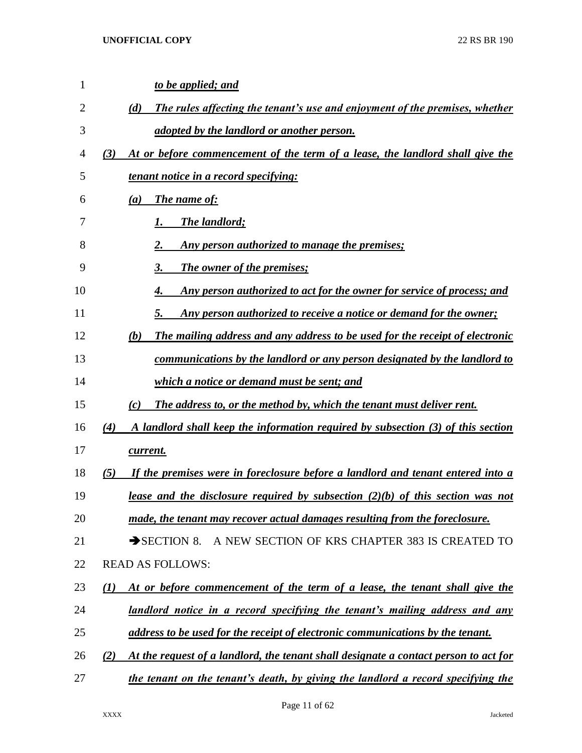| $\mathbf{1}$ | to be applied; and                                                                              |
|--------------|-------------------------------------------------------------------------------------------------|
| 2            | (d)<br>The rules affecting the tenant's use and enjoyment of the premises, whether              |
| 3            | adopted by the landlord or another person.                                                      |
| 4            | At or before commencement of the term of a lease, the landlord shall give the<br>(3)            |
| 5            | tenant notice in a record specifying:                                                           |
| 6            | <b>The name of:</b><br>(a)                                                                      |
| 7            | The landlord;                                                                                   |
| 8            | Any person authorized to manage the premises;                                                   |
| 9            | The owner of the premises;<br>3.                                                                |
| 10           | Any person authorized to act for the owner for service of process; and<br>4.                    |
| 11           | Any person authorized to receive a notice or demand for the owner;<br>5.                        |
| 12           | The mailing address and any address to be used for the receipt of electronic<br>(b)             |
| 13           | <u>communications by the landlord or any person designated by the landlord to</u>               |
| 14           | which a notice or demand must be sent; and                                                      |
| 15           | (c)<br>The address to, or the method by, which the tenant must deliver rent.                    |
| 16           | (4)<br>A landlord shall keep the information required by subsection (3) of this section         |
| 17           | current.                                                                                        |
| 18           | (5)<br>If the premises were in foreclosure before a landlord and tenant entered into a          |
| 19           | lease and the disclosure required by subsection $(2)(b)$ of this section was not                |
| 20           | made, the tenant may recover actual damages resulting from the foreclosure.                     |
| 21           | A NEW SECTION OF KRS CHAPTER 383 IS CREATED TO<br>$\rightarrow$ SECTION 8.                      |
| 22           | <b>READ AS FOLLOWS:</b>                                                                         |
| 23           | At or before commencement of the term of a lease, the tenant shall give the<br>$\mathcal{L}(I)$ |
| 24           | landlord notice in a record specifying the tenant's mailing address and any                     |
| 25           | address to be used for the receipt of electronic communications by the tenant.                  |
| 26           | (2)<br>At the request of a landlord, the tenant shall designate a contact person to act for     |
| 27           | the tenant on the tenant's death, by giving the landlord a record specifying the                |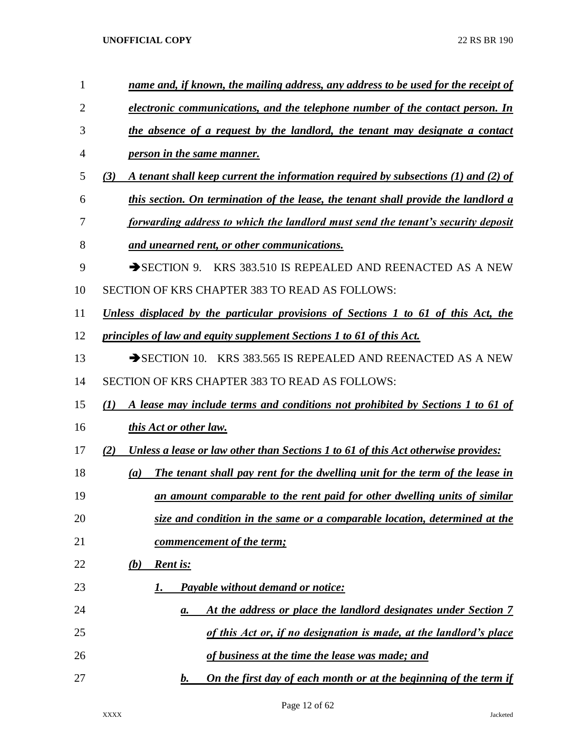| 1  | name and, if known, the mailing address, any address to be used for the receipt of        |
|----|-------------------------------------------------------------------------------------------|
| 2  | electronic communications, and the telephone number of the contact person. In             |
| 3  | the absence of a request by the landlord, the tenant may designate a contact              |
| 4  | <i>person in the same manner.</i>                                                         |
| 5  | A tenant shall keep current the information required by subsections (1) and (2) of<br>(3) |
| 6  | this section. On termination of the lease, the tenant shall provide the landlord a        |
| 7  | forwarding address to which the landlord must send the tenant's security deposit          |
| 8  | and unearned rent, or other communications.                                               |
| 9  | KRS 383.510 IS REPEALED AND REENACTED AS A NEW<br>$\rightarrow$ SECTION 9.                |
| 10 | SECTION OF KRS CHAPTER 383 TO READ AS FOLLOWS:                                            |
| 11 | Unless displaced by the particular provisions of Sections 1 to 61 of this Act, the        |
| 12 | principles of law and equity supplement Sections 1 to 61 of this Act.                     |
| 13 | SECTION 10. KRS 383.565 IS REPEALED AND REENACTED AS A NEW                                |
| 14 | SECTION OF KRS CHAPTER 383 TO READ AS FOLLOWS:                                            |
| 15 | A lease may include terms and conditions not prohibited by Sections 1 to 61 of<br>(I)     |
| 16 | this Act or other law.                                                                    |
| 17 | Unless a lease or law other than Sections 1 to 61 of this Act otherwise provides:<br>(2)  |
| 18 | The tenant shall pay rent for the dwelling unit for the term of the lease in<br>(a)       |
| 19 | an amount comparable to the rent paid for other dwelling units of similar                 |
| 20 | size and condition in the same or a comparable location, determined at the                |
| 21 | <u>commencement of the term;</u>                                                          |
| 22 | (b)<br><b>Rent is:</b>                                                                    |
| 23 | Payable without demand or notice:<br>1.                                                   |
| 24 | At the address or place the landlord designates under Section 7<br>а.                     |
| 25 | of this Act or, if no designation is made, at the landlord's place                        |
| 26 | of business at the time the lease was made; and                                           |
| 27 | On the first day of each month or at the beginning of the term if<br>$\mathbf{b}$ .       |

Page 12 of 62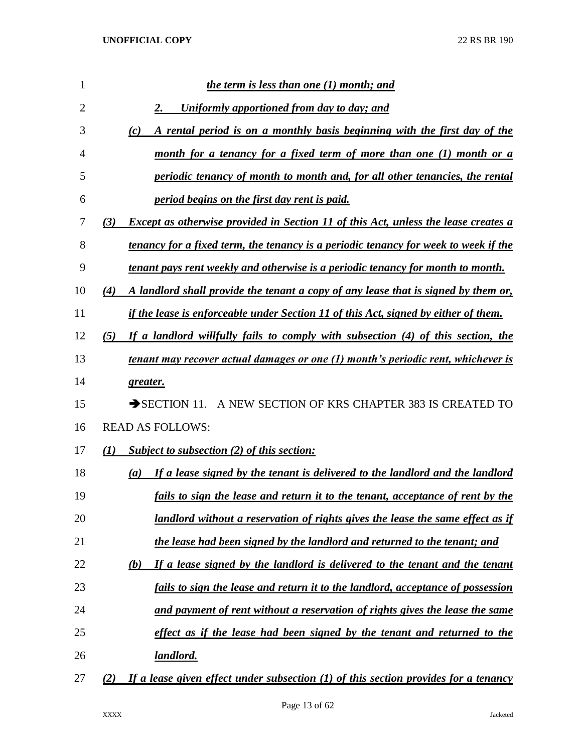| 1              |     | the term is less than one (1) month; and                                              |
|----------------|-----|---------------------------------------------------------------------------------------|
| $\overline{2}$ |     | 2.<br>Uniformly apportioned from day to day; and                                      |
| 3              |     | A rental period is on a monthly basis beginning with the first day of the<br>(c)      |
| 4              |     | month for a tenancy for a fixed term of more than one (1) month or a                  |
| 5              |     | periodic tenancy of month to month and, for all other tenancies, the rental           |
| 6              |     | period begins on the first day rent is paid.                                          |
| 7              | (3) | Except as otherwise provided in Section 11 of this Act, unless the lease creates a    |
| 8              |     | tenancy for a fixed term, the tenancy is a periodic tenancy for week to week if the   |
| 9              |     | tenant pays rent weekly and otherwise is a periodic tenancy for month to month.       |
| 10             | (4) | A landlord shall provide the tenant a copy of any lease that is signed by them or,    |
| 11             |     | if the lease is enforceable under Section 11 of this Act, signed by either of them.   |
| 12             | (5) | If a landlord willfully fails to comply with subsection (4) of this section, the      |
| 13             |     | tenant may recover actual damages or one (1) month's periodic rent, whichever is      |
| 14             |     | greater.                                                                              |
| 15             |     | $\rightarrow$ SECTION 11.<br>A NEW SECTION OF KRS CHAPTER 383 IS CREATED TO           |
| 16             |     | <b>READ AS FOLLOWS:</b>                                                               |
| 17             | (I) | Subject to subsection (2) of this section:                                            |
| 18             |     | If a lease signed by the tenant is delivered to the landlord and the landlord<br>(a)  |
| 19             |     | fails to sign the lease and return it to the tenant, acceptance of rent by the        |
| 20             |     | <u>landlord without a reservation of rights gives the lease the same effect as if</u> |
| 21             |     | the lease had been signed by the landlord and returned to the tenant; and             |
| 22             |     | If a lease signed by the landlord is delivered to the tenant and the tenant<br>(b)    |
| 23             |     | fails to sign the lease and return it to the landlord, acceptance of possession       |
| 24             |     | and payment of rent without a reservation of rights gives the lease the same          |
| 25             |     | effect as if the lease had been signed by the tenant and returned to the              |
| 26             |     | <u>landlord.</u>                                                                      |
| 27             | (2) | If a lease given effect under subsection $(1)$ of this section provides for a tenancy |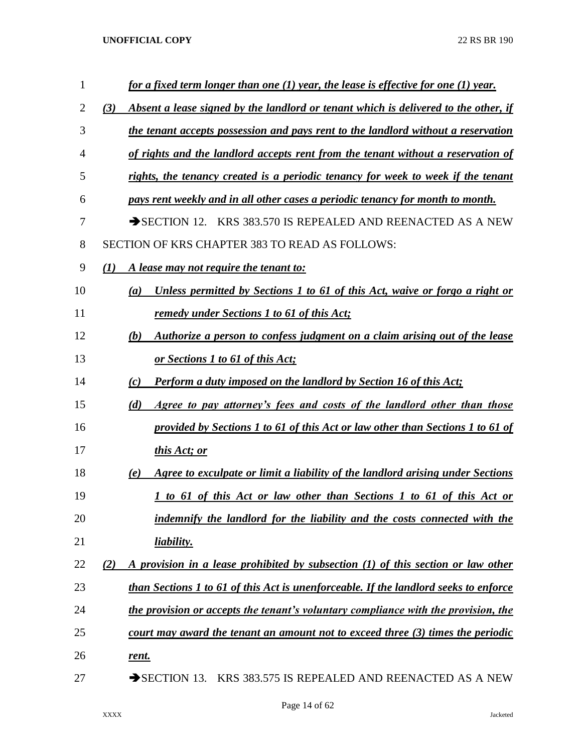| 1              | for a fixed term longer than one $(1)$ year, the lease is effective for one $(1)$ year.    |
|----------------|--------------------------------------------------------------------------------------------|
| 2              | Absent a lease signed by the landlord or tenant which is delivered to the other, if<br>(3) |
| 3              | the tenant accepts possession and pays rent to the landlord without a reservation          |
| $\overline{4}$ | of rights and the landlord accepts rent from the tenant without a reservation of           |
| 5              | rights, the tenancy created is a periodic tenancy for week to week if the tenant           |
| 6              | pays rent weekly and in all other cases a periodic tenancy for month to month.             |
| 7              | KRS 383.570 IS REPEALED AND REENACTED AS A NEW<br>$\rightarrow$ SECTION 12.                |
| 8              | <b>SECTION OF KRS CHAPTER 383 TO READ AS FOLLOWS:</b>                                      |
| 9              | A lease may not require the tenant to:<br>(I)                                              |
| 10             | Unless permitted by Sections 1 to 61 of this Act, waive or forgo a right or<br>(a)         |
| 11             | remedy under Sections 1 to 61 of this Act;                                                 |
| 12             | Authorize a person to confess judgment on a claim arising out of the lease<br>(b)          |
| 13             | or Sections 1 to 61 of this Act;                                                           |
| 14             | <b>Perform a duty imposed on the landlord by Section 16 of this Act;</b><br>(c)            |
| 15             | Agree to pay attorney's fees and costs of the landlord other than those<br>(d)             |
| 16             | provided by Sections 1 to 61 of this Act or law other than Sections 1 to 61 of             |
| 17             | this Act; or                                                                               |
| 18             | Agree to exculpate or limit a liability of the landlord arising under Sections<br>(e)      |
| 19             | <u>1 to 61 of this Act or law other than Sections 1 to 61 of this Act or</u>               |
| 20             | indemnify the landlord for the liability and the costs connected with the                  |
| 21             | liability.                                                                                 |
| 22             | A provision in a lease prohibited by subsection (1) of this section or law other<br>(2)    |
| 23             | than Sections 1 to 61 of this Act is unenforceable. If the landlord seeks to enforce       |
| 24             | the provision or accepts the tenant's voluntary compliance with the provision, the         |
| 25             | court may award the tenant an amount not to exceed three $(3)$ times the periodic          |
| 26             | <u>rent.</u>                                                                               |
| 27             | SECTION 13. KRS 383.575 IS REPEALED AND REENACTED AS A NEW                                 |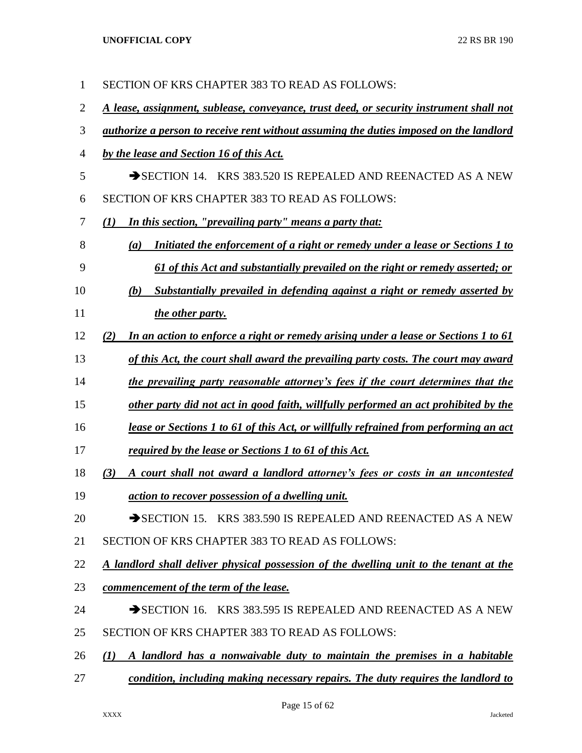| $\mathbf{1}$ | SECTION OF KRS CHAPTER 383 TO READ AS FOLLOWS:                                                |
|--------------|-----------------------------------------------------------------------------------------------|
| 2            | A lease, assignment, sublease, conveyance, trust deed, or security instrument shall not       |
| 3            | <i>authorize a person to receive rent without assuming the duties imposed on the landlord</i> |
| 4            | by the lease and Section 16 of this Act.                                                      |
| 5            | SECTION 14. KRS 383.520 IS REPEALED AND REENACTED AS A NEW                                    |
| 6            | SECTION OF KRS CHAPTER 383 TO READ AS FOLLOWS:                                                |
| 7            | In this section, "prevailing party" means a party that:<br>$\mathcal{L}(I)$                   |
| 8            | Initiated the enforcement of a right or remedy under a lease or Sections 1 to<br>(a)          |
| 9            | <u>61 of this Act and substantially prevailed on the right or remedy asserted; or</u>         |
| 10           | Substantially prevailed in defending against a right or remedy asserted by<br>(b)             |
| 11           | the other party.                                                                              |
| 12           | In an action to enforce a right or remedy arising under a lease or Sections 1 to 61<br>(2)    |
| 13           | of this Act, the court shall award the prevailing party costs. The court may award            |
| 14           | <u>the prevailing party reasonable attorney's fees if the court determines that the</u>       |
| 15           | other party did not act in good faith, willfully performed an act prohibited by the           |
| 16           | lease or Sections 1 to 61 of this Act, or willfully refrained from performing an act          |
| 17           | required by the lease or Sections 1 to 61 of this Act.                                        |
| 18           | (3)<br>A court shall not award a landlord attorney's fees or costs in an uncontested          |
| 19           | action to recover possession of a dwelling unit.                                              |
| 20           | SECTION 15. KRS 383.590 IS REPEALED AND REENACTED AS A NEW                                    |
| 21           | SECTION OF KRS CHAPTER 383 TO READ AS FOLLOWS:                                                |
| 22           | A landlord shall deliver physical possession of the dwelling unit to the tenant at the        |
| 23           | commencement of the term of the lease.                                                        |
| 24           | SECTION 16. KRS 383.595 IS REPEALED AND REENACTED AS A NEW                                    |
| 25           | SECTION OF KRS CHAPTER 383 TO READ AS FOLLOWS:                                                |
| 26           | A landlord has a nonwaivable duty to maintain the premises in a habitable<br>(1)              |
| 27           | condition, including making necessary repairs. The duty requires the landlord to              |

Page 15 of 62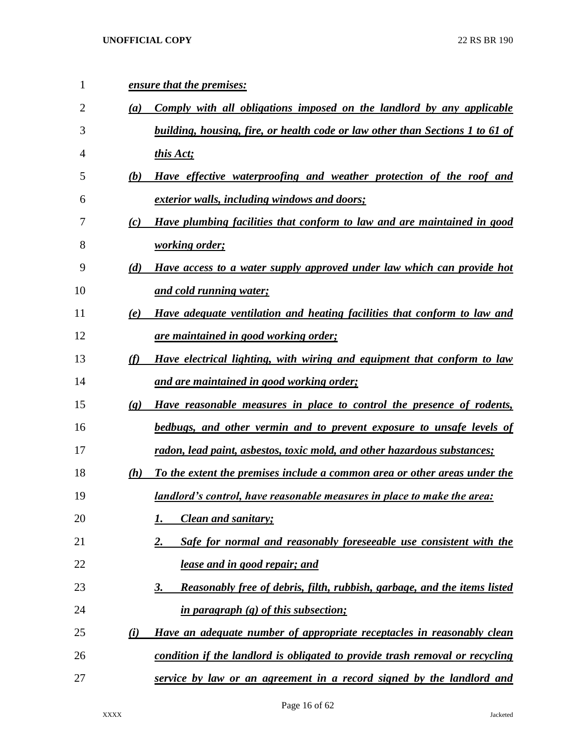| 1  | ensure that the premises:                                                                            |  |
|----|------------------------------------------------------------------------------------------------------|--|
| 2  | Comply with all obligations imposed on the landlord by any applicable<br>(a)                         |  |
| 3  | building, housing, fire, or health code or law other than Sections 1 to 61 of                        |  |
| 4  | this Act;                                                                                            |  |
| 5  | Have effective waterproofing and weather protection of the roof and<br>(b)                           |  |
| 6  | <u>exterior walls, including windows and doors;</u>                                                  |  |
| 7  | Have plumbing facilities that conform to law and are maintained in good<br>(c)                       |  |
| 8  | <i>working order;</i>                                                                                |  |
| 9  | (d)<br>Have access to a water supply approved under law which can provide hot                        |  |
| 10 | and cold running water;                                                                              |  |
| 11 | Have adequate ventilation and heating facilities that conform to law and<br>(e)                      |  |
| 12 | are maintained in good working order;                                                                |  |
| 13 | (f)<br>Have electrical lighting, with wiring and equipment that conform to law                       |  |
| 14 | and are maintained in good working order;                                                            |  |
| 15 | Have reasonable measures in place to control the presence of rodents,<br>$\left( \mathbf{g} \right)$ |  |
| 16 | bedbugs, and other vermin and to prevent exposure to unsafe levels of                                |  |
| 17 | radon, lead paint, asbestos, toxic mold, and other hazardous substances;                             |  |
| 18 | To the extent the premises include a common area or other areas under the<br>(h)                     |  |
| 19 | <u>landlord's control, have reasonable measures in place to make the area:</u>                       |  |
| 20 | <b>Clean and sanitary;</b>                                                                           |  |
| 21 | Safe for normal and reasonably foreseeable use consistent with the<br>2.                             |  |
| 22 | lease and in good repair; and                                                                        |  |
| 23 | Reasonably free of debris, filth, rubbish, garbage, and the items listed<br>3.                       |  |
| 24 | in paragraph (g) of this subsection;                                                                 |  |
| 25 | (i)<br>Have an adequate number of appropriate receptacles in reasonably clean                        |  |
| 26 | condition if the landlord is obligated to provide trash removal or recycling                         |  |
| 27 | service by law or an agreement in a record signed by the landlord and                                |  |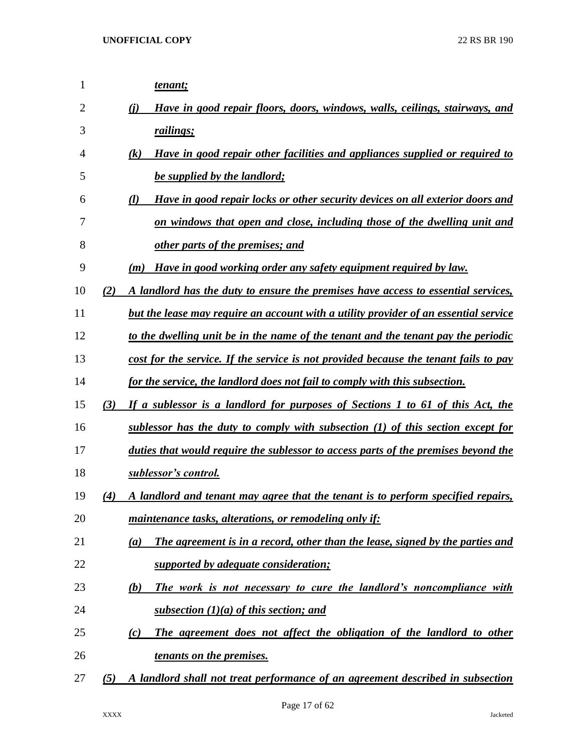| 1  |     | tenant;                                                                              |
|----|-----|--------------------------------------------------------------------------------------|
| 2  |     | Have in good repair floors, doors, windows, walls, ceilings, stairways, and<br>(i)   |
| 3  |     | railings;                                                                            |
| 4  |     | Have in good repair other facilities and appliances supplied or required to<br>(k)   |
| 5  |     | be supplied by the landlord;                                                         |
| 6  |     | Have in good repair locks or other security devices on all exterior doors and<br>(l) |
| 7  |     | on windows that open and close, including those of the dwelling unit and             |
| 8  |     | other parts of the premises; and                                                     |
| 9  |     | Have in good working order any safety equipment required by law.<br>(m)              |
| 10 | (2) | A landlord has the duty to ensure the premises have access to essential services,    |
| 11 |     | but the lease may require an account with a utility provider of an essential service |
| 12 |     | to the dwelling unit be in the name of the tenant and the tenant pay the periodic    |
| 13 |     | cost for the service. If the service is not provided because the tenant fails to pay |
| 14 |     | for the service, the landlord does not fail to comply with this subsection.          |
| 15 | (3) | If a sublessor is a landlord for purposes of Sections 1 to 61 of this Act, the       |
| 16 |     | sublessor has the duty to comply with subsection (1) of this section except for      |
| 17 |     | duties that would require the sublessor to access parts of the premises beyond the   |
| 18 |     | sublessor's control.                                                                 |
| 19 | (4) | A landlord and tenant may agree that the tenant is to perform specified repairs,     |
| 20 |     | maintenance tasks, alterations, or remodeling only if:                               |
| 21 |     | The agreement is in a record, other than the lease, signed by the parties and<br>(a) |
| 22 |     | supported by adequate consideration;                                                 |
| 23 |     | The work is not necessary to cure the landlord's noncompliance with<br>(b)           |
| 24 |     | subsection $(1)(a)$ of this section; and                                             |
| 25 |     | The agreement does not affect the obligation of the landlord to other<br>(c)         |
| 26 |     | tenants on the premises.                                                             |
| 27 | (5) | A landlord shall not treat performance of an agreement described in subsection       |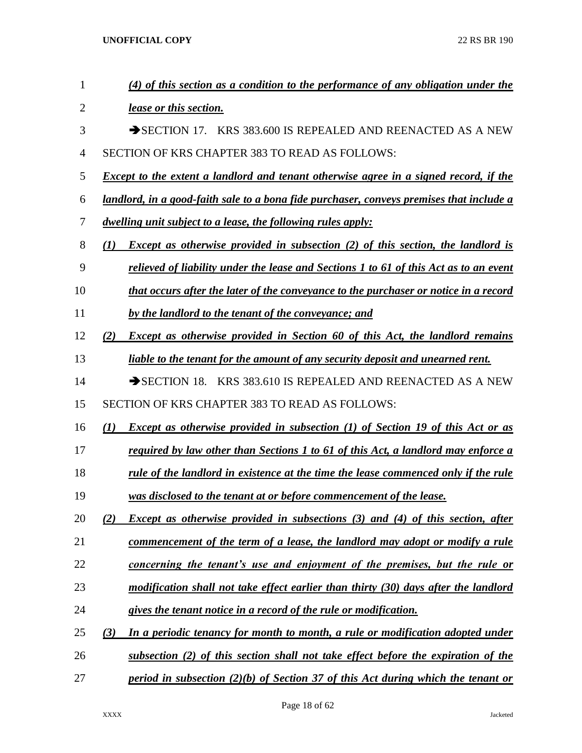| $\mathbf{1}$ | (4) of this section as a condition to the performance of any obligation under the             |
|--------------|-----------------------------------------------------------------------------------------------|
| 2            | lease or this section.                                                                        |
| 3            | SECTION 17. KRS 383.600 IS REPEALED AND REENACTED AS A NEW                                    |
| 4            | SECTION OF KRS CHAPTER 383 TO READ AS FOLLOWS:                                                |
| 5            | <b>Except to the extent a landlord and tenant otherwise agree in a signed record, if the</b>  |
| 6            | landlord, in a good-faith sale to a bona fide purchaser, conveys premises that include a      |
| 7            | dwelling unit subject to a lease, the following rules apply:                                  |
| 8            | <b>Except as otherwise provided in subsection (2) of this section, the landlord is</b><br>(I) |
| 9            | relieved of liability under the lease and Sections 1 to 61 of this Act as to an event         |
| 10           | that occurs after the later of the conveyance to the purchaser or notice in a record          |
| 11           | by the landlord to the tenant of the conveyance; and                                          |
| 12           | <b>Except as otherwise provided in Section 60 of this Act, the landlord remains</b><br>(2)    |
| 13           | liable to the tenant for the amount of any security deposit and unearned rent.                |
| 14           | SECTION 18. KRS 383.610 IS REPEALED AND REENACTED AS A NEW                                    |
| 15           | SECTION OF KRS CHAPTER 383 TO READ AS FOLLOWS:                                                |
| 16           | <b>Except as otherwise provided in subsection (1) of Section 19 of this Act or as</b><br>(1)  |
| 17           | required by law other than Sections 1 to 61 of this Act, a landlord may enforce a             |
| 18           | rule of the landlord in existence at the time the lease commenced only if the rule            |
| 19           | was disclosed to the tenant at or before commencement of the lease.                           |
| 20           | Except as otherwise provided in subsections (3) and (4) of this section, after<br>(2)         |
| 21           | commencement of the term of a lease, the landlord may adopt or modify a rule                  |
| 22           | concerning the tenant's use and enjoyment of the premises, but the rule or                    |
| 23           | modification shall not take effect earlier than thirty (30) days after the landlord           |
| 24           | gives the tenant notice in a record of the rule or modification.                              |
| 25           | In a periodic tenancy for month to month, a rule or modification adopted under<br>(3)         |
| 26           | subsection (2) of this section shall not take effect before the expiration of the             |
| 27           | period in subsection $(2)(b)$ of Section 37 of this Act during which the tenant or            |

Page 18 of 62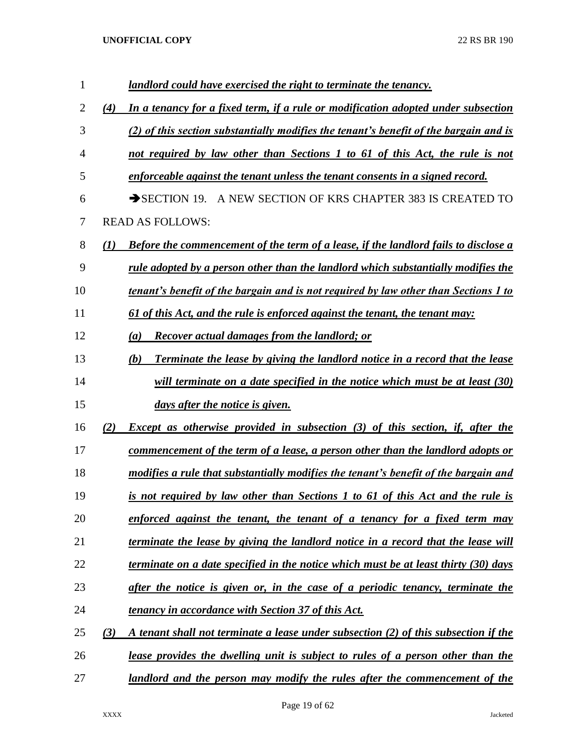| $\mathbf{1}$ |                  | landlord could have exercised the right to terminate the tenancy.                          |
|--------------|------------------|--------------------------------------------------------------------------------------------|
| 2            | (4)              | In a tenancy for a fixed term, if a rule or modification adopted under subsection          |
| 3            |                  | (2) of this section substantially modifies the tenant's benefit of the bargain and is      |
| 4            |                  | not required by law other than Sections 1 to 61 of this Act, the rule is not               |
| 5            |                  | enforceable against the tenant unless the tenant consents in a signed record.              |
| 6            |                  | $\rightarrow$ SECTION 19.<br>A NEW SECTION OF KRS CHAPTER 383 IS CREATED TO                |
| 7            |                  | <b>READ AS FOLLOWS:</b>                                                                    |
| 8            | $\mathcal{L}(I)$ | <b>Before the commencement of the term of a lease, if the landlord fails to disclose a</b> |
| 9            |                  | rule adopted by a person other than the landlord which substantially modifies the          |
| 10           |                  | tenant's benefit of the bargain and is not required by law other than Sections 1 to        |
| 11           |                  | 61 of this Act, and the rule is enforced against the tenant, the tenant may:               |
| 12           |                  | <b>Recover actual damages from the landlord; or</b><br>(a)                                 |
| 13           |                  | <b>Terminate the lease by giving the landlord notice in a record that the lease</b><br>(b) |
| 14           |                  | will terminate on a date specified in the notice which must be at least (30)               |
| 15           |                  | days after the notice is given.                                                            |
| 16           | (2)              | <b>Except as otherwise provided in subsection (3) of this section, if, after the</b>       |
| 17           |                  | commencement of the term of a lease, a person other than the landlord adopts or            |
| 18           |                  | modifies a rule that substantially modifies the tenant's benefit of the bargain and        |
| 19           |                  | is not required by law other than Sections 1 to 61 of this Act and the rule is             |
| 20           |                  | enforced against the tenant, the tenant of a tenancy for a fixed term may                  |
| 21           |                  | terminate the lease by giving the landlord notice in a record that the lease will          |
| 22           |                  | terminate on a date specified in the notice which must be at least thirty (30) days        |
| 23           |                  | after the notice is given or, in the case of a periodic tenancy, terminate the             |
| 24           |                  | <u>tenancy in accordance with Section 37 of this Act.</u>                                  |
| 25           | (3)              | A tenant shall not terminate a lease under subsection (2) of this subsection if the        |
| 26           |                  | <u>lease provides the dwelling unit is subject to rules of a person other than the</u>     |
| 27           |                  | landlord and the person may modify the rules after the commencement of the                 |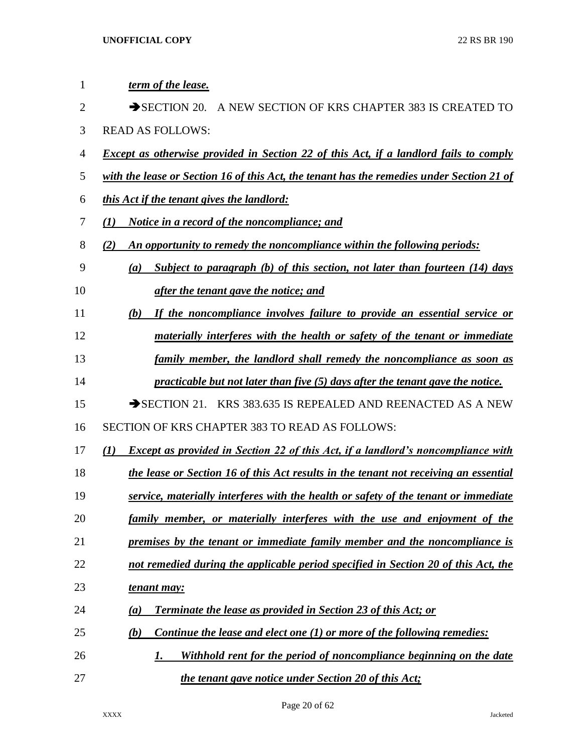| 1              | term of the lease.                                                                                      |
|----------------|---------------------------------------------------------------------------------------------------------|
| $\overline{2}$ | $\rightarrow$ SECTION 20.<br>A NEW SECTION OF KRS CHAPTER 383 IS CREATED TO                             |
| 3              | <b>READ AS FOLLOWS:</b>                                                                                 |
| $\overline{4}$ | <b>Except as otherwise provided in Section 22 of this Act, if a landlord fails to comply</b>            |
| 5              | with the lease or Section 16 of this Act, the tenant has the remedies under Section 21 of               |
| 6              | this Act if the tenant gives the landlord:                                                              |
| 7              | <i>Notice in a record of the noncompliance; and</i><br>$\mathbf{U}$                                     |
| 8              | An opportunity to remedy the noncompliance within the following periods:<br>(2)                         |
| 9              | Subject to paragraph (b) of this section, not later than fourteen (14) days<br>(a)                      |
| 10             | after the tenant gave the notice; and                                                                   |
| 11             | If the noncompliance involves failure to provide an essential service or<br>(b)                         |
| 12             | materially interferes with the health or safety of the tenant or immediate                              |
| 13             | family member, the landlord shall remedy the noncompliance as soon as                                   |
| 14             | practicable but not later than five (5) days after the tenant gave the notice.                          |
| 15             | $\rightarrow$ SECTION 21. KRS 383.635 IS REPEALED AND REENACTED AS A NEW                                |
| 16             | SECTION OF KRS CHAPTER 383 TO READ AS FOLLOWS:                                                          |
| 17             | <b>Except as provided in Section 22 of this Act, if a landlord's noncompliance with</b><br>$\mathbf{U}$ |
| 18             | the lease or Section 16 of this Act results in the tenant not receiving an essential                    |
| 19             | service, materially interferes with the health or safety of the tenant or immediate                     |
| 20             | family member, or materially interferes with the use and enjoyment of the                               |
| 21             | premises by the tenant or immediate family member and the noncompliance is                              |
| 22             | not remedied during the applicable period specified in Section 20 of this Act, the                      |
| 23             | tenant may:                                                                                             |
| 24             | <b>Terminate the lease as provided in Section 23 of this Act; or</b><br>(a)                             |
| 25             | Continue the lease and elect one (1) or more of the following remedies:<br>(b)                          |
| 26             | Withhold rent for the period of noncompliance beginning on the date<br>1.                               |
| 27             | the tenant gave notice under Section 20 of this Act;                                                    |

Page 20 of 62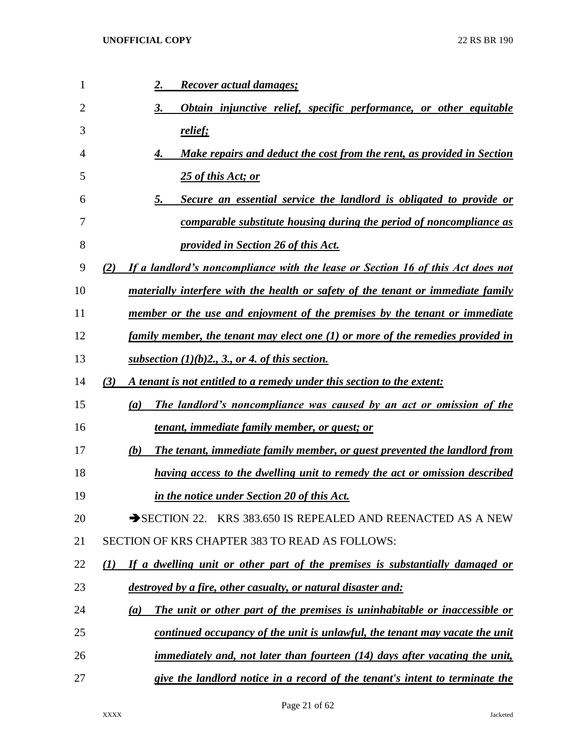| 1  | <u>Recover actual damages;</u><br>2.                                                    |
|----|-----------------------------------------------------------------------------------------|
| 2  | Obtain injunctive relief, specific performance, or other equitable                      |
| 3  | relief;                                                                                 |
| 4  | Make repairs and deduct the cost from the rent, as provided in Section                  |
| 5  | 25 of this Act; or                                                                      |
| 6  | Secure an essential service the landlord is obligated to provide or<br>5.               |
| 7  | comparable substitute housing during the period of noncompliance as                     |
| 8  | <u>provided in Section 26 of this Act.</u>                                              |
| 9  | If a landlord's noncompliance with the lease or Section 16 of this Act does not<br>(2)  |
| 10 | <u>materially interfere with the health or safety of the tenant or immediate family</u> |
| 11 | member or the use and enjoyment of the premises by the tenant or immediate              |
| 12 | <u>family member, the tenant may elect one (1) or more of the remedies provided in</u>  |
| 13 | <u>subsection <math>(1)(b)2</math>, 3, or 4, of this section.</u>                       |
| 14 | A tenant is not entitled to a remedy under this section to the extent:<br>(3)           |
| 15 | The landlord's noncompliance was caused by an act or omission of the<br>(a)             |
| 16 | <u>tenant, immediate family member, or guest; or</u>                                    |
| 17 | The tenant, immediate family member, or guest prevented the landlord from<br>(b)        |
| 18 | having access to the dwelling unit to remedy the act or omission described              |
| 19 | in the notice under Section 20 of this Act.                                             |
| 20 | SECTION 22. KRS 383.650 IS REPEALED AND REENACTED AS A NEW                              |
| 21 | SECTION OF KRS CHAPTER 383 TO READ AS FOLLOWS:                                          |
| 22 | If a dwelling unit or other part of the premises is substantially damaged or<br>(I)     |
| 23 | destroyed by a fire, other casualty, or natural disaster and:                           |
| 24 | The unit or other part of the premises is uninhabitable or inaccessible or<br>(a)       |
| 25 | continued occupancy of the unit is unlawful, the tenant may vacate the unit             |
| 26 | <i>immediately and, not later than fourteen (14) days after vacating the unit,</i>      |
| 27 | give the landlord notice in a record of the tenant's intent to terminate the            |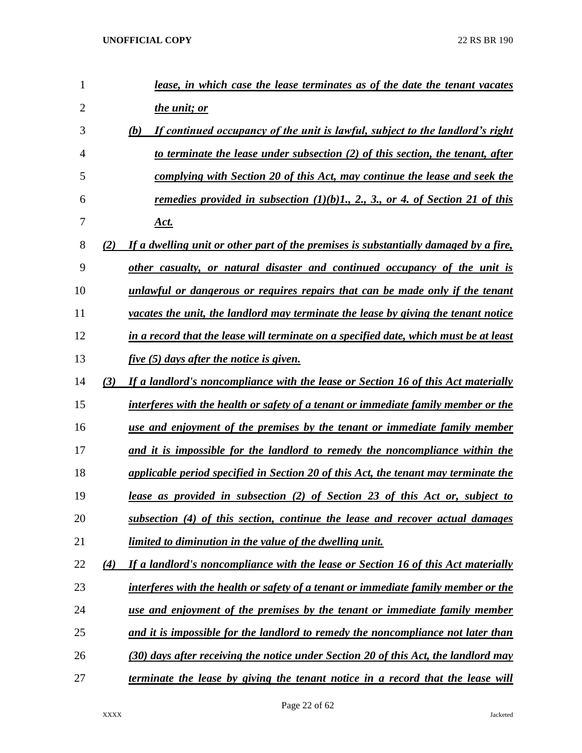| 1              |     | lease, in which case the lease terminates as of the date the tenant vacates             |
|----------------|-----|-----------------------------------------------------------------------------------------|
| $\overline{2}$ |     | <i>the unit; or</i>                                                                     |
| 3              |     | (b)<br>If continued occupancy of the unit is lawful, subject to the landlord's right    |
| 4              |     | to terminate the lease under subsection (2) of this section, the tenant, after          |
| 5              |     | complying with Section 20 of this Act, may continue the lease and seek the              |
| 6              |     | remedies provided in subsection $(1)(b)1, 2, 3,$ or 4. of Section 21 of this            |
| 7              |     | <u>Act.</u>                                                                             |
| 8              | (2) | If a dwelling unit or other part of the premises is substantially damaged by a fire,    |
| 9              |     | other casualty, or natural disaster and continued occupancy of the unit is              |
| 10             |     | unlawful or dangerous or requires repairs that can be made only if the tenant           |
| 11             |     | vacates the unit, the landlord may terminate the lease by giving the tenant notice      |
| 12             |     | in a record that the lease will terminate on a specified date, which must be at least   |
| 13             |     | <i>five</i> (5) days after the notice is given.                                         |
| 14             | (3) | If a landlord's noncompliance with the lease or Section 16 of this Act materially       |
| 15             |     | interferes with the health or safety of a tenant or immediate family member or the      |
| 16             |     | use and enjoyment of the premises by the tenant or immediate family member              |
| 17             |     | and it is impossible for the landlord to remedy the noncompliance within the            |
| 18             |     | applicable period specified in Section 20 of this Act, the tenant may terminate the     |
| 19             |     | lease as provided in subsection (2) of Section 23 of this Act or, subject to            |
| 20             |     | subsection (4) of this section, continue the lease and recover actual damages           |
| 21             |     | <u>limited to diminution in the value of the dwelling unit.</u>                         |
| 22             | (4) | If a landlord's noncompliance with the lease or Section 16 of this Act materially       |
| 23             |     | interferes with the health or safety of a tenant or immediate family member or the      |
| 24             |     | <u>use and enjoyment of the premises by the tenant or immediate family member</u>       |
| 25             |     | <u>and it is impossible for the landlord to remedy the noncompliance not later than</u> |
| 26             |     | (30) days after receiving the notice under Section 20 of this Act, the landlord may     |
| 27             |     | <u>terminate the lease by giving the tenant notice in a record that the lease will</u>  |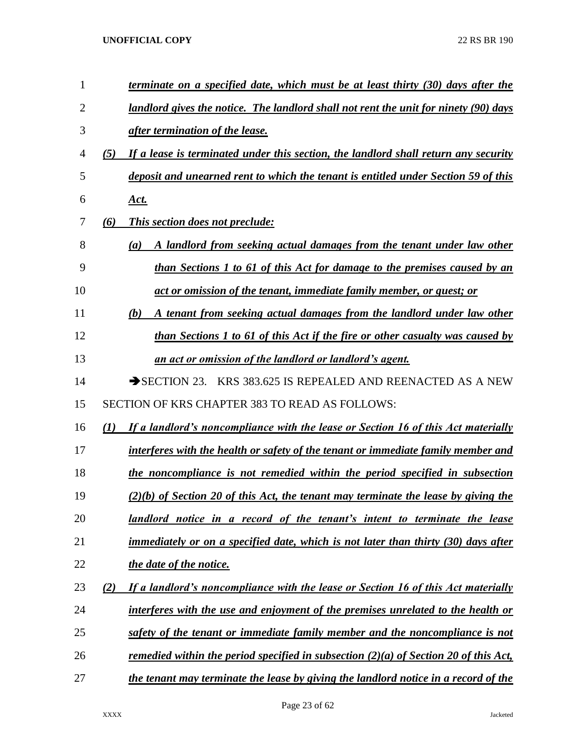| 1  | terminate on a specified date, which must be at least thirty (30) days after the           |
|----|--------------------------------------------------------------------------------------------|
| 2  | landlord gives the notice. The landlord shall not rent the unit for ninety (90) days       |
| 3  | after termination of the lease.                                                            |
| 4  | If a lease is terminated under this section, the landlord shall return any security<br>(5) |
| 5  | deposit and unearned rent to which the tenant is entitled under Section 59 of this         |
| 6  | <u>Act.</u>                                                                                |
| 7  | This section does not preclude:<br>(6)                                                     |
| 8  | A landlord from seeking actual damages from the tenant under law other<br>(a)              |
| 9  | than Sections 1 to 61 of this Act for damage to the premises caused by an                  |
| 10 | act or omission of the tenant, immediate family member, or guest; or                       |
| 11 | A tenant from seeking actual damages from the landlord under law other<br>(b)              |
| 12 | than Sections 1 to 61 of this Act if the fire or other casualty was caused by              |
| 13 | an act or omission of the landlord or landlord's agent.                                    |
| 14 | KRS 383.625 IS REPEALED AND REENACTED AS A NEW<br>$\rightarrow$ SECTION 23.                |
| 15 | SECTION OF KRS CHAPTER 383 TO READ AS FOLLOWS:                                             |
| 16 | If a landlord's noncompliance with the lease or Section 16 of this Act materially<br>(1)   |
| 17 | interferes with the health or safety of the tenant or immediate family member and          |
| 18 | the noncompliance is not remedied within the period specified in subsection                |
| 19 | $(2)(b)$ of Section 20 of this Act, the tenant may terminate the lease by giving the       |
| 20 | <u>landlord notice in a record of the tenant's intent to terminate the lease</u>           |
| 21 | immediately or on a specified date, which is not later than thirty (30) days after         |
| 22 | the date of the notice.                                                                    |
| 23 | If a landlord's noncompliance with the lease or Section 16 of this Act materially<br>(2)   |
| 24 | interferes with the use and enjoyment of the premises unrelated to the health or           |
| 25 | safety of the tenant or immediate family member and the noncompliance is not               |
| 26 | remedied within the period specified in subsection $(2)(a)$ of Section 20 of this Act,     |
| 27 | the tenant may terminate the lease by giving the landlord notice in a record of the        |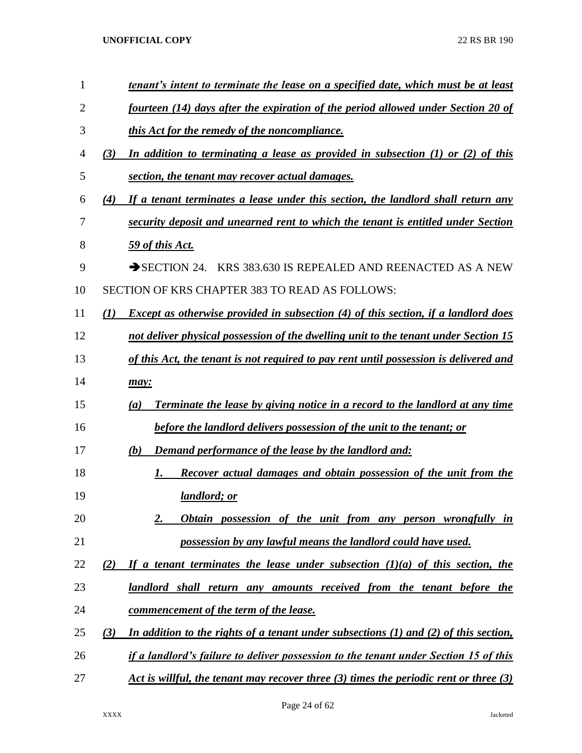| $\mathbf{1}$ | <u>tenant's intent to terminate the lease on a specified date, which must be at least</u>        |
|--------------|--------------------------------------------------------------------------------------------------|
| 2            | fourteen (14) days after the expiration of the period allowed under Section 20 of                |
| 3            | this Act for the remedy of the noncompliance.                                                    |
| 4            | In addition to terminating a lease as provided in subsection $(1)$ or $(2)$ of this<br>(3)       |
| 5            | section, the tenant may recover actual damages.                                                  |
| 6            | (4)<br>If a tenant terminates a lease under this section, the landlord shall return any          |
| 7            | security deposit and unearned rent to which the tenant is entitled under Section                 |
| 8            | 59 of this Act.                                                                                  |
| 9            | SECTION 24. KRS 383.630 IS REPEALED AND REENACTED AS A NEW                                       |
| 10           | <b>SECTION OF KRS CHAPTER 383 TO READ AS FOLLOWS:</b>                                            |
| 11           | <b>Except as otherwise provided in subsection (4) of this section, if a landlord does</b><br>(1) |
| 12           | not deliver physical possession of the dwelling unit to the tenant under Section 15              |
| 13           | of this Act, the tenant is not required to pay rent until possession is delivered and            |
| 14           | may:                                                                                             |
| 15           | Terminate the lease by giving notice in a record to the landlord at any time<br>(a)              |
| 16           | before the landlord delivers possession of the unit to the tenant; or                            |
| 17           | Demand performance of the lease by the landlord and:<br>(b)                                      |
| 18           | Recover actual damages and obtain possession of the unit from the<br>1.                          |
| 19           | landlord; or                                                                                     |
| 20           | 2.<br>Obtain possession of the unit from any person wrongfully in                                |
| 21           | possession by any lawful means the landlord could have used.                                     |
| 22           | If a tenant terminates the lease under subsection $(1)(a)$ of this section, the<br>(2)           |
| 23           | landlord shall return any amounts received from the tenant before the                            |
| 24           | commencement of the term of the lease.                                                           |
| 25           | In addition to the rights of a tenant under subsections $(1)$ and $(2)$ of this section,<br>(3)  |
| 26           | if a landlord's failure to deliver possession to the tenant under Section 15 of this             |
| 27           | Act is willful, the tenant may recover three $(3)$ times the periodic rent or three $(3)$        |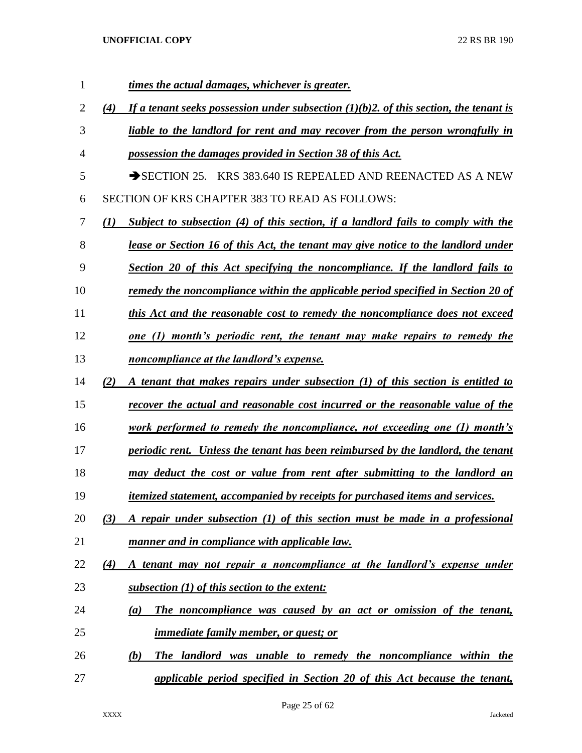| 1  | times the actual damages, whichever is greater.                                                   |
|----|---------------------------------------------------------------------------------------------------|
| 2  | If a tenant seeks possession under subsection $(1)(b)$ 2. of this section, the tenant is<br>(4)   |
| 3  | liable to the landlord for rent and may recover from the person wrongfully in                     |
| 4  | possession the damages provided in Section 38 of this Act.                                        |
| 5  | $\rightarrow$ SECTION 25. KRS 383.640 IS REPEALED AND REENACTED AS A NEW                          |
| 6  | SECTION OF KRS CHAPTER 383 TO READ AS FOLLOWS:                                                    |
| 7  | Subject to subsection (4) of this section, if a landlord fails to comply with the<br>$\mathbf{U}$ |
| 8  | <u>lease or Section 16 of this Act, the tenant may give notice to the landlord under</u>          |
| 9  | Section 20 of this Act specifying the noncompliance. If the landlord fails to                     |
| 10 | <u>remedy the noncompliance within the applicable period specified in Section 20 of</u>           |
| 11 | this Act and the reasonable cost to remedy the noncompliance does not exceed                      |
| 12 | <u>one (1) month's periodic rent, the tenant may make repairs to remedy the</u>                   |
| 13 | noncompliance at the landlord's expense.                                                          |
| 14 | A tenant that makes repairs under subsection (1) of this section is entitled to<br>(2)            |
| 15 | recover the actual and reasonable cost incurred or the reasonable value of the                    |
| 16 | <u>work performed to remedy the noncompliance, not exceeding one (1) month's</u>                  |
| 17 | periodic rent. Unless the tenant has been reimbursed by the landlord, the tenant                  |
| 18 | may deduct the cost or value from rent after submitting to the landlord an                        |
| 19 | <i>itemized statement, accompanied by receipts for purchased items and services.</i>              |
| 20 | A repair under subsection (1) of this section must be made in a professional<br>(3)               |
| 21 | manner and in compliance with applicable law.                                                     |
| 22 | A tenant may not repair a noncompliance at the landlord's expense under<br>$\left( 4\right)$      |
| 23 | subsection (1) of this section to the extent:                                                     |
| 24 | The noncompliance was caused by an act or omission of the tenant,<br>$\left(a\right)$             |
| 25 | <u>immediate family member, or guest; or</u>                                                      |
| 26 | (b)<br>The landlord was unable to remedy the noncompliance within the                             |
| 27 | applicable period specified in Section 20 of this Act because the tenant,                         |

Page 25 of 62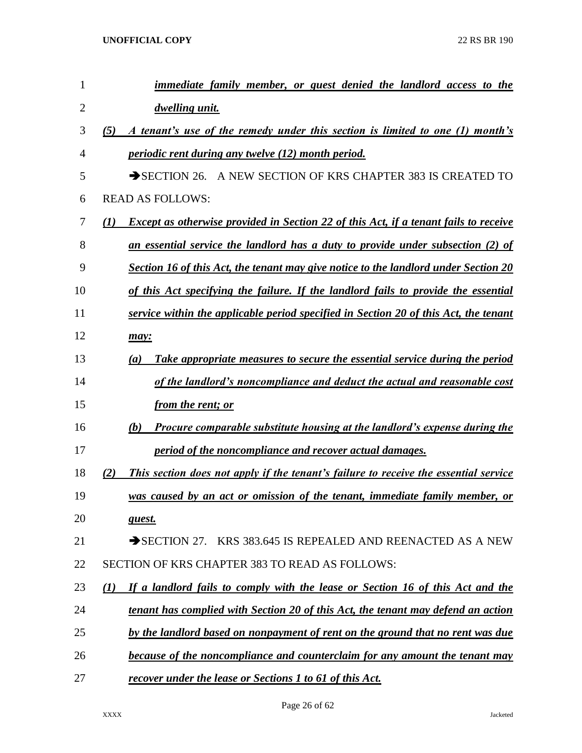| 1              | immediate family member, or guest denied the landlord access to the                                |
|----------------|----------------------------------------------------------------------------------------------------|
| $\overline{2}$ | dwelling unit.                                                                                     |
| 3              | A tenant's use of the remedy under this section is limited to one (1) month's<br>(5)               |
| 4              | <i>periodic rent during any twelve (12) month period.</i>                                          |
| 5              | A NEW SECTION OF KRS CHAPTER 383 IS CREATED TO<br>$\rightarrow$ SECTION 26.                        |
| 6              | <b>READ AS FOLLOWS:</b>                                                                            |
| 7              | <b>Except as otherwise provided in Section 22 of this Act, if a tenant fails to receive</b><br>(I) |
| 8              | an essential service the landlord has a duty to provide under subsection (2) of                    |
| 9              | Section 16 of this Act, the tenant may give notice to the landlord under Section 20                |
| 10             | of this Act specifying the failure. If the landlord fails to provide the essential                 |
| 11             | service within the applicable period specified in Section 20 of this Act, the tenant               |
| 12             | may:                                                                                               |
| 13             | Take appropriate measures to secure the essential service during the period<br>(a)                 |
| 14             | of the landlord's noncompliance and deduct the actual and reasonable cost                          |
| 15             | <i>from the rent; or</i>                                                                           |
| 16             | <b>Procure comparable substitute housing at the landlord's expense during the</b><br>(b)           |
| 17             | period of the noncompliance and recover actual damages.                                            |
| 18             | This section does not apply if the tenant's failure to receive the essential service<br>2)         |
| 19             | was caused by an act or omission of the tenant, immediate family member, or                        |
| 20             | guest.                                                                                             |
| 21             | SECTION 27. KRS 383.645 IS REPEALED AND REENACTED AS A NEW                                         |
| 22             | SECTION OF KRS CHAPTER 383 TO READ AS FOLLOWS:                                                     |
| 23             | If a landlord fails to comply with the lease or Section 16 of this Act and the<br>(I)              |
| 24             | tenant has complied with Section 20 of this Act, the tenant may defend an action                   |
| 25             | by the landlord based on nonpayment of rent on the ground that no rent was due                     |
| 26             | because of the noncompliance and counterclaim for any amount the tenant may                        |
| 27             | recover under the lease or Sections 1 to 61 of this Act.                                           |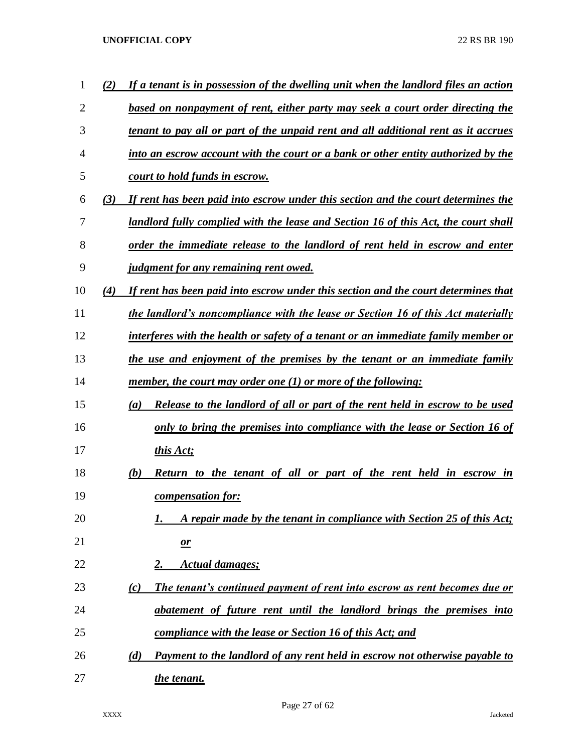| 1  | (2) | If a tenant is in possession of the dwelling unit when the landlord files an action |
|----|-----|-------------------------------------------------------------------------------------|
| 2  |     | based on nonpayment of rent, either party may seek a court order directing the      |
| 3  |     | tenant to pay all or part of the unpaid rent and all additional rent as it accrues  |
| 4  |     | into an escrow account with the court or a bank or other entity authorized by the   |
| 5  |     | <u>court to hold funds in escrow.</u>                                               |
| 6  | (3) | If rent has been paid into escrow under this section and the court determines the   |
| 7  |     | landlord fully complied with the lease and Section 16 of this Act, the court shall  |
| 8  |     | order the immediate release to the landlord of rent held in escrow and enter        |
| 9  |     | <i><u><b>judgment for any remaining rent owed.</b></u></i>                          |
| 10 | (4) | If rent has been paid into escrow under this section and the court determines that  |
| 11 |     | the landlord's noncompliance with the lease or Section 16 of this Act materially    |
| 12 |     | interferes with the health or safety of a tenant or an immediate family member or   |
| 13 |     | the use and enjoyment of the premises by the tenant or an immediate family          |
| 14 |     | member, the court may order one $(1)$ or more of the following:                     |
| 15 |     | Release to the landlord of all or part of the rent held in escrow to be used<br>(a) |
| 16 |     | only to bring the premises into compliance with the lease or Section 16 of          |
| 17 |     | this Act;                                                                           |
| 18 |     | (b)<br>Return to the tenant of all or part of the rent held in escrow<br>in         |
| 19 |     | compensation for:                                                                   |
| 20 |     | A repair made by the tenant in compliance with Section 25 of this Act;<br>1.        |
| 21 |     | $\mathbf{\underline{\mathit{or}}}$                                                  |
| 22 |     | <b>Actual damages;</b><br>2.                                                        |
| 23 |     | The tenant's continued payment of rent into escrow as rent becomes due or<br>(c)    |
| 24 |     | abatement of future rent until the landlord brings the premises into                |
| 25 |     | compliance with the lease or Section 16 of this Act; and                            |
| 26 |     | Payment to the landlord of any rent held in escrow not otherwise payable to<br>(d)  |
| 27 |     | the tenant.                                                                         |

Page 27 of 62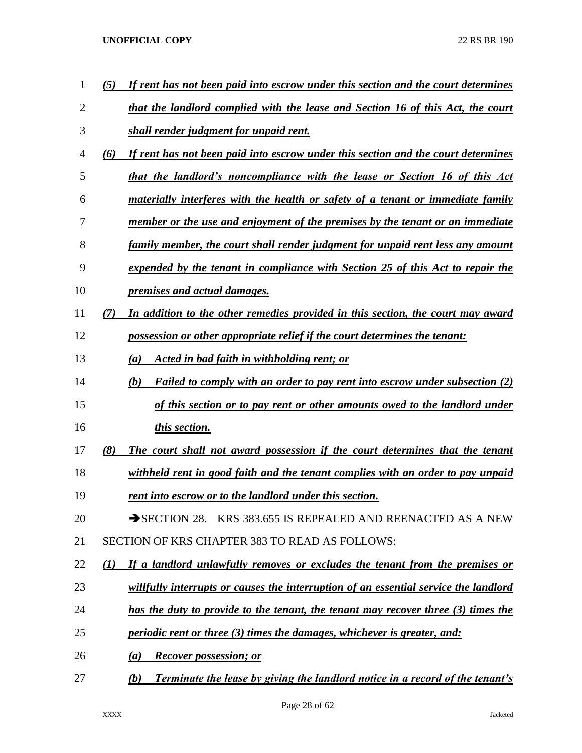| 1  | (5)           | If rent has not been paid into escrow under this section and the court determines           |
|----|---------------|---------------------------------------------------------------------------------------------|
| 2  |               | that the landlord complied with the lease and Section 16 of this Act, the court             |
| 3  |               | shall render judgment for unpaid rent.                                                      |
| 4  | (6)           | If rent has not been paid into escrow under this section and the court determines           |
| 5  |               | that the landlord's noncompliance with the lease or Section 16 of this Act                  |
| 6  |               | <u>materially interferes with the health or safety of a tenant or immediate family</u>      |
| 7  |               | member or the use and enjoyment of the premises by the tenant or an immediate               |
| 8  |               | family member, the court shall render judgment for unpaid rent less any amount              |
| 9  |               | expended by the tenant in compliance with Section 25 of this Act to repair the              |
| 10 |               | <i><u><b>premises and actual damages.</b></u></i>                                           |
| 11 | $\mathcal{T}$ | In addition to the other remedies provided in this section, the court may award             |
| 12 |               | possession or other appropriate relief if the court determines the tenant:                  |
| 13 |               | Acted in bad faith in withholding rent; or<br>(a)                                           |
| 14 |               | (b)<br>Failed to comply with an order to pay rent into escrow under subsection (2)          |
| 15 |               | of this section or to pay rent or other amounts owed to the landlord under                  |
| 16 |               | this section.                                                                               |
| 17 | (8)           | The court shall not award possession if the court determines that the tenant                |
| 18 |               | withheld rent in good faith and the tenant complies with an order to pay unpaid             |
| 19 |               | <u>rent into escrow or to the landlord under this section.</u>                              |
| 20 |               | SECTION 28. KRS 383.655 IS REPEALED AND REENACTED AS A NEW                                  |
| 21 |               | SECTION OF KRS CHAPTER 383 TO READ AS FOLLOWS:                                              |
| 22 | (I)           | If a landlord unlawfully removes or excludes the tenant from the premises or                |
| 23 |               | willfully interrupts or causes the interruption of an essential service the landlord        |
| 24 |               | has the duty to provide to the tenant, the tenant may recover three (3) times the           |
| 25 |               | <i>periodic rent or three (3) times the damages, whichever is greater, and:</i>             |
| 26 |               | <b>Recover possession; or</b><br>(a)                                                        |
| 27 |               | <b>Terminate the lease by giving the landlord notice in a record of the tenant's</b><br>(b) |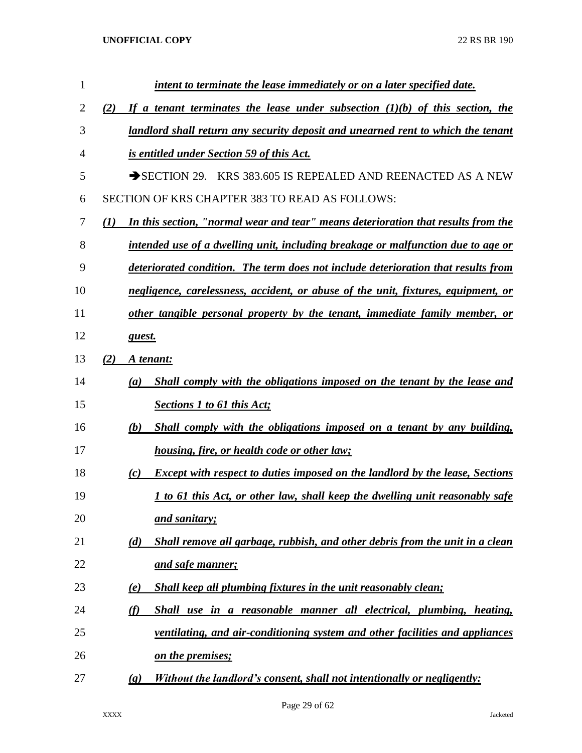| 1              | intent to terminate the lease immediately or on a later specified date.                               |
|----------------|-------------------------------------------------------------------------------------------------------|
| $\overline{2}$ | If a tenant terminates the lease under subsection $(1)(b)$ of this section, the<br>(2)                |
| 3              | landlord shall return any security deposit and unearned rent to which the tenant                      |
| 4              | is entitled under Section 59 of this Act.                                                             |
| 5              | SECTION 29. KRS 383.605 IS REPEALED AND REENACTED AS A NEW                                            |
| 6              | SECTION OF KRS CHAPTER 383 TO READ AS FOLLOWS:                                                        |
| 7              | In this section, "normal wear and tear" means deterioration that results from the<br>$\mathbf{U}$     |
| 8              | intended use of a dwelling unit, including breakage or malfunction due to age or                      |
| 9              | deteriorated condition. The term does not include deterioration that results from                     |
| 10             | negligence, carelessness, accident, or abuse of the unit, fixtures, equipment, or                     |
| 11             | other tangible personal property by the tenant, immediate family member, or                           |
| 12             | guest.                                                                                                |
| 13             | (2)<br>A tenant:                                                                                      |
| 14             | Shall comply with the obligations imposed on the tenant by the lease and<br>(a)                       |
| 15             | <b>Sections 1 to 61 this Act;</b>                                                                     |
| 16             | Shall comply with the obligations imposed on a tenant by any building,<br>(b)                         |
| 17             | <u>housing, fire, or health code or other law;</u>                                                    |
| 18             | <b>Except with respect to duties imposed on the landlord by the lease, Sections</b><br>(c)            |
| 19             | <u>I to 61 this Act, or other law, shall keep the dwelling unit reasonably safe</u>                   |
| 20             | and sanitary;                                                                                         |
| 21             | Shall remove all garbage, rubbish, and other debris from the unit in a clean<br>(d)                   |
| 22             | and safe manner;                                                                                      |
| 23             | Shall keep all plumbing fixtures in the unit reasonably clean;<br>(e)                                 |
| 24             | Shall use in a reasonable manner all electrical, plumbing, heating,<br>(f)                            |
| 25             | ventilating, and air-conditioning system and other facilities and appliances                          |
| 26             | <u>on the premises;</u>                                                                               |
| 27             | Without the landlord's consent, shall not intentionally or negligently:<br>$\left( \mathbf{g}\right)$ |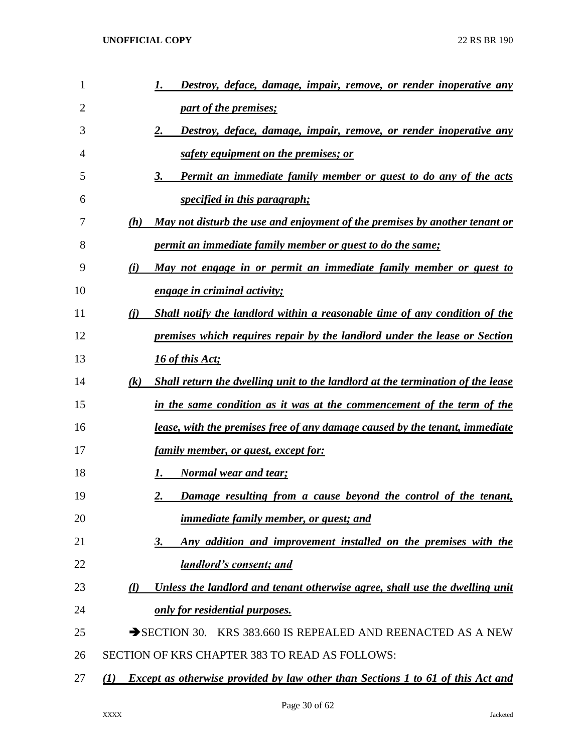| 1  |     | Destroy, deface, damage, impair, remove, or render inoperative any                     |
|----|-----|----------------------------------------------------------------------------------------|
| 2  |     | part of the premises;                                                                  |
| 3  |     | 2.<br><u>Destroy, deface, damage, impair, remove, or render inoperative any</u>        |
| 4  |     | safety equipment on the premises; or                                                   |
| 5  |     | <b>Permit an immediate family member or guest to do any of the acts</b><br>3.          |
| 6  |     | <i>specified in this paragraph;</i>                                                    |
| 7  | (h) | May not disturb the use and enjoyment of the premises by another tenant or             |
| 8  |     | <u>permit an immediate family member or guest to do the same;</u>                      |
| 9  | (i) | May not engage in or permit an immediate family member or guest to                     |
| 10 |     | engage in criminal activity;                                                           |
| 11 | (i) | Shall notify the landlord within a reasonable time of any condition of the             |
| 12 |     | premises which requires repair by the landlord under the lease or Section              |
| 13 |     | 16 of this Act;                                                                        |
| 14 | (k) | Shall return the dwelling unit to the landlord at the termination of the lease         |
| 15 |     | in the same condition as it was at the commencement of the term of the                 |
| 16 |     | lease, with the premises free of any damage caused by the tenant, immediate            |
| 17 |     | <u>family member, or guest, except for:</u>                                            |
| 18 |     | <b>Normal wear and tear;</b><br>1.                                                     |
| 19 |     | Damage resulting from a cause beyond the control of the tenant,<br>2.                  |
| 20 |     | <i>immediate family member, or guest; and</i>                                          |
| 21 |     | Any addition and improvement installed on the premises with the<br>3.                  |
| 22 |     | <b>landlord's consent; and</b>                                                         |
| 23 | (l) | Unless the landlord and tenant otherwise agree, shall use the dwelling unit            |
| 24 |     | only for residential purposes.                                                         |
| 25 |     | SECTION 30. KRS 383.660 IS REPEALED AND REENACTED AS A NEW                             |
| 26 |     | SECTION OF KRS CHAPTER 383 TO READ AS FOLLOWS:                                         |
| 27 | (I) | <b>Except as otherwise provided by law other than Sections 1 to 61 of this Act and</b> |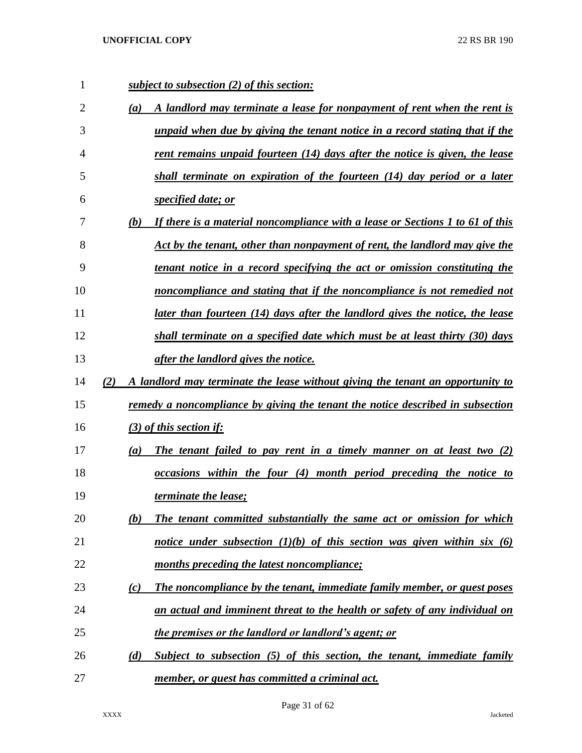| 1              | subject to subsection (2) of this section:                                                 |
|----------------|--------------------------------------------------------------------------------------------|
| $\overline{2}$ | A landlord may terminate a lease for nonpayment of rent when the rent is<br>(a)            |
| 3              | unpaid when due by giving the tenant notice in a record stating that if the                |
| 4              | <u>rent remains unpaid fourteen (14) days after the notice is given, the lease</u>         |
| 5              | shall terminate on expiration of the fourteen (14) day period or a later                   |
| 6              | specified date; or                                                                         |
| 7              | If there is a material noncompliance with a lease or Sections 1 to 61 of this<br>(b)       |
| 8              | Act by the tenant, other than nonpayment of rent, the landlord may give the                |
| 9              | tenant notice in a record specifying the act or omission constituting the                  |
| 10             | noncompliance and stating that if the noncompliance is not remedied not                    |
| 11             | later than fourteen (14) days after the landlord gives the notice, the lease               |
| 12             | shall terminate on a specified date which must be at least thirty (30) days                |
| 13             | <i>after the landlord gives the notice.</i>                                                |
| 14             | A landlord may terminate the lease without giving the tenant an opportunity to<br>(2)      |
| 15             | remedy a noncompliance by giving the tenant the notice described in subsection             |
| 16             | $(3)$ of this section if:                                                                  |
| 17             | The tenant failed to pay rent in a timely manner on at least two $(2)$<br>$\left(a\right)$ |
| 18             | occasions within the four (4) month period preceding the notice to                         |
| 19             | <i>terminate the lease;</i>                                                                |
| 20             | The tenant committed substantially the same act or omission for which<br>(b)               |
| 21             | notice under subsection $(1)(b)$ of this section was given within six $(6)$                |
| 22             | months preceding the latest noncompliance;                                                 |
| 23             | The noncompliance by the tenant, immediate family member, or guest poses<br>(c)            |
| 24             | an actual and imminent threat to the health or safety of any individual on                 |
| 25             | the premises or the landlord or landlord's agent; or                                       |
| 26             | Subject to subsection (5) of this section, the tenant, immediate family<br>(d)             |
| 27             | member, or guest has committed a criminal act.                                             |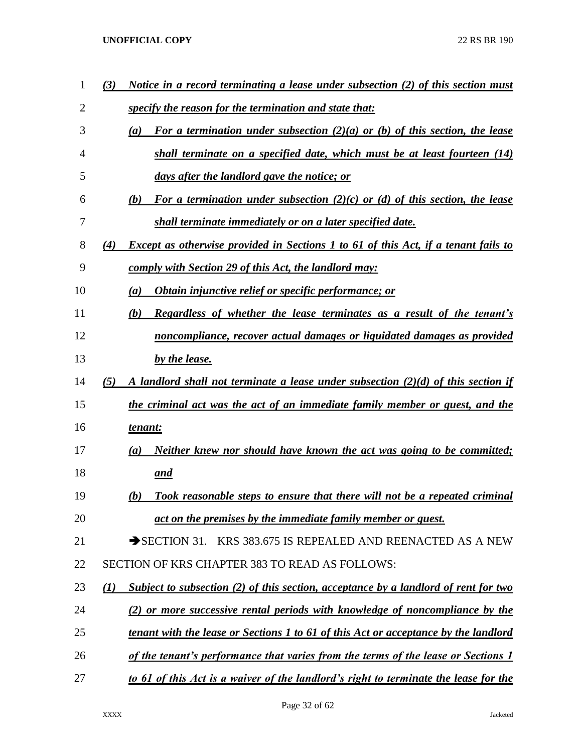| (3)              | Notice in a record terminating a lease under subsection (2) of this section must                |
|------------------|-------------------------------------------------------------------------------------------------|
|                  | specify the reason for the termination and state that:                                          |
|                  | For a termination under subsection (2)(a) or (b) of this section, the lease<br>$\left(a\right)$ |
|                  | shall terminate on a specified date, which must be at least fourteen $(14)$                     |
|                  | days after the landlord gave the notice; or                                                     |
|                  | For a termination under subsection (2)(c) or (d) of this section, the lease<br>(b)              |
|                  | shall terminate immediately or on a later specified date.                                       |
| (4)              | <b>Except as otherwise provided in Sections 1 to 61 of this Act, if a tenant fails to</b>       |
|                  | comply with Section 29 of this Act, the landlord may:                                           |
|                  | Obtain injunctive relief or specific performance; or<br>(a)                                     |
|                  | (b)<br><b>Regardless of whether the lease terminates as a result of the tenant's</b>            |
|                  | noncompliance, recover actual damages or liquidated damages as provided                         |
|                  | by the lease.                                                                                   |
| (5)              | A landlord shall not terminate a lease under subsection $(2)(d)$ of this section if             |
|                  | the criminal act was the act of an immediate family member or guest, and the                    |
|                  | tenant:                                                                                         |
|                  | Neither knew nor should have known the act was going to be committed;<br>$\left(a\right)$       |
|                  | and                                                                                             |
|                  | Took reasonable steps to ensure that there will not be a repeated criminal<br>(b)               |
|                  | act on the premises by the immediate family member or guest.                                    |
|                  | SECTION 31. KRS 383.675 IS REPEALED AND REENACTED AS A NEW                                      |
|                  | SECTION OF KRS CHAPTER 383 TO READ AS FOLLOWS:                                                  |
| $\mathcal{L}(I)$ | Subject to subsection (2) of this section, acceptance by a landlord of rent for two             |
|                  | (2) or more successive rental periods with knowledge of noncompliance by the                    |
|                  | <u>tenant with the lease or Sections 1 to 61 of this Act or acceptance by the landlord</u>      |
|                  | of the tenant's performance that varies from the terms of the lease or Sections 1               |
|                  | to 61 of this Act is a waiver of the landlord's right to terminate the lease for the            |
|                  |                                                                                                 |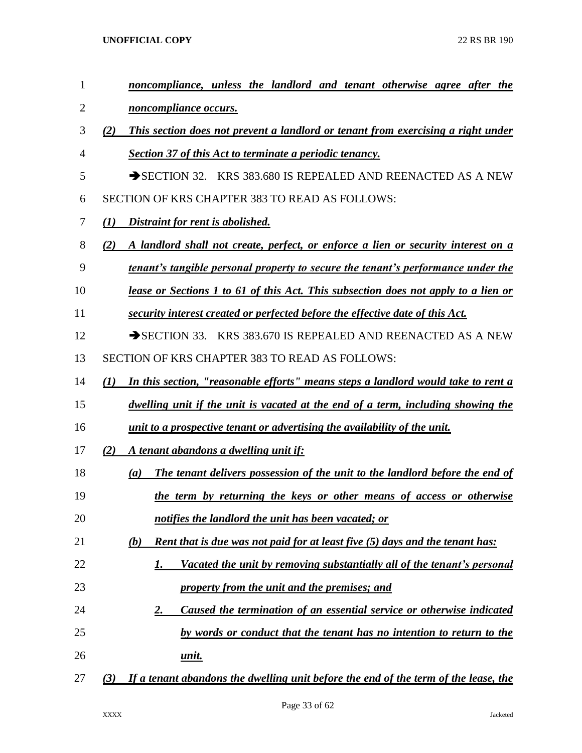| 1  | noncompliance, unless the landlord and tenant otherwise agree after the                    |
|----|--------------------------------------------------------------------------------------------|
| 2  | <i>noncompliance occurs.</i>                                                               |
| 3  | This section does not prevent a landlord or tenant from exercising a right under<br>(2)    |
| 4  | <b>Section 37 of this Act to terminate a periodic tenancy.</b>                             |
| 5  | SECTION 32. KRS 383.680 IS REPEALED AND REENACTED AS A NEW                                 |
| 6  | SECTION OF KRS CHAPTER 383 TO READ AS FOLLOWS:                                             |
| 7  | Distraint for rent is abolished.<br>(I)                                                    |
| 8  | A landlord shall not create, perfect, or enforce a lien or security interest on a<br>(2)   |
| 9  | tenant's tangible personal property to secure the tenant's performance under the           |
| 10 | lease or Sections 1 to 61 of this Act. This subsection does not apply to a lien or         |
| 11 | security interest created or perfected before the effective date of this Act.              |
| 12 | SECTION 33. KRS 383.670 IS REPEALED AND REENACTED AS A NEW                                 |
| 13 | <b>SECTION OF KRS CHAPTER 383 TO READ AS FOLLOWS:</b>                                      |
| 14 | In this section, "reasonable efforts" means steps a landlord would take to rent a<br>(1)   |
| 15 | dwelling unit if the unit is vacated at the end of a term, including showing the           |
| 16 | unit to a prospective tenant or advertising the availability of the unit.                  |
| 17 | A tenant abandons a dwelling unit if:<br>(2)                                               |
| 18 | The tenant delivers possession of the unit to the landlord before the end of<br>(a)        |
| 19 | the term by returning the keys or other means of access or otherwise                       |
| 20 | notifies the landlord the unit has been vacated; or                                        |
| 21 | <b>Rent that is due was not paid for at least five (5) days and the tenant has:</b><br>(b) |
| 22 | Vacated the unit by removing substantially all of the tenant's personal<br>1.              |
| 23 | property from the unit and the premises; and                                               |
| 24 | Caused the termination of an essential service or otherwise indicated<br><u>2.</u>         |
| 25 | by words or conduct that the tenant has no intention to return to the                      |
| 26 | unit.                                                                                      |
| 27 | If a tenant abandons the dwelling unit before the end of the term of the lease, the<br>(3) |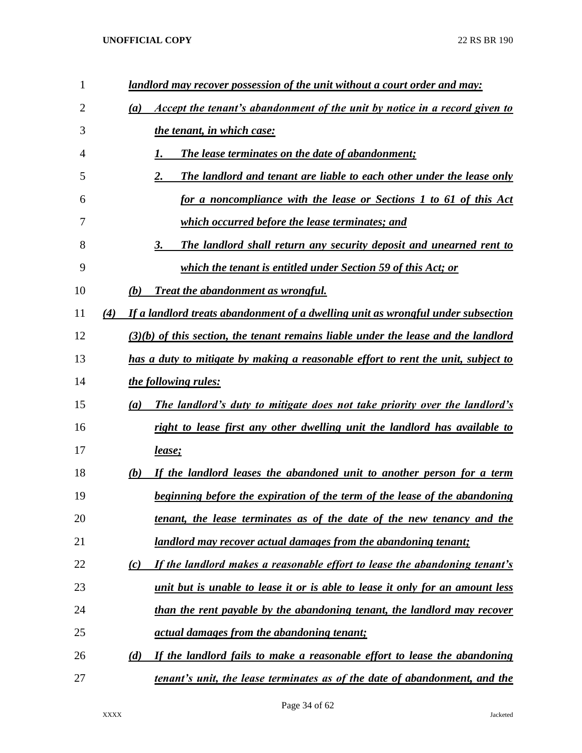| $\mathbf{1}$ | landlord may recover possession of the unit without a court order and may:               |
|--------------|------------------------------------------------------------------------------------------|
| 2            | Accept the tenant's abandonment of the unit by notice in a record given to<br>(a)        |
| 3            | the tenant, in which case:                                                               |
| 4            | <b>The lease terminates on the date of abandonment;</b>                                  |
| 5            | 2.<br>The landlord and tenant are liable to each other under the lease only              |
| 6            | for a noncompliance with the lease or Sections 1 to 61 of this Act                       |
| 7            | which occurred before the lease terminates; and                                          |
| 8            | The landlord shall return any security deposit and unearned rent to<br>3.                |
| 9            | which the tenant is entitled under Section 59 of this Act; or                            |
| 10           | (b)<br><b>Treat the abandonment as wrongful.</b>                                         |
| 11           | (4)<br>If a landlord treats abandonment of a dwelling unit as wrongful under subsection  |
| 12           | $(3)(b)$ of this section, the tenant remains liable under the lease and the landlord     |
| 13           | has a duty to mitigate by making a reasonable effort to rent the unit, subject to        |
| 14           | <i>the following rules:</i>                                                              |
| 15           | <u>The landlord's duty to mitigate does not take priority over the landlord's</u><br>(a) |
| 16           | right to lease first any other dwelling unit the landlord has available to               |
| 17           | <u>lease;</u>                                                                            |
| 18           | If the landlord leases the abandoned unit to another person for a term<br>(b)            |
| 19           | beginning before the expiration of the term of the lease of the abandoning               |
| 20           | tenant, the lease terminates as of the date of the new tenancy and the                   |
| 21           | <u>landlord may recover actual damages from the abandoning tenant;</u>                   |
| 22           | If the landlord makes a reasonable effort to lease the abandoning tenant's<br>(c)        |
| 23           | <u>unit but is unable to lease it or is able to lease it only for an amount less</u>     |
| 24           | than the rent payable by the abandoning tenant, the landlord may recover                 |
| 25           | <i><u>actual damages from the abandoning tenant;</u></i>                                 |
| 26           | If the landlord fails to make a reasonable effort to lease the abandoning<br>(d)         |
| 27           | <u>tenant's unit, the lease terminates as of the date of abandonment, and the</u>        |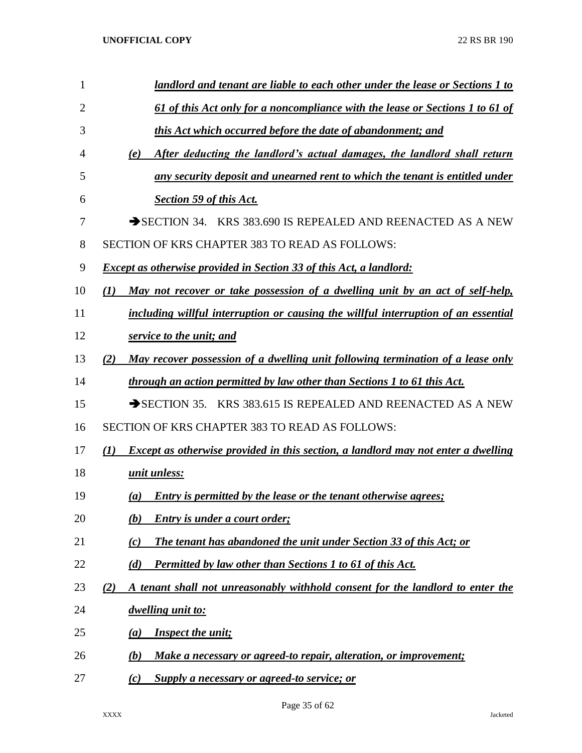| 1  | landlord and tenant are liable to each other under the lease or Sections 1 to            |
|----|------------------------------------------------------------------------------------------|
| 2  | 61 of this Act only for a noncompliance with the lease or Sections 1 to 61 of            |
| 3  | this Act which occurred before the date of abandonment; and                              |
| 4  | After deducting the landlord's actual damages, the landlord shall return<br>(e)          |
| 5  | any security deposit and unearned rent to which the tenant is entitled under             |
| 6  | Section 59 of this Act.                                                                  |
| 7  | SECTION 34. KRS 383.690 IS REPEALED AND REENACTED AS A NEW                               |
| 8  | SECTION OF KRS CHAPTER 383 TO READ AS FOLLOWS:                                           |
| 9  | <b>Except as otherwise provided in Section 33 of this Act, a landlord:</b>               |
| 10 | May not recover or take possession of a dwelling unit by an act of self-help,<br>(I)     |
| 11 | including willful interruption or causing the willful interruption of an essential       |
| 12 | service to the unit; and                                                                 |
| 13 | May recover possession of a dwelling unit following termination of a lease only<br>(2)   |
| 14 | through an action permitted by law other than Sections 1 to 61 this Act.                 |
| 15 | SECTION 35. KRS 383.615 IS REPEALED AND REENACTED AS A NEW                               |
| 16 | SECTION OF KRS CHAPTER 383 TO READ AS FOLLOWS:                                           |
| 17 | Except as otherwise provided in this section, a landlord may not enter a dwelling<br>(1) |
| 18 | unit unless:                                                                             |
| 19 | Entry is permitted by the lease or the tenant otherwise agrees;<br>$\left(a\right)$      |
| 20 | <b>Entry is under a court order;</b><br>(b)                                              |
| 21 | The tenant has abandoned the unit under Section 33 of this Act; or<br>(c)                |
| 22 | Permitted by law other than Sections 1 to 61 of this Act.<br>(d)                         |
| 23 | A tenant shall not unreasonably withhold consent for the landlord to enter the<br>(2)    |
| 24 | dwelling unit to:                                                                        |
| 25 | <b>Inspect the unit;</b><br>$\left(a\right)$                                             |
| 26 | Make a necessary or agreed-to repair, alteration, or improvement;<br>(b)                 |
| 27 | Supply a necessary or agreed-to service; or<br>(c)                                       |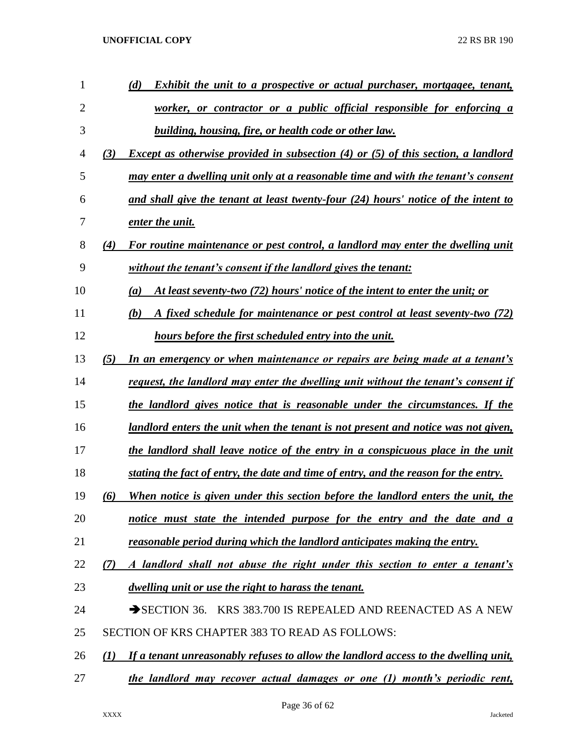| 1  | (d)<br>Exhibit the unit to a prospective or actual purchaser, mortgagee, tenant,                        |
|----|---------------------------------------------------------------------------------------------------------|
| 2  | worker, or contractor or a public official responsible for enforcing a                                  |
| 3  | building, housing, fire, or health code or other law.                                                   |
| 4  | <b>Except as otherwise provided in subsection (4) or (5) of this section, a landlord</b><br>(3)         |
| 5  | may enter a dwelling unit only at a reasonable time and with the tenant's consent                       |
| 6  | and shall give the tenant at least twenty-four (24) hours' notice of the intent to                      |
| 7  | enter the unit.                                                                                         |
| 8  | For routine maintenance or pest control, a landlord may enter the dwelling unit<br>(4)                  |
| 9  | without the tenant's consent if the landlord gives the tenant:                                          |
| 10 | At least seventy-two (72) hours' notice of the intent to enter the unit; or<br>(a)                      |
| 11 | A fixed schedule for maintenance or pest control at least seventy-two (72)<br>(b)                       |
| 12 | <b>hours before the first scheduled entry into the unit.</b>                                            |
| 13 | (5)<br>In an emergency or when maintenance or repairs are being made at a tenant's                      |
| 14 | request, the landlord may enter the dwelling unit without the tenant's consent if                       |
| 15 | <u>the landlord gives notice that is reasonable under the circumstances. If the</u>                     |
| 16 | <u>landlord enters the unit when the tenant is not present and notice was not given,</u>                |
| 17 | the landlord shall leave notice of the entry in a conspicuous place in the unit                         |
| 18 | stating the fact of entry, the date and time of entry, and the reason for the entry.                    |
| 19 | When notice is given under this section before the landlord enters the unit, the<br>(6)                 |
| 20 | notice must state the intended purpose for the entry and the date and a                                 |
| 21 | reasonable period during which the landlord anticipates making the entry.                               |
| 22 | A landlord shall not abuse the right under this section to enter a tenant's<br>(7)                      |
| 23 | <i>dwelling unit or use the right to harass the tenant.</i>                                             |
| 24 | SECTION 36. KRS 383.700 IS REPEALED AND REENACTED AS A NEW                                              |
| 25 | SECTION OF KRS CHAPTER 383 TO READ AS FOLLOWS:                                                          |
| 26 | If a tenant unreasonably refuses to allow the landlord access to the dwelling unit,<br>$\mathcal{L}(I)$ |
| 27 | the landlord may recover actual damages or one (1) month's periodic rent,                               |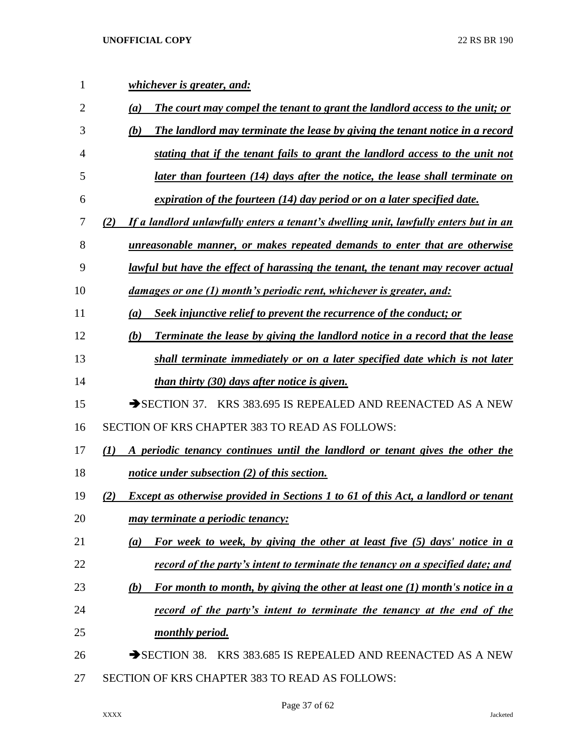| 1  | <i>whichever is greater, and:</i>                                                                 |
|----|---------------------------------------------------------------------------------------------------|
| 2  | The court may compel the tenant to grant the landlord access to the unit; or<br>(a)               |
| 3  | (b)<br>The landlord may terminate the lease by giving the tenant notice in a record               |
| 4  | stating that if the tenant fails to grant the landlord access to the unit not                     |
| 5  | later than fourteen (14) days after the notice, the lease shall terminate on                      |
| 6  | expiration of the fourteen (14) day period or on a later specified date.                          |
| 7  | If a landlord unlawfully enters a tenant's dwelling unit, lawfully enters but in an<br>(2)        |
| 8  | unreasonable manner, or makes repeated demands to enter that are otherwise                        |
| 9  | lawful but have the effect of harassing the tenant, the tenant may recover actual                 |
| 10 | <u>damages or one (1) month's periodic rent, whichever is greater, and:</u>                       |
| 11 | Seek injunctive relief to prevent the recurrence of the conduct; or<br>(a)                        |
| 12 | <b>Terminate the lease by giving the landlord notice in a record that the lease</b><br>(b)        |
| 13 | shall terminate immediately or on a later specified date which is not later                       |
| 14 | <u>than thirty (30) days after notice is given.</u>                                               |
| 15 | $\rightarrow$ SECTION 37. KRS 383.695 IS REPEALED AND REENACTED AS A NEW                          |
| 16 | SECTION OF KRS CHAPTER 383 TO READ AS FOLLOWS:                                                    |
| 17 | $\mathcal{L}(I)$<br>A periodic tenancy continues until the landlord or tenant gives the other the |
| 18 | notice under subsection (2) of this section.                                                      |
| 19 | (2)<br><b>Except as otherwise provided in Sections 1 to 61 of this Act, a landlord or tenant</b>  |
| 20 | <u>may terminate a periodic tenancy:</u>                                                          |
| 21 | For week to week, by giving the other at least five (5) days' notice in a<br>(a)                  |
| 22 | <u>record of the party's intent to terminate the tenancy on a specified date; and</u>             |
| 23 | For month to month, by giving the other at least one (1) month's notice in a<br>(b)               |
| 24 | record of the party's intent to terminate the tenancy at the end of the                           |
| 25 | <u>monthly period.</u>                                                                            |
| 26 | SECTION 38. KRS 383.685 IS REPEALED AND REENACTED AS A NEW                                        |
| 27 | SECTION OF KRS CHAPTER 383 TO READ AS FOLLOWS:                                                    |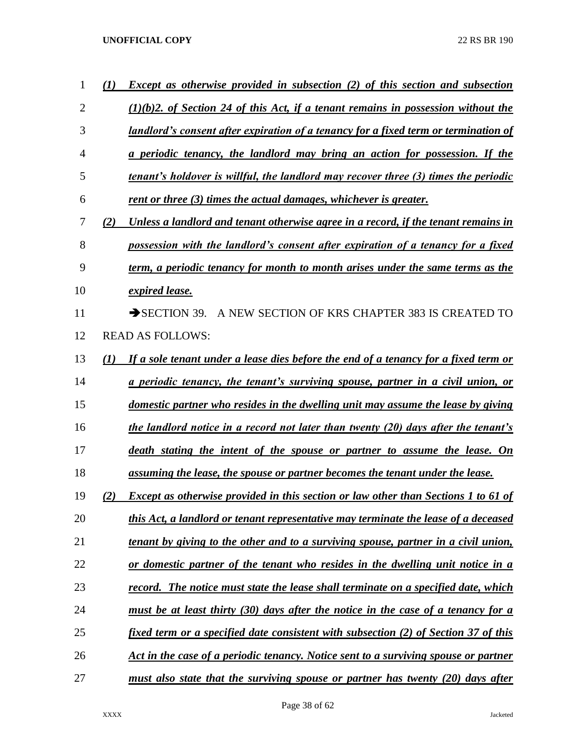| 1              |     | <b>Except as otherwise provided in subsection (2) of this section and subsection</b>       |
|----------------|-----|--------------------------------------------------------------------------------------------|
| $\overline{2}$ |     | $(1)(b)$ 2. of Section 24 of this Act, if a tenant remains in possession without the       |
| 3              |     | landlord's consent after expiration of a tenancy for a fixed term or termination of        |
| 4              |     | a periodic tenancy, the landlord may bring an action for possession. If the                |
| 5              |     | tenant's holdover is willful, the landlord may recover three (3) times the periodic        |
| 6              |     | rent or three (3) times the actual damages, whichever is greater.                          |
| 7              | (2) | Unless a landlord and tenant otherwise agree in a record, if the tenant remains in         |
| 8              |     | possession with the landlord's consent after expiration of a tenancy for a fixed           |
| 9              |     | term, a periodic tenancy for month to month arises under the same terms as the             |
| 10             |     | expired lease.                                                                             |
| 11             |     | $\rightarrow$ SECTION 39.<br>A NEW SECTION OF KRS CHAPTER 383 IS CREATED TO                |
| 12             |     | <b>READ AS FOLLOWS:</b>                                                                    |
| 13             | (1) | If a sole tenant under a lease dies before the end of a tenancy for a fixed term or        |
| 14             |     | a periodic tenancy, the tenant's surviving spouse, partner in a civil union, or            |
| 15             |     | domestic partner who resides in the dwelling unit may assume the lease by giving           |
| 16             |     | the landlord notice in a record not later than twenty (20) days after the tenant's         |
| 17             |     | death stating the intent of the spouse or partner to assume the lease. On                  |
| 18             |     | assuming the lease, the spouse or partner becomes the tenant under the lease.              |
| 19             | (2) | Except as otherwise provided in this section or law other than Sections 1 to 61 of         |
| 20             |     | this Act, a landlord or tenant representative may terminate the lease of a deceased        |
| 21             |     | tenant by giving to the other and to a surviving spouse, partner in a civil union,         |
| 22             |     | or domestic partner of the tenant who resides in the dwelling unit notice in a             |
| 23             |     | <u>record. The notice must state the lease shall terminate on a specified date, which</u>  |
| 24             |     | must be at least thirty (30) days after the notice in the case of a tenancy for a          |
| 25             |     | <u>fixed term or a specified date consistent with subsection (2) of Section 37 of this</u> |
| 26             |     | Act in the case of a periodic tenancy. Notice sent to a surviving spouse or partner        |
| 27             |     | <u>must also state that the surviving spouse or partner has twenty (20) days after</u>     |

Page 38 of 62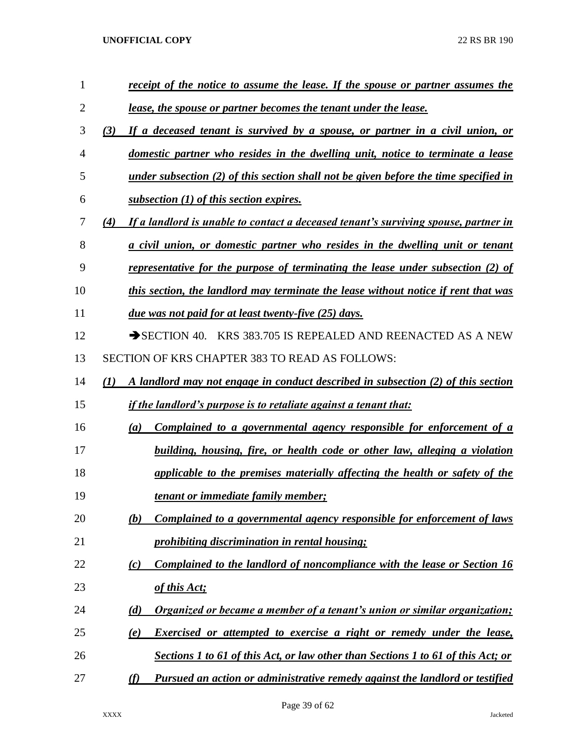| 1              | receipt of the notice to assume the lease. If the spouse or partner assumes the                      |
|----------------|------------------------------------------------------------------------------------------------------|
| $\overline{2}$ | <u>lease, the spouse or partner becomes the tenant under the lease.</u>                              |
| 3              | If a deceased tenant is survived by a spouse, or partner in a civil union, or<br>(3)                 |
| $\overline{4}$ | domestic partner who resides in the dwelling unit, notice to terminate a lease                       |
| 5              | under subsection $(2)$ of this section shall not be given before the time specified in               |
| 6              | subsection $(1)$ of this section expires.                                                            |
| 7              | (4)<br>If a landlord is unable to contact a deceased tenant's surviving spouse, partner in           |
| 8              | a civil union, or domestic partner who resides in the dwelling unit or tenant                        |
| 9              | representative for the purpose of terminating the lease under subsection (2) of                      |
| 10             | this section, the landlord may terminate the lease without notice if rent that was                   |
| 11             | <u>due was not paid for at least twenty-five (25) days.</u>                                          |
| 12             | $\rightarrow$ SECTION 40. KRS 383.705 IS REPEALED AND REENACTED AS A NEW                             |
| 13             | <b>SECTION OF KRS CHAPTER 383 TO READ AS FOLLOWS:</b>                                                |
| 14             | A landlord may not engage in conduct described in subsection (2) of this section<br>$\mathcal{L}(I)$ |
| 15             | <i>if the landlord's purpose is to retaliate against a tenant that:</i>                              |
| 16             | <u>Complained to a governmental agency responsible for enforcement of a</u><br>(a)                   |
| 17             | building, housing, fire, or health code or other law, alleging a violation                           |
| 18             | applicable to the premises materially affecting the health or safety of the                          |
| 19             | <u>tenant or immediate family member;</u>                                                            |
| 20             | <u>Complained to a governmental agency responsible for enforcement of laws</u><br>(b)                |
| 21             | prohibiting discrimination in rental housing;                                                        |
| 22             | Complained to the landlord of noncompliance with the lease or Section 16<br>(c)                      |
| 23             | of this Act;                                                                                         |
| 24             | Organized or became a member of a tenant's union or similar organization;<br>(d)                     |
| 25             | <b>Exercised or attempted to exercise a right or remedy under the lease,</b><br>(e)                  |
| 26             | <b>Sections 1 to 61 of this Act, or law other than Sections 1 to 61 of this Act; or</b>              |
| 27             | Pursued an action or administrative remedy against the landlord or testified<br>(f)                  |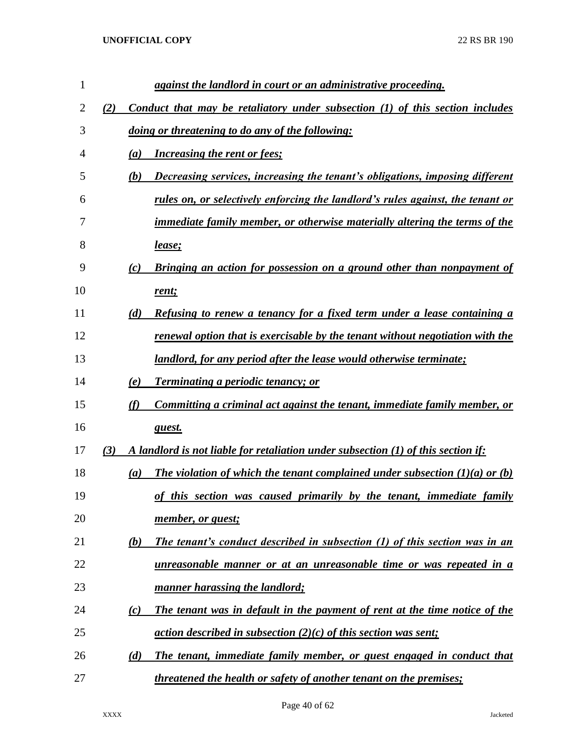| $\mathbf{1}$ |     |     | against the landlord in court or an administrative proceeding.                      |
|--------------|-----|-----|-------------------------------------------------------------------------------------|
| 2            | (2) |     | Conduct that may be retaliatory under subsection (1) of this section includes       |
| 3            |     |     | doing or threatening to do any of the following:                                    |
| 4            |     | (a) | <b>Increasing the rent or fees;</b>                                                 |
| 5            |     | (b) | Decreasing services, increasing the tenant's obligations, imposing different        |
| 6            |     |     | rules on, or selectively enforcing the landlord's rules against, the tenant or      |
| 7            |     |     | <i>immediate family member, or otherwise materially altering the terms of the</i>   |
| 8            |     |     | <u>lease;</u>                                                                       |
| 9            |     | (c) | Bringing an action for possession on a ground other than nonpayment of              |
| 10           |     |     | rent;                                                                               |
| 11           |     | (d) | Refusing to renew a tenancy for a fixed term under a lease containing a             |
| 12           |     |     | renewal option that is exercisable by the tenant without negotiation with the       |
| 13           |     |     | <u>landlord, for any period after the lease would otherwise terminate;</u>          |
| 14           |     | (e) | <b>Terminating a periodic tenancy; or</b>                                           |
| 15           |     | (f) | Committing a criminal act against the tenant, immediate family member, or           |
| 16           |     |     | guest.                                                                              |
| 17           | (3) |     | A landlord is not liable for retaliation under subsection (1) of this section if:   |
| 18           |     | (a) | The violation of which the tenant complained under subsection $(1)(a)$ or $(b)$     |
| 19           |     |     | of this section was caused primarily by the tenant, immediate family                |
| 20           |     |     | member, or guest;                                                                   |
| 21           |     | (b) | The tenant's conduct described in subsection (1) of this section was in an          |
| 22           |     |     | unreasonable manner or at an unreasonable time or was repeated in a                 |
| 23           |     |     | manner harassing the landlord;                                                      |
| 24           |     | (c) | The tenant was in default in the payment of rent at the time notice of the          |
| 25           |     |     | <u>action described in subsection <math>(2)(c)</math> of this section was sent;</u> |
| 26           |     | (d) | The tenant, immediate family member, or guest engaged in conduct that               |
| 27           |     |     | <i>threatened the health or safety of another tenant on the premises;</i>           |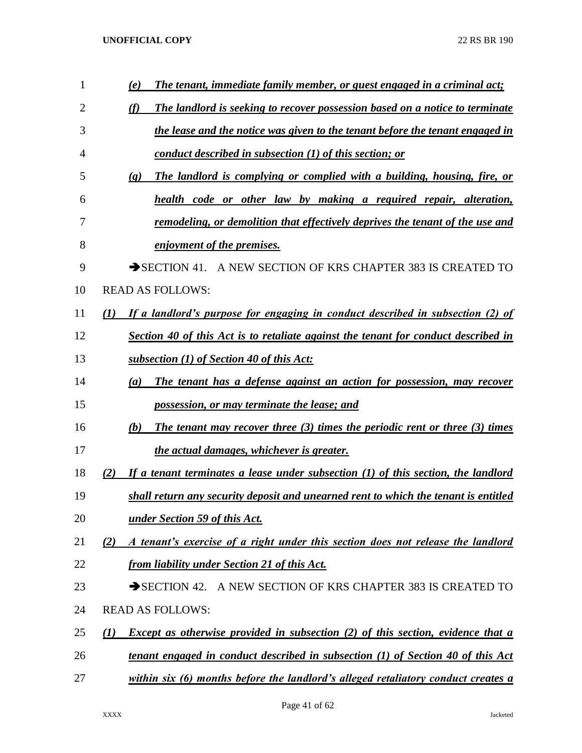| 1  | The tenant, immediate family member, or guest engaged in a criminal act;<br>(e)                            |
|----|------------------------------------------------------------------------------------------------------------|
| 2  | (f)<br>The landlord is seeking to recover possession based on a notice to terminate                        |
| 3  | the lease and the notice was given to the tenant before the tenant engaged in                              |
| 4  | conduct described in subsection (1) of this section; or                                                    |
| 5  | The landlord is complying or complied with a building, housing, fire, or<br>$\left( \mathbf{g} \right)$    |
| 6  | health code or other law by making a required repair, alteration,                                          |
| 7  | <u>remodeling, or demolition that effectively deprives the tenant of the use and</u>                       |
| 8  | enjoyment of the premises.                                                                                 |
| 9  | A NEW SECTION OF KRS CHAPTER 383 IS CREATED TO<br>$\rightarrow$ SECTION 41.                                |
| 10 | <b>READ AS FOLLOWS:</b>                                                                                    |
| 11 | If a landlord's purpose for engaging in conduct described in subsection (2) of<br>(I)                      |
| 12 | Section 40 of this Act is to retaliate against the tenant for conduct described in                         |
| 13 | subsection (1) of Section 40 of this Act:                                                                  |
| 14 | The tenant has a defense against an action for possession, may recover<br>$\left(a\right)$                 |
| 15 | possession, or may terminate the lease; and                                                                |
| 16 | The tenant may recover three (3) times the periodic rent or three (3) times<br>(b)                         |
| 17 | the actual damages, whichever is greater.                                                                  |
| 18 | If a tenant terminates a lease under subsection $(1)$ of this section, the landlord<br>(2)                 |
| 19 | shall return any security deposit and unearned rent to which the tenant is entitled                        |
| 20 | <u>under Section 59 of this Act.</u>                                                                       |
| 21 | A tenant's exercise of a right under this section does not release the landlord<br>(2)                     |
| 22 | from liability under Section 21 of this Act.                                                               |
| 23 | A NEW SECTION OF KRS CHAPTER 383 IS CREATED TO<br>$\rightarrow$ SECTION 42.                                |
| 24 | <b>READ AS FOLLOWS:</b>                                                                                    |
| 25 | <b>Except as otherwise provided in subsection (2) of this section, evidence that a</b><br>$\mathcal{L}(I)$ |
| 26 | <u>tenant engaged in conduct described in subsection (1) of Section 40 of this Act</u>                     |
| 27 | within six (6) months before the landlord's alleged retaliatory conduct creates a                          |

Page 41 of 62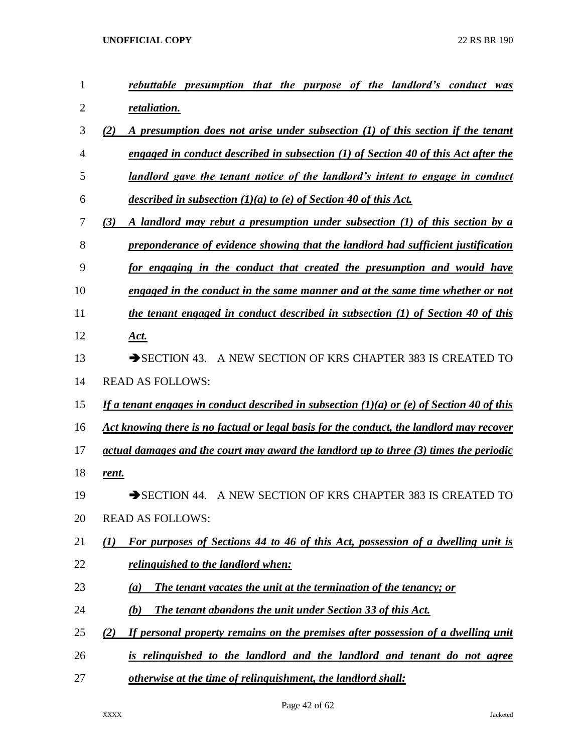| 1              | rebuttable presumption that the purpose of the landlord's conduct was                      |
|----------------|--------------------------------------------------------------------------------------------|
| $\overline{2}$ | retaliation.                                                                               |
| 3              | (2)<br>A presumption does not arise under subsection (1) of this section if the tenant     |
| $\overline{4}$ | engaged in conduct described in subsection (1) of Section 40 of this Act after the         |
| 5              | landlord gave the tenant notice of the landlord's intent to engage in conduct              |
| 6              | described in subsection $(1)(a)$ to (e) of Section 40 of this Act.                         |
| 7              | (3)<br>A landlord may rebut a presumption under subsection (1) of this section by a        |
| 8              | preponderance of evidence showing that the landlord had sufficient justification           |
| 9              | for engaging in the conduct that created the presumption and would have                    |
| 10             | engaged in the conduct in the same manner and at the same time whether or not              |
| 11             | the tenant engaged in conduct described in subsection (1) of Section 40 of this            |
| 12             | Act.                                                                                       |
| 13             | $\rightarrow$ SECTION 43.<br>A NEW SECTION OF KRS CHAPTER 383 IS CREATED TO                |
| 14             | <b>READ AS FOLLOWS:</b>                                                                    |
| 15             | If a tenant engages in conduct described in subsection (1)(a) or (e) of Section 40 of this |
| 16             | Act knowing there is no factual or legal basis for the conduct, the landlord may recover   |
| 17             | actual damages and the court may award the landlord up to three (3) times the periodic     |
| 18             | <u>rent.</u>                                                                               |
| 19             | A NEW SECTION OF KRS CHAPTER 383 IS CREATED TO<br>$\rightarrow$ SECTION 44.                |
| 20             | <b>READ AS FOLLOWS:</b>                                                                    |
| 21             | For purposes of Sections 44 to 46 of this Act, possession of a dwelling unit is<br>(I)     |
| 22             | <i>relinguished to the landlord when:</i>                                                  |
| 23             | The tenant vacates the unit at the termination of the tenancy; or<br>(a)                   |
| 24             | <b>The tenant abandons the unit under Section 33 of this Act.</b><br>(b)                   |
| 25             | If personal property remains on the premises after possession of a dwelling unit<br>(2)    |
| 26             | is relinguished to the landlord and the landlord and tenant do not agree                   |
| 27             | otherwise at the time of relinguishment, the landlord shall:                               |

Page 42 of 62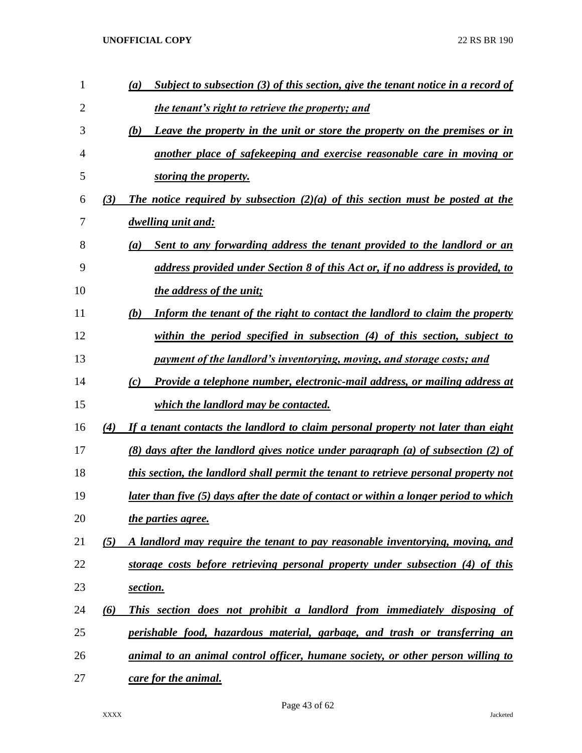| 1  |     | $\left(a\right)$ | Subject to subsection (3) of this section, give the tenant notice in a record of             |
|----|-----|------------------|----------------------------------------------------------------------------------------------|
| 2  |     |                  | the tenant's right to retrieve the property; and                                             |
| 3  |     | (b)              | Leave the property in the unit or store the property on the premises or in                   |
| 4  |     |                  | another place of safekeeping and exercise reasonable care in moving or                       |
| 5  |     |                  | storing the property.                                                                        |
| 6  | (3) |                  | The notice required by subsection $(2)(a)$ of this section must be posted at the             |
| 7  |     |                  | dwelling unit and:                                                                           |
| 8  |     | $\left(a\right)$ | Sent to any forwarding address the tenant provided to the landlord or an                     |
| 9  |     |                  | address provided under Section 8 of this Act or, if no address is provided, to               |
| 10 |     |                  | the address of the unit;                                                                     |
| 11 |     | (b)              | Inform the tenant of the right to contact the landlord to claim the property                 |
| 12 |     |                  | within the period specified in subsection $(4)$ of this section, subject to                  |
| 13 |     |                  | payment of the landlord's inventorying, moving, and storage costs; and                       |
| 14 |     | (c)              | Provide a telephone number, electronic-mail address, or mailing address at                   |
| 15 |     |                  | which the landlord may be contacted.                                                         |
| 16 | (4) |                  | If a tenant contacts the landlord to claim personal property not later than eight            |
| 17 |     |                  | (8) days after the landlord gives notice under paragraph (a) of subsection (2) of            |
| 18 |     |                  | this section, the landlord shall permit the tenant to retrieve personal property not         |
| 19 |     |                  | <u>later than five (5) days after the date of contact or within a longer period to which</u> |
| 20 |     |                  | the parties agree.                                                                           |
| 21 | (5) |                  | A landlord may require the tenant to pay reasonable inventorying, moving, and                |
| 22 |     |                  | storage costs before retrieving personal property under subsection (4) of this               |
| 23 |     | section.         |                                                                                              |
| 24 | (6) |                  | This section does not prohibit a landlord from immediately disposing of                      |
| 25 |     |                  | perishable food, hazardous material, garbage, and trash or transferring an                   |
| 26 |     |                  | animal to an animal control officer, humane society, or other person willing to              |
| 27 |     |                  | care for the animal.                                                                         |

Page 43 of 62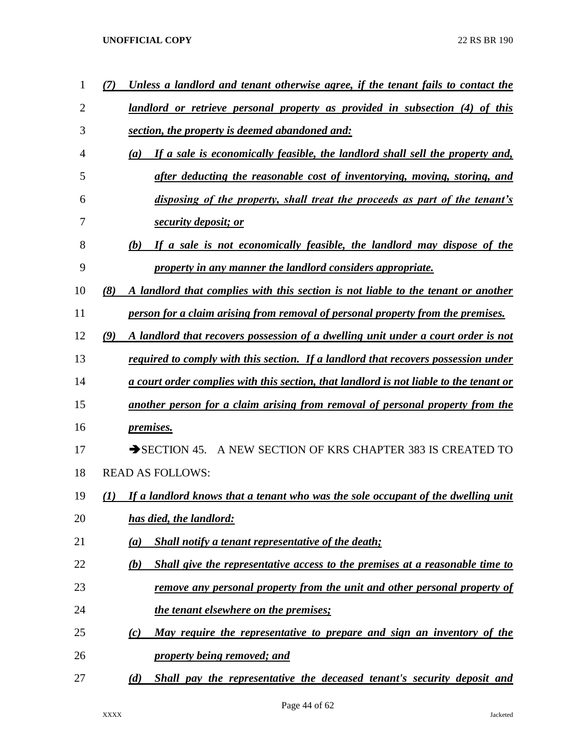| 1              | Unless a landlord and tenant otherwise agree, if the tenant fails to contact the         |
|----------------|------------------------------------------------------------------------------------------|
| $\overline{2}$ | landlord or retrieve personal property as provided in subsection (4) of this             |
| 3              | section, the property is deemed abandoned and:                                           |
| $\overline{4}$ | If a sale is economically feasible, the landlord shall sell the property and,<br>(a)     |
| 5              | after deducting the reasonable cost of inventorying, moving, storing, and                |
| 6              | disposing of the property, shall treat the proceeds as part of the tenant's              |
| 7              | security deposit; or                                                                     |
| 8              | If a sale is not economically feasible, the landlord may dispose of the<br>(b)           |
| 9              | property in any manner the landlord considers appropriate.                               |
| 10             | (8)<br>A landlord that complies with this section is not liable to the tenant or another |
| 11             | person for a claim arising from removal of personal property from the premises.          |
| 12             | (9)<br>A landlord that recovers possession of a dwelling unit under a court order is not |
| 13             | required to comply with this section. If a landlord that recovers possession under       |
| 14             | a court order complies with this section, that landlord is not liable to the tenant or   |
| 15             | another person for a claim arising from removal of personal property from the            |
| 16             | <i>premises.</i>                                                                         |
| 17             | A NEW SECTION OF KRS CHAPTER 383 IS CREATED TO<br>$\rightarrow$ SECTION 45.              |
| 18             | <b>READ AS FOLLOWS:</b>                                                                  |
| 19             | If a landlord knows that a tenant who was the sole occupant of the dwelling unit<br>(1)  |
| 20             | has died, the landlord:                                                                  |
| 21             | <b>Shall notify a tenant representative of the death;</b><br>(a)                         |
| 22             | Shall give the representative access to the premises at a reasonable time to<br>(b)      |
| 23             | <u>remove any personal property from the unit and other personal property of</u>         |
| 24             | the tenant elsewhere on the premises;                                                    |
| 25             | <u>May require the representative to prepare and sign an inventory of the</u><br>(c)     |
| 26             | property being removed; and                                                              |
| 27             | (d)<br>Shall pay the representative the deceased tenant's security deposit and           |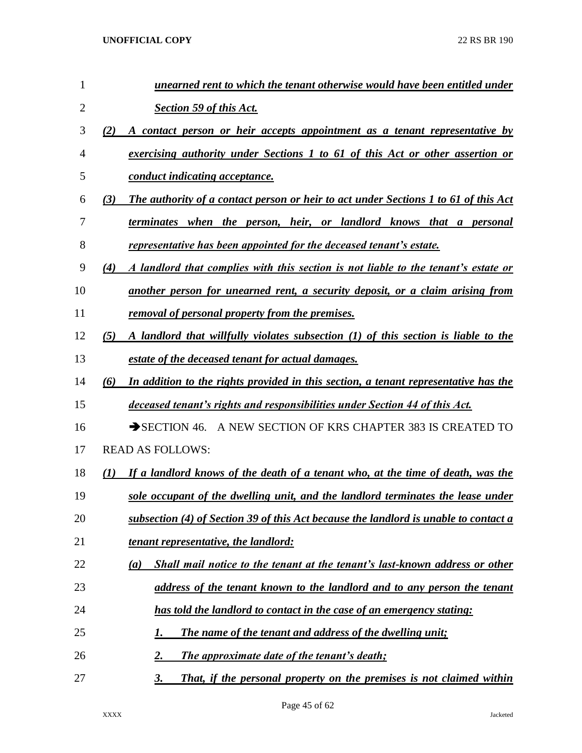| 1  | unearned rent to which the tenant otherwise would have been entitled under                        |
|----|---------------------------------------------------------------------------------------------------|
| 2  | Section 59 of this Act.                                                                           |
| 3  | A contact person or heir accepts appointment as a tenant representative by<br>(2)                 |
| 4  | exercising authority under Sections 1 to 61 of this Act or other assertion or                     |
| 5  | conduct indicating acceptance.                                                                    |
| 6  | <b>The authority of a contact person or heir to act under Sections 1 to 61 of this Act</b><br>(3) |
| 7  | terminates when the person, heir, or landlord knows that a personal                               |
| 8  | representative has been appointed for the deceased tenant's estate.                               |
| 9  | A landlord that complies with this section is not liable to the tenant's estate or<br>(4)         |
| 10 | another person for unearned rent, a security deposit, or a claim arising from                     |
| 11 | removal of personal property from the premises.                                                   |
| 12 | A landlord that willfully violates subsection (1) of this section is liable to the<br>(5)         |
| 13 | estate of the deceased tenant for actual damages.                                                 |
| 14 | In addition to the rights provided in this section, a tenant representative has the<br>(6)        |
| 15 | deceased tenant's rights and responsibilities under Section 44 of this Act.                       |
| 16 | SECTION 46. A NEW SECTION OF KRS CHAPTER 383 IS CREATED TO                                        |
| 17 | <b>READ AS FOLLOWS:</b>                                                                           |
| 18 | If a landlord knows of the death of a tenant who, at the time of death, was the<br>(I)            |
| 19 | sole occupant of the dwelling unit, and the landlord terminates the lease under                   |
| 20 | subsection (4) of Section 39 of this Act because the landlord is unable to contact a              |
| 21 | <i>tenant representative, the landlord:</i>                                                       |
| 22 | Shall mail notice to the tenant at the tenant's last-known address or other<br>(a)                |
| 23 | address of the tenant known to the landlord and to any person the tenant                          |
| 24 | has told the landlord to contact in the case of an emergency stating:                             |
| 25 | The name of the tenant and address of the dwelling unit;<br>I.                                    |
| 26 | The approximate date of the tenant's death;<br>2.                                                 |
| 27 | That, if the personal property on the premises is not claimed within<br>3.                        |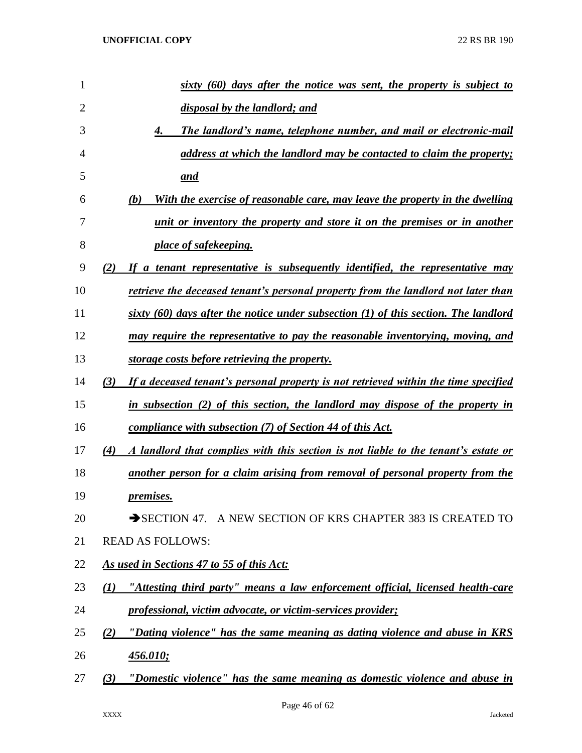| 1              | $s$ ixty $(60)$ days after the notice was sent, the property is subject to                 |
|----------------|--------------------------------------------------------------------------------------------|
| $\overline{2}$ | disposal by the landlord; and                                                              |
| 3              | The landlord's name, telephone number, and mail or electronic-mail<br>4.                   |
| 4              | address at which the landlord may be contacted to claim the property;                      |
| 5              | <u>and</u>                                                                                 |
| 6              | With the exercise of reasonable care, may leave the property in the dwelling<br>(b)        |
| 7              | unit or inventory the property and store it on the premises or in another                  |
| 8              | place of safekeeping.                                                                      |
| 9              | If a tenant representative is subsequently identified, the representative may<br>(2)       |
| 10             | retrieve the deceased tenant's personal property from the landlord not later than          |
| 11             | sixty $(60)$ days after the notice under subsection $(1)$ of this section. The landlord    |
| 12             | may require the representative to pay the reasonable inventorying, moving, and             |
| 13             | storage costs before retrieving the property.                                              |
| 14             | (3)<br>If a deceased tenant's personal property is not retrieved within the time specified |
| 15             | in subsection (2) of this section, the landlord may dispose of the property in             |
| 16             | compliance with subsection (7) of Section 44 of this Act.                                  |
| 17             | A landlord that complies with this section is not liable to the tenant's estate or<br>(4)  |
| 18             | another person for a claim arising from removal of personal property from the              |
| 19             | <i>premises.</i>                                                                           |
| 20             | SECTION 47. A NEW SECTION OF KRS CHAPTER 383 IS CREATED TO                                 |
| 21             | <b>READ AS FOLLOWS:</b>                                                                    |
| 22             | As used in Sections 47 to 55 of this Act:                                                  |
| 23             | "Attesting third party" means a law enforcement official, licensed health-care<br>(1)      |
| 24             | professional, victim advocate, or victim-services provider;                                |
| 25             | "Dating violence" has the same meaning as dating violence and abuse in KRS<br>(2)          |
| 26             | <u>456.010;</u>                                                                            |
| 27             | "Domestic violence" has the same meaning as domestic violence and abuse in<br>(3)          |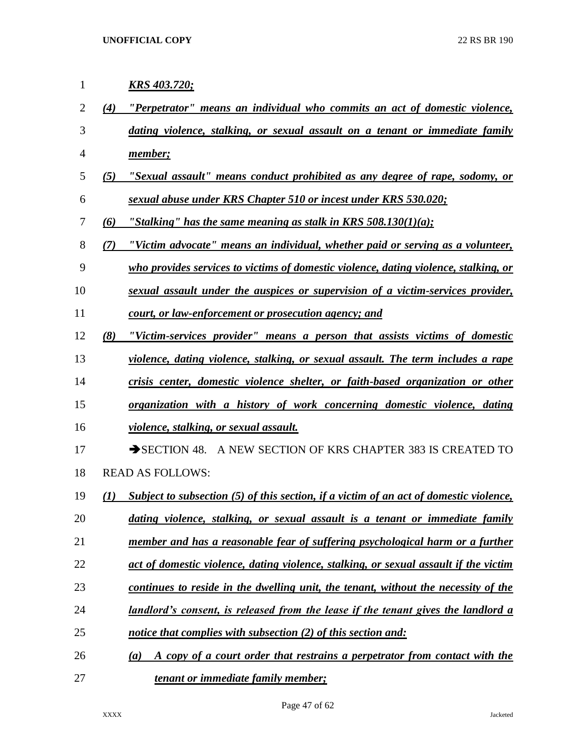| 1              |     | <u>KRS 403.720;</u>                                                                            |
|----------------|-----|------------------------------------------------------------------------------------------------|
| $\overline{2}$ | (4) | "Perpetrator" means an individual who commits an act of domestic violence,                     |
| 3              |     | dating violence, stalking, or sexual assault on a tenant or immediate family                   |
| 4              |     | member;                                                                                        |
| 5              | (5) | "Sexual assault" means conduct prohibited as any degree of rape, sodomy, or                    |
| 6              |     | sexual abuse under KRS Chapter 510 or incest under KRS 530.020;                                |
| 7              | (6) | "Stalking" has the same meaning as stalk in KRS $508.130(1)(a)$ ;                              |
| 8              | (7) | "Victim advocate" means an individual, whether paid or serving as a volunteer,                 |
| 9              |     | who provides services to victims of domestic violence, dating violence, stalking, or           |
| 10             |     | sexual assault under the auspices or supervision of a victim-services provider,                |
| 11             |     | court, or law-enforcement or prosecution agency; and                                           |
| 12             | (8) | "Victim-services provider" means a person that assists victims of domestic                     |
| 13             |     | violence, dating violence, stalking, or sexual assault. The term includes a rape               |
| 14             |     | crisis center, domestic violence shelter, or faith-based organization or other                 |
| 15             |     | organization with a history of work concerning domestic violence, dating                       |
| 16             |     | violence, stalking, or sexual assault.                                                         |
| 17             |     | SECTION 48. A NEW SECTION OF KRS CHAPTER 383 IS CREATED TO                                     |
| 18             |     | <b>READ AS FOLLOWS:</b>                                                                        |
| 19             | (I) | Subject to subsection (5) of this section, if a victim of an act of domestic violence,         |
| 20             |     | dating violence, stalking, or sexual assault is a tenant or immediate family                   |
| 21             |     | member and has a reasonable fear of suffering psychological harm or a further                  |
| 22             |     | act of domestic violence, dating violence, stalking, or sexual assault if the victim           |
| 23             |     | continues to reside in the dwelling unit, the tenant, without the necessity of the             |
| 24             |     | <u>landlord's consent, is released from the lease if the tenant gives the landlord a</u>       |
| 25             |     | notice that complies with subsection (2) of this section and:                                  |
| 26             |     | A copy of a court order that restrains a perpetrator from contact with the<br>$\left(a\right)$ |
| 27             |     | tenant or immediate family member;                                                             |

Page 47 of 62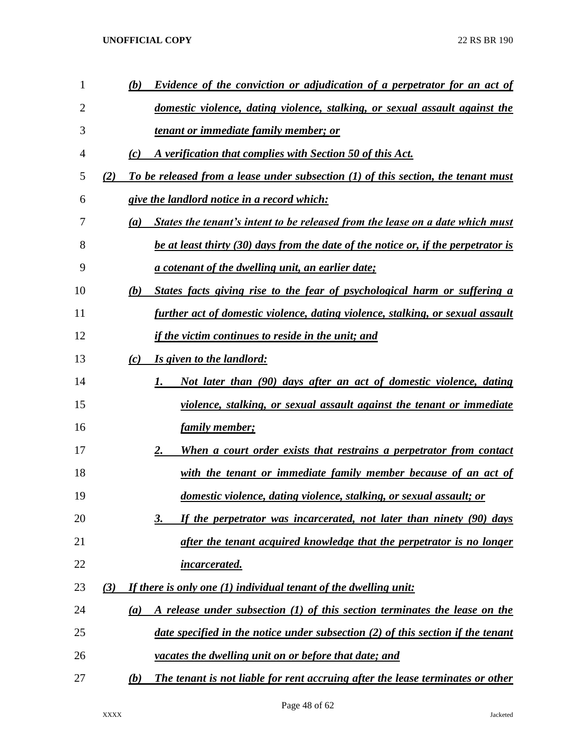| $\mathbf{1}$ |     | Evidence of the conviction or adjudication of a perpetrator for an act of<br>(b)      |
|--------------|-----|---------------------------------------------------------------------------------------|
| 2            |     | domestic violence, dating violence, stalking, or sexual assault against the           |
| 3            |     | <u>tenant or immediate family member; or</u>                                          |
| 4            |     | A verification that complies with Section 50 of this Act.<br>(c)                      |
| 5            | (2) | To be released from a lease under subsection (1) of this section, the tenant must     |
| 6            |     | give the landlord notice in a record which:                                           |
| 7            |     | States the tenant's intent to be released from the lease on a date which must<br>(a)  |
| 8            |     | be at least thirty (30) days from the date of the notice or, if the perpetrator is    |
| 9            |     | a cotenant of the dwelling unit, an earlier date;                                     |
| 10           |     | States facts giving rise to the fear of psychological harm or suffering a<br>(b)      |
| 11           |     | further act of domestic violence, dating violence, stalking, or sexual assault        |
| 12           |     | <u>if the victim continues to reside in the unit; and</u>                             |
| 13           |     | Is given to the landlord:<br>(c)                                                      |
| 14           |     | Not later than (90) days after an act of domestic violence, dating<br>1.              |
| 15           |     | violence, stalking, or sexual assault against the tenant or immediate                 |
| 16           |     | <u>family member;</u>                                                                 |
| 17           |     | When a court order exists that restrains a perpetrator from contact<br>2.             |
| 18           |     | <u>with the tenant or immediate family member because of an act of</u>                |
| 19           |     | domestic violence, dating violence, stalking, or sexual assault; or                   |
| 20           |     | If the perpetrator was incarcerated, not later than ninety (90) days<br>3.            |
| 21           |     | after the tenant acquired knowledge that the perpetrator is no longer                 |
| 22           |     | incarcerated.                                                                         |
| 23           | (3) | If there is only one (1) individual tenant of the dwelling unit:                      |
| 24           |     | A release under subsection (1) of this section terminates the lease on the<br>(a)     |
| 25           |     | date specified in the notice under subsection (2) of this section if the tenant       |
| 26           |     | vacates the dwelling unit on or before that date; and                                 |
| 27           |     | The tenant is not liable for rent accruing after the lease terminates or other<br>(b) |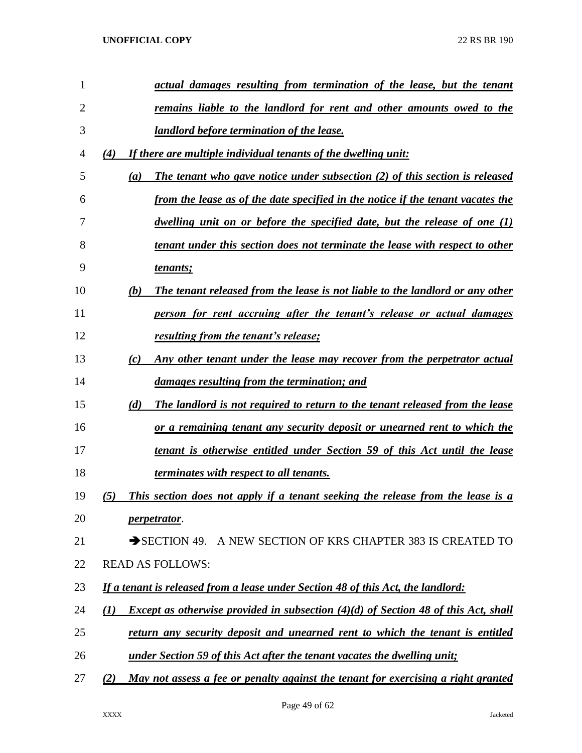| 1              | actual damages resulting from termination of the lease, but the tenant                                        |
|----------------|---------------------------------------------------------------------------------------------------------------|
| $\overline{2}$ | remains liable to the landlord for rent and other amounts owed to the                                         |
| 3              | landlord before termination of the lease.                                                                     |
| 4              | If there are multiple individual tenants of the dwelling unit:<br>(4)                                         |
| 5              | The tenant who gave notice under subsection $(2)$ of this section is released<br>(a)                          |
| 6              | from the lease as of the date specified in the notice if the tenant vacates the                               |
| 7              | dwelling unit on or before the specified date, but the release of one $(I)$                                   |
| 8              | tenant under this section does not terminate the lease with respect to other                                  |
| 9              | tenants;                                                                                                      |
| 10             | The tenant released from the lease is not liable to the landlord or any other<br>(b)                          |
| 11             | person for rent accruing after the tenant's release or actual damages                                         |
| 12             | resulting from the tenant's release;                                                                          |
| 13             | Any other tenant under the lease may recover from the perpetrator actual<br>(c)                               |
| 14             | damages resulting from the termination; and                                                                   |
| 15             | (d)<br>The landlord is not required to return to the tenant released from the lease                           |
| 16             | or a remaining tenant any security deposit or unearned rent to which the                                      |
| 17             | tenant is otherwise entitled under Section 59 of this Act until the lease                                     |
| 18             | <i>terminates with respect to all tenants.</i>                                                                |
| 19             | (5)<br>This section does not apply if a tenant seeking the release from the lease is a                        |
| 20             | <i>perpetrator.</i>                                                                                           |
| 21             | SECTION 49. A NEW SECTION OF KRS CHAPTER 383 IS CREATED TO                                                    |
| 22             | <b>READ AS FOLLOWS:</b>                                                                                       |
| 23             | If a tenant is released from a lease under Section 48 of this Act, the landlord:                              |
| 24             | <i>Except as otherwise provided in subsection <math>(4)(d)</math> of Section 48 of this Act, shall</i><br>(I) |
| 25             | return any security deposit and unearned rent to which the tenant is entitled                                 |
| 26             | under Section 59 of this Act after the tenant vacates the dwelling unit;                                      |
| 27             | May not assess a fee or penalty against the tenant for exercising a right granted<br>(2)                      |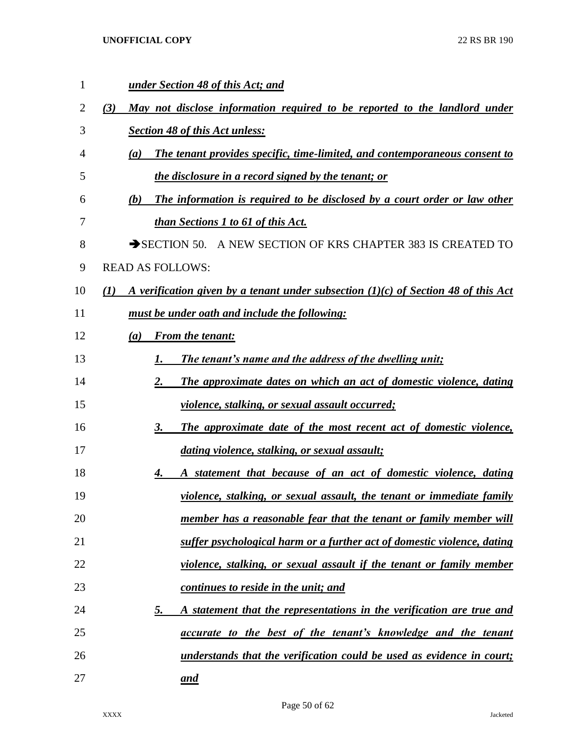| 1              | under Section 48 of this Act; and                                                                        |
|----------------|----------------------------------------------------------------------------------------------------------|
| $\overline{2}$ | (3)<br><u>May not disclose information required to be reported to the landlord under</u>                 |
| 3              | <b>Section 48 of this Act unless:</b>                                                                    |
| 4              | <b>The tenant provides specific, time-limited, and contemporaneous consent to</b><br>(a)                 |
| 5              | the disclosure in a record signed by the tenant; or                                                      |
| 6              | The information is required to be disclosed by a court order or law other<br>(b)                         |
| 7              | <b>than Sections 1 to 61 of this Act.</b>                                                                |
| 8              | SECTION 50. A NEW SECTION OF KRS CHAPTER 383 IS CREATED TO                                               |
| 9              | <b>READ AS FOLLOWS:</b>                                                                                  |
| 10             | $\mathcal{L}(I)$<br>A verification given by a tenant under subsection $(1)(c)$ of Section 48 of this Act |
| 11             | must be under oath and include the following:                                                            |
| 12             | <b>From the tenant:</b><br>(a)                                                                           |
| 13             | The tenant's name and the address of the dwelling unit;                                                  |
| 14             | 2.<br>The approximate dates on which an act of domestic violence, dating                                 |
| 15             | <u>violence, stalking, or sexual assault occurred;</u>                                                   |
| 16             | The approximate date of the most recent act of domestic violence,<br>3.                                  |
| 17             | dating violence, stalking, or sexual assault;                                                            |
| 18             | A statement that because of an act of domestic violence, dating<br>4.                                    |
| 19             | <u>violence, stalking, or sexual assault, the tenant or immediate family</u>                             |
| 20             | <u>member has a reasonable fear that the tenant or family member will</u>                                |
| 21             | suffer psychological harm or a further act of domestic violence, dating                                  |
| 22             | <u>violence, stalking, or sexual assault if the tenant or family member</u>                              |
| 23             | continues to reside in the unit; and                                                                     |
| 24             | <u>5.</u><br>A statement that the representations in the verification are true and                       |
| 25             | <i>accurate to the best of the tenant's knowledge and the tenant</i>                                     |
| 26             | understands that the verification could be used as evidence in court;                                    |
| 27             | and                                                                                                      |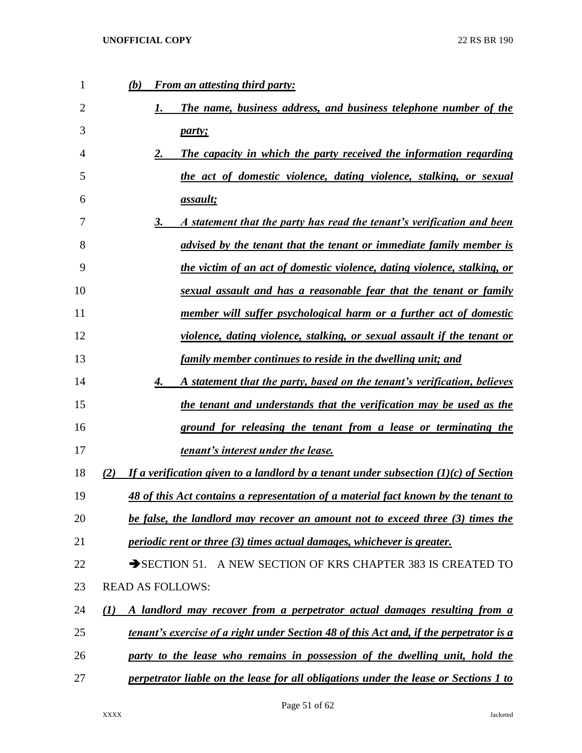| 1              | <b>From an attesting third party:</b><br>(b)                                                  |
|----------------|-----------------------------------------------------------------------------------------------|
| $\overline{2}$ | The name, business address, and business telephone number of the                              |
| 3              | party;                                                                                        |
| 4              | 2.<br>The capacity in which the party received the information regarding                      |
| 5              | the act of domestic violence, dating violence, stalking, or sexual                            |
| 6              | <i>assault;</i>                                                                               |
| 7              | 3.<br>A statement that the party has read the tenant's verification and been                  |
| 8              | advised by the tenant that the tenant or immediate family member is                           |
| 9              | the victim of an act of domestic violence, dating violence, stalking, or                      |
| 10             | sexual assault and has a reasonable fear that the tenant or family                            |
| 11             | member will suffer psychological harm or a further act of domestic                            |
| 12             | violence, dating violence, stalking, or sexual assault if the tenant or                       |
| 13             | family member continues to reside in the dwelling unit; and                                   |
| 14             | 4.<br>A statement that the party, based on the tenant's verification, believes                |
| 15             | the tenant and understands that the verification may be used as the                           |
| 16             | ground for releasing the tenant from a lease or terminating the                               |
| 17             | tenant's interest under the lease.                                                            |
| 18             | If a verification given to a landlord by a tenant under subsection $(1)(c)$ of Section<br>(2) |
| 19             | 48 of this Act contains a representation of a material fact known by the tenant to            |
| 20             | be false, the landlord may recover an amount not to exceed three (3) times the                |
| 21             | periodic rent or three (3) times actual damages, whichever is greater.                        |
| 22             | SECTION 51. A NEW SECTION OF KRS CHAPTER 383 IS CREATED TO                                    |
| 23             | <b>READ AS FOLLOWS:</b>                                                                       |
| 24             | A landlord may recover from a perpetrator actual damages resulting from a<br>(I)              |
| 25             | tenant's exercise of a right under Section 48 of this Act and, if the perpetrator is a        |
| 26             | party to the lease who remains in possession of the dwelling unit, hold the                   |
| 27             | perpetrator liable on the lease for all obligations under the lease or Sections 1 to          |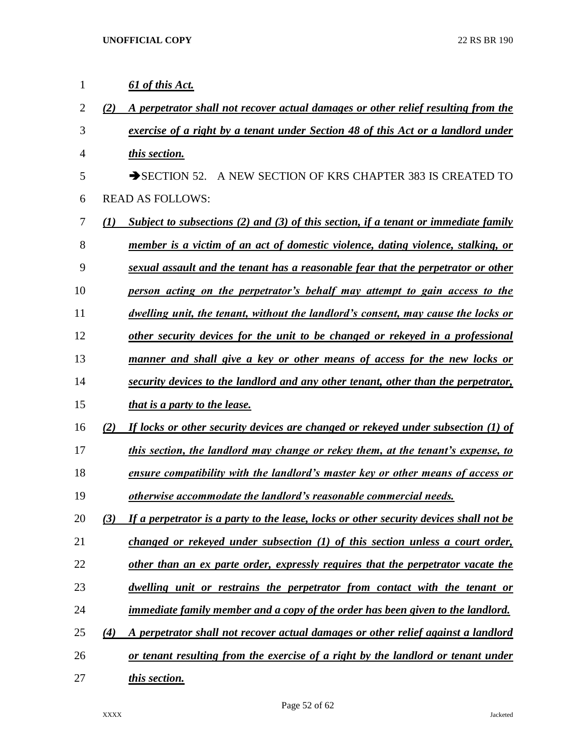| 1              |                  | 61 of this Act.                                                                        |
|----------------|------------------|----------------------------------------------------------------------------------------|
| $\overline{2}$ | (2)              | A perpetrator shall not recover actual damages or other relief resulting from the      |
| 3              |                  | exercise of a right by a tenant under Section 48 of this Act or a landlord under       |
| $\overline{4}$ |                  | this section.                                                                          |
| 5              |                  | $\rightarrow$ SECTION 52.<br>A NEW SECTION OF KRS CHAPTER 383 IS CREATED TO            |
| 6              |                  | <b>READ AS FOLLOWS:</b>                                                                |
| 7              | $\mathcal{L}(I)$ | Subject to subsections (2) and (3) of this section, if a tenant or immediate family    |
| 8              |                  | member is a victim of an act of domestic violence, dating violence, stalking, or       |
| 9              |                  | sexual assault and the tenant has a reasonable fear that the perpetrator or other      |
| 10             |                  | person acting on the perpetrator's behalf may attempt to gain access to the            |
| 11             |                  | dwelling unit, the tenant, without the landlord's consent, may cause the locks or      |
| 12             |                  | other security devices for the unit to be changed or rekeyed in a professional         |
| 13             |                  | manner and shall give a key or other means of access for the new locks or              |
| 14             |                  | security devices to the landlord and any other tenant, other than the perpetrator,     |
| 15             |                  | <i>that is a party to the lease.</i>                                                   |
| 16             | (2)              | If locks or other security devices are changed or rekeyed under subsection (1) of      |
| 17             |                  | this section, the landlord may change or rekey them, at the tenant's expense, to       |
| 18             |                  | ensure compatibility with the landlord's master key or other means of access or        |
| 19             |                  | otherwise accommodate the landlord's reasonable commercial needs.                      |
| 20             | (3)              | If a perpetrator is a party to the lease, locks or other security devices shall not be |
| 21             |                  | changed or rekeyed under subsection (1) of this section unless a court order,          |
| 22             |                  | other than an ex parte order, expressly requires that the perpetrator vacate the       |
| 23             |                  | dwelling unit or restrains the perpetrator from contact with the tenant or             |
| 24             |                  | <u>immediate family member and a copy of the order has been given to the landlord.</u> |
| 25             | (4)              | A perpetrator shall not recover actual damages or other relief against a landlord      |
| 26             |                  | or tenant resulting from the exercise of a right by the landlord or tenant under       |
| 27             |                  | this section.                                                                          |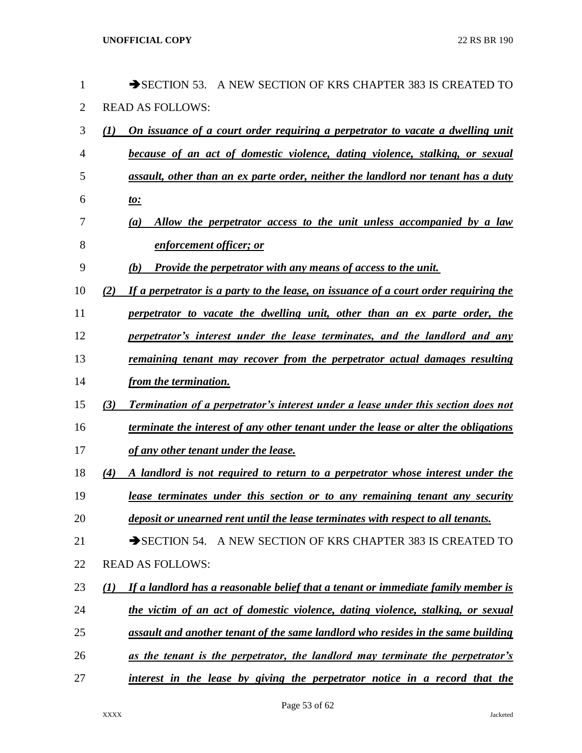| 1              |                  | $\rightarrow$ SECTION 53.<br>A NEW SECTION OF KRS CHAPTER 383 IS CREATED<br>TO           |
|----------------|------------------|------------------------------------------------------------------------------------------|
| $\overline{2}$ |                  | <b>READ AS FOLLOWS:</b>                                                                  |
| 3              | $\mathcal{L}(I)$ | <u>On issuance of a court order requiring a perpetrator to vacate a dwelling unit</u>    |
| 4              |                  | because of an act of domestic violence, dating violence, stalking, or sexual             |
| 5              |                  | assault, other than an ex parte order, neither the landlord nor tenant has a duty        |
| 6              |                  | <u>to:</u>                                                                               |
| 7              |                  | Allow the perpetrator access to the unit unless accompanied by a law<br>(a)              |
| 8              |                  | enforcement officer; or                                                                  |
| 9              |                  | <b>Provide the perpetrator with any means of access to the unit.</b><br>(b)              |
| 10             | (2)              | If a perpetrator is a party to the lease, on issuance of a court order requiring the     |
| 11             |                  | perpetrator to vacate the dwelling unit, other than an ex parte order, the               |
| 12             |                  | perpetrator's interest under the lease terminates, and the landlord and any              |
| 13             |                  | remaining tenant may recover from the perpetrator actual damages resulting               |
| 14             |                  | from the termination.                                                                    |
| 15             | (3)              | <b>Termination of a perpetrator's interest under a lease under this section does not</b> |
| 16             |                  | terminate the interest of any other tenant under the lease or alter the obligations      |
| 17             |                  | of any other tenant under the lease.                                                     |
| 18             | (4)              | A landlord is not required to return to a perpetrator whose interest under the           |
| 19             |                  | lease terminates under this section or to any remaining tenant any security              |
| 20             |                  | deposit or unearned rent until the lease terminates with respect to all tenants.         |
| 21             |                  | SECTION 54. A NEW SECTION OF KRS CHAPTER 383 IS CREATED TO                               |
| 22             |                  | <b>READ AS FOLLOWS:</b>                                                                  |
| 23             | $\bf(1)$         | If a landlord has a reasonable belief that a tenant or immediate family member is        |
| 24             |                  | the victim of an act of domestic violence, dating violence, stalking, or sexual          |
| 25             |                  | assault and another tenant of the same landlord who resides in the same building         |
| 26             |                  | as the tenant is the perpetrator, the landlord may terminate the perpetrator's           |
| 27             |                  | interest in the lease by giving the perpetrator notice in a record that the              |
|                |                  |                                                                                          |

Page 53 of 62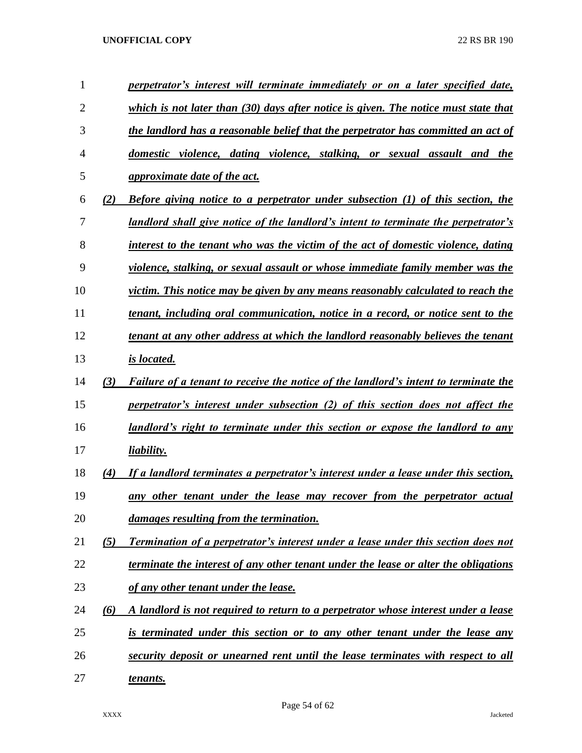| $\mathbf{1}$   |     | perpetrator's interest will terminate immediately or on a later specified date,            |
|----------------|-----|--------------------------------------------------------------------------------------------|
| $\overline{2}$ |     | which is not later than $(30)$ days after notice is given. The notice must state that      |
| 3              |     | the landlord has a reasonable belief that the perpetrator has committed an act of          |
| 4              |     | domestic violence, dating violence, stalking, or sexual assault and the                    |
| 5              |     | <i>approximate date of the act.</i>                                                        |
| 6              | (2) | <b>Before giving notice to a perpetrator under subsection (1) of this section, the</b>     |
| 7              |     | landlord shall give notice of the landlord's intent to terminate the perpetrator's         |
| 8              |     | interest to the tenant who was the victim of the act of domestic violence, dating          |
| 9              |     | violence, stalking, or sexual assault or whose immediate family member was the             |
| 10             |     | victim. This notice may be given by any means reasonably calculated to reach the           |
| 11             |     | tenant, including oral communication, notice in a record, or notice sent to the            |
| 12             |     | tenant at any other address at which the landlord reasonably believes the tenant           |
| 13             |     | <i>is located.</i>                                                                         |
| 14             | (3) | <b>Failure of a tenant to receive the notice of the landlord's intent to terminate the</b> |
| 15             |     | perpetrator's interest under subsection (2) of this section does not affect the            |
| 16             |     | landlord's right to terminate under this section or expose the landlord to any             |
| 17             |     | liability.                                                                                 |
| 18             | (4) | If a landlord terminates a perpetrator's interest under a lease under this section,        |
| 19             |     | any other tenant under the lease may recover from the perpetrator actual                   |
| 20             |     | damages resulting from the termination.                                                    |
| 21             | (5) | <b>Termination of a perpetrator's interest under a lease under this section does not</b>   |
| 22             |     | terminate the interest of any other tenant under the lease or alter the obligations        |
| 23             |     | of any other tenant under the lease.                                                       |
| 24             | (6) | A landlord is not required to return to a perpetrator whose interest under a lease         |
| 25             |     | is terminated under this section or to any other tenant under the lease any                |
| 26             |     | security deposit or unearned rent until the lease terminates with respect to all           |
| 27             |     | tenants.                                                                                   |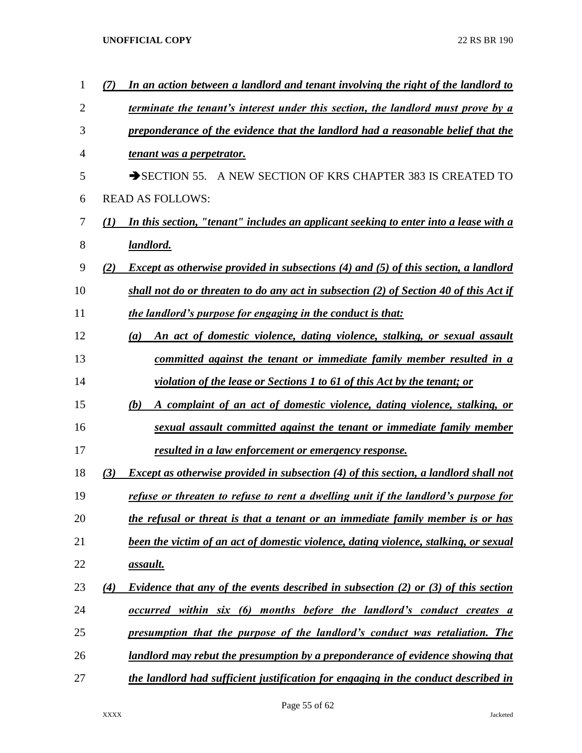| 1              |                  | In an action between a landlord and tenant involving the right of the landlord to          |
|----------------|------------------|--------------------------------------------------------------------------------------------|
| $\overline{2}$ |                  | terminate the tenant's interest under this section, the landlord must prove by a           |
| 3              |                  | preponderance of the evidence that the landlord had a reasonable belief that the           |
| 4              |                  | tenant was a perpetrator.                                                                  |
| 5              |                  | $\rightarrow$ SECTION 55.<br>A NEW SECTION OF KRS CHAPTER 383 IS CREATED TO                |
| 6              |                  | <b>READ AS FOLLOWS:</b>                                                                    |
| 7              | $\mathcal{L}(I)$ | In this section, "tenant" includes an applicant seeking to enter into a lease with a       |
| 8              |                  | landlord.                                                                                  |
| 9              | (2)              | <i>Except as otherwise provided in subsections (4) and (5) of this section, a landlord</i> |
| 10             |                  | shall not do or threaten to do any act in subsection (2) of Section 40 of this Act if      |
| 11             |                  | the landlord's purpose for engaging in the conduct is that:                                |
| 12             |                  | An act of domestic violence, dating violence, stalking, or sexual assault<br>(a)           |
| 13             |                  | committed against the tenant or immediate family member resulted in a                      |
| 14             |                  | violation of the lease or Sections 1 to 61 of this Act by the tenant; or                   |
| 15             |                  | A complaint of an act of domestic violence, dating violence, stalking, or<br>(b)           |
| 16             |                  | sexual assault committed against the tenant or immediate family member                     |
| 17             |                  | <u>resulted in a law enforcement or emergency response.</u>                                |
| 18             | (3)              | Except as otherwise provided in subsection (4) of this section, a landlord shall not       |
| 19             |                  | refuse or threaten to refuse to rent a dwelling unit if the landlord's purpose for         |
| 20             |                  | the refusal or threat is that a tenant or an immediate family member is or has             |
| 21             |                  | been the victim of an act of domestic violence, dating violence, stalking, or sexual       |
| 22             |                  | <u>assault.</u>                                                                            |
| 23             | (4)              | <b>Evidence that any of the events described in subsection (2) or (3) of this section</b>  |
| 24             |                  | <u>occurred within six (6) months before the landlord's conduct creates a</u>              |
| 25             |                  | presumption that the purpose of the landlord's conduct was retaliation. The                |
| 26             |                  | <u>landlord may rebut the presumption by a preponderance of evidence showing that</u>      |
| 27             |                  | the landlord had sufficient justification for engaging in the conduct described in         |
|                |                  |                                                                                            |

Page 55 of 62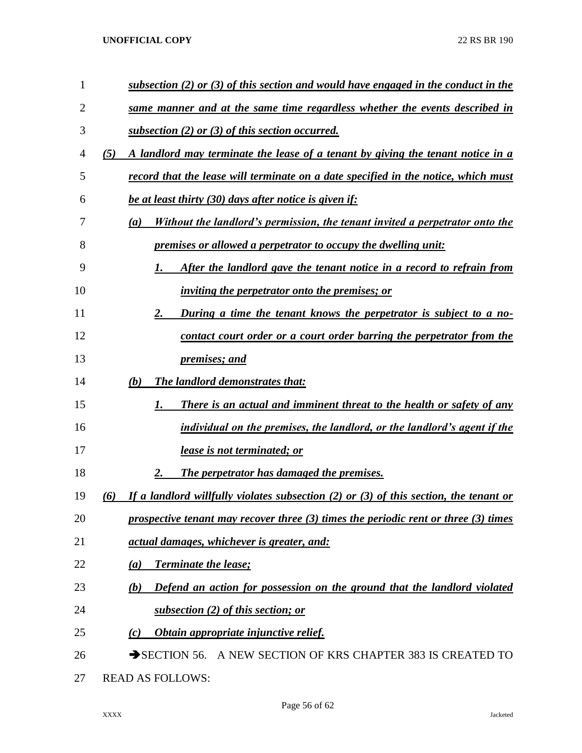| 1              | subsection $(2)$ or $(3)$ of this section and would have engaged in the conduct in the           |
|----------------|--------------------------------------------------------------------------------------------------|
| 2              | same manner and at the same time regardless whether the events described in                      |
| 3              | <u>subsection (2) or (3) of this section occurred.</u>                                           |
| $\overline{4}$ | A landlord may terminate the lease of a tenant by giving the tenant notice in a<br>(5)           |
| 5              | record that the lease will terminate on a date specified in the notice, which must               |
| 6              | be at least thirty (30) days after notice is given if:                                           |
| 7              | Without the landlord's permission, the tenant invited a perpetrator onto the<br>(a)              |
| 8              | <i><u><b>premises or allowed a perpetrator to occupy the dwelling unit:</b></u></i>              |
| 9              | After the landlord gave the tenant notice in a record to refrain from<br>1.                      |
| 10             | <i>inviting the perpetrator onto the premises; or</i>                                            |
| 11             | 2.<br><u>During a time the tenant knows the perpetrator is subject to a no-</u>                  |
| 12             | contact court order or a court order barring the perpetrator from the                            |
| 13             | <i>premises; and</i>                                                                             |
| 14             | The landlord demonstrates that:<br>(b)                                                           |
| 15             | There is an actual and imminent threat to the health or safety of any<br>1.                      |
| 16             | individual on the premises, the landlord, or the landlord's agent if the                         |
| 17             | <b>lease is not terminated; or</b>                                                               |
| 18             | 2.<br><b>The perpetrator has damaged the premises.</b>                                           |
| 19             | If a landlord willfully violates subsection $(2)$ or $(3)$ of this section, the tenant or<br>(6) |
| 20             | prospective tenant may recover three $(3)$ times the periodic rent or three $(3)$ times          |
| 21             | <u>actual damages, whichever is greater, and:</u>                                                |
| 22             | <b>Terminate the lease;</b><br>(a)                                                               |
| 23             | Defend an action for possession on the ground that the landlord violated<br>(b)                  |
| 24             | subsection (2) of this section; or                                                               |
| 25             | Obtain appropriate injunctive relief.<br>(c)                                                     |
| 26             | SECTION 56. A NEW SECTION OF KRS CHAPTER 383 IS CREATED TO                                       |
| 27             | <b>READ AS FOLLOWS:</b>                                                                          |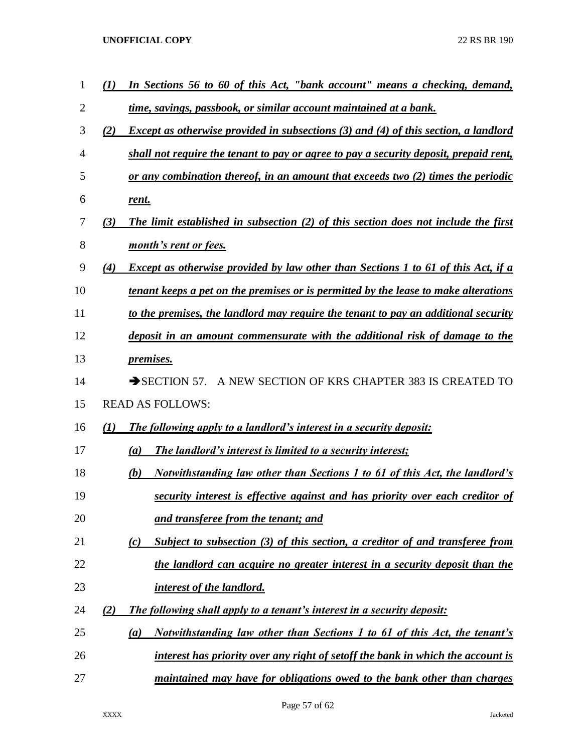| $\mathbf 1$    | $\mathcal{L}(I)$ | In Sections 56 to 60 of this Act, "bank account" means a checking, demand,               |
|----------------|------------------|------------------------------------------------------------------------------------------|
| $\overline{2}$ |                  | time, savings, passbook, or similar account maintained at a bank.                        |
| 3              | (2)              | Except as otherwise provided in subsections (3) and (4) of this section, a landlord      |
| 4              |                  | shall not require the tenant to pay or agree to pay a security deposit, prepaid rent,    |
| 5              |                  | or any combination thereof, in an amount that exceeds two $(2)$ times the periodic       |
| 6              |                  | rent.                                                                                    |
| 7              | (3)              | The limit established in subsection $(2)$ of this section does not include the first     |
| 8              |                  | month's rent or fees.                                                                    |
| 9              | (4)              | <b>Except as otherwise provided by law other than Sections 1 to 61 of this Act, if a</b> |
| 10             |                  | tenant keeps a pet on the premises or is permitted by the lease to make alterations      |
| 11             |                  | to the premises, the landlord may require the tenant to pay an additional security       |
| 12             |                  | deposit in an amount commensurate with the additional risk of damage to the              |
| 13             |                  | <i>premises.</i>                                                                         |
| 14             |                  | A NEW SECTION OF KRS CHAPTER 383 IS CREATED TO<br>$\rightarrow$ SECTION 57.              |
| 15             |                  | <b>READ AS FOLLOWS:</b>                                                                  |
| 16             | (1)              | The following apply to a landlord's interest in a security deposit:                      |
| 17             |                  | The landlord's interest is limited to a security interest;<br>(a)                        |
| 18             |                  | Notwithstanding law other than Sections 1 to 61 of this Act, the landlord's<br>(b)       |
| 19             |                  | security interest is effective against and has priority over each creditor of            |
| 20             |                  | and transferee from the tenant; and                                                      |
| 21             |                  | Subject to subsection $(3)$ of this section, a creditor of and transferee from<br>(c)    |
| 22             |                  | the landlord can acquire no greater interest in a security deposit than the              |
| 23             |                  | interest of the landlord.                                                                |
| 24             | (2)              | The following shall apply to a tenant's interest in a security deposit:                  |
| 25             |                  | Notwithstanding law other than Sections 1 to 61 of this Act, the tenant's<br>(a)         |
| 26             |                  | interest has priority over any right of setoff the bank in which the account is          |
| 27             |                  | maintained may have for obligations owed to the bank other than charges                  |

Page 57 of 62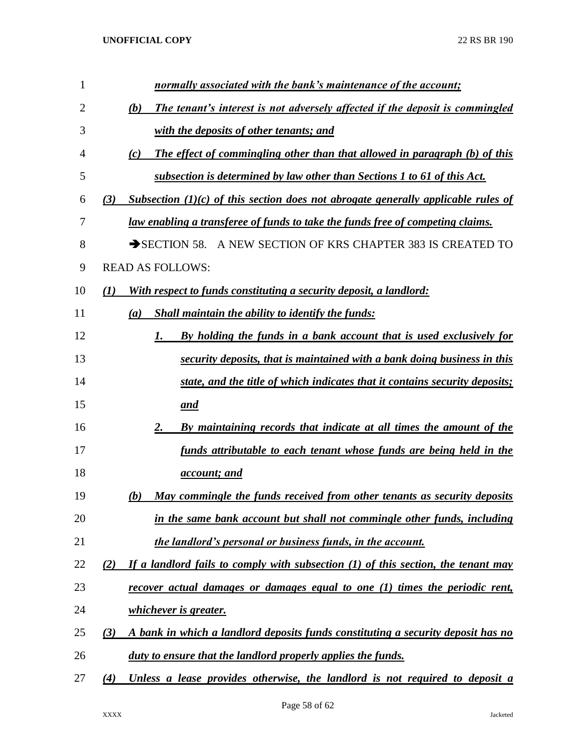| $\mathbf{1}$ | normally associated with the bank's maintenance of the account;                            |
|--------------|--------------------------------------------------------------------------------------------|
| 2            | The tenant's interest is not adversely affected if the deposit is commingled<br>(b)        |
| 3            | with the deposits of other tenants; and                                                    |
| 4            | The effect of commingling other than that allowed in paragraph (b) of this<br>(c)          |
| 5            | subsection is determined by law other than Sections 1 to 61 of this Act.                   |
| 6            | Subsection $(1)(c)$ of this section does not abrogate generally applicable rules of<br>(3) |
| 7            | law enabling a transferee of funds to take the funds free of competing claims.             |
| 8            | SECTION 58. A NEW SECTION OF KRS CHAPTER 383 IS CREATED TO                                 |
| 9            | <b>READ AS FOLLOWS:</b>                                                                    |
| 10           | With respect to funds constituting a security deposit, a landlord:<br>(I)                  |
| 11           | <b>Shall maintain the ability to identify the funds:</b><br>(a)                            |
| 12           | By holding the funds in a bank account that is used exclusively for<br>1.                  |
| 13           | security deposits, that is maintained with a bank doing business in this                   |
| 14           | state, and the title of which indicates that it contains security deposits;                |
| 15           | and                                                                                        |
| 16           | By maintaining records that indicate at all times the amount of the<br>2.                  |
| 17           | funds attributable to each tenant whose funds are being held in the                        |
| 18           | <i>account; and</i>                                                                        |
| 19           | May commingle the funds received from other tenants as security deposits<br>(b)            |
| 20           | in the same bank account but shall not commingle other funds, including                    |
| 21           | the landlord's personal or business funds, in the account.                                 |
| 22           | If a landlord fails to comply with subsection $(1)$ of this section, the tenant may<br>(2) |
| 23           | recover actual damages or damages equal to one (1) times the periodic rent,                |
| 24           | <i>whichever is greater.</i>                                                               |
| 25           | A bank in which a landlord deposits funds constituting a security deposit has no<br>(3)    |
| 26           | <u>duty to ensure that the landlord properly applies the funds.</u>                        |
| 27           | Unless a lease provides otherwise, the landlord is not required to deposit a<br>(4)        |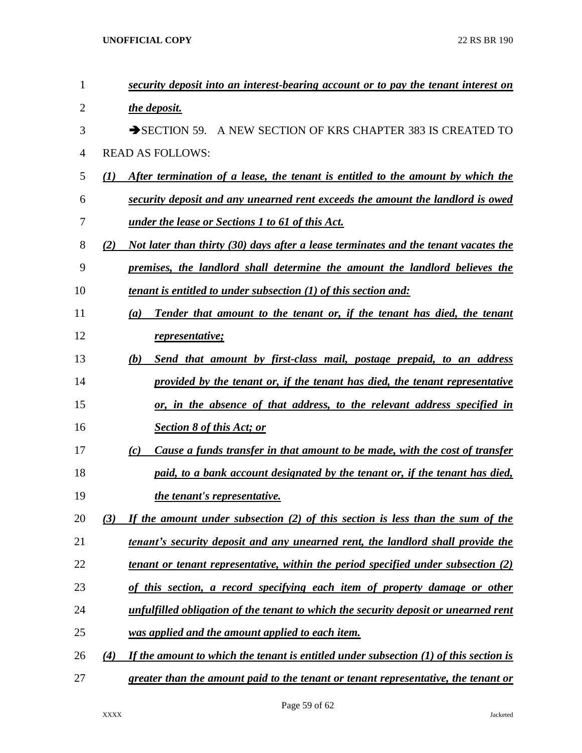| 1  | security deposit into an interest-bearing account or to pay the tenant interest on             |
|----|------------------------------------------------------------------------------------------------|
| 2  | the deposit.                                                                                   |
| 3  | SECTION 59. A NEW SECTION OF KRS CHAPTER 383 IS CREATED TO                                     |
| 4  | <b>READ AS FOLLOWS:</b>                                                                        |
| 5  | After termination of a lease, the tenant is entitled to the amount by which the<br>(I)         |
| 6  | security deposit and any unearned rent exceeds the amount the landlord is owed                 |
| 7  | <u>under the lease or Sections 1 to 61 of this Act.</u>                                        |
| 8  | Not later than thirty (30) days after a lease terminates and the tenant vacates the<br>(2)     |
| 9  | premises, the landlord shall determine the amount the landlord believes the                    |
| 10 | tenant is entitled to under subsection (1) of this section and:                                |
| 11 | Tender that amount to the tenant or, if the tenant has died, the tenant<br>(a)                 |
| 12 | representative;                                                                                |
| 13 | Send that amount by first-class mail, postage prepaid, to an address<br>(b)                    |
| 14 | provided by the tenant or, if the tenant has died, the tenant representative                   |
| 15 | or, in the absence of that address, to the relevant address specified in                       |
| 16 | <b>Section 8 of this Act; or</b>                                                               |
| 17 | <u>Cause a funds transfer in that amount to be made, with the cost of transfer</u><br>(c)      |
| 18 | paid, to a bank account designated by the tenant or, if the tenant has died,                   |
| 19 | the tenant's representative.                                                                   |
| 20 | If the amount under subsection (2) of this section is less than the sum of the<br>(3)          |
| 21 | <u>tenant's security deposit and any unearned rent, the landlord shall provide the</u>         |
| 22 | <u>tenant or tenant representative, within the period specified under subsection (2)</u>       |
| 23 | of this section, a record specifying each item of property damage or other                     |
| 24 | unfulfilled obligation of the tenant to which the security deposit or unearned rent            |
| 25 | was applied and the amount applied to each item.                                               |
| 26 | If the amount to which the tenant is entitled under subsection $(1)$ of this section is<br>(4) |
| 27 | greater than the amount paid to the tenant or tenant representative, the tenant or             |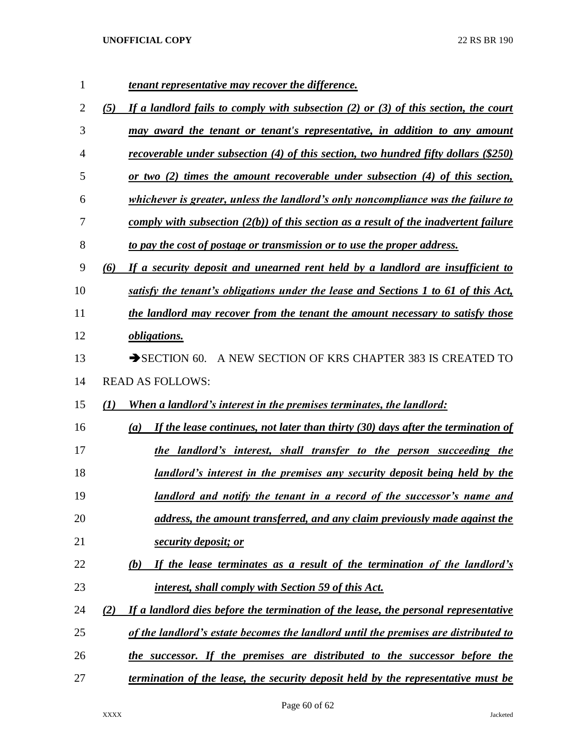| 1  | <u>tenant representative may recover the difference.</u>                                               |
|----|--------------------------------------------------------------------------------------------------------|
| 2  | If a landlord fails to comply with subsection (2) or (3) of this section, the court<br>(5)             |
| 3  | <u>may award the tenant or tenant's representative, in addition to any amount</u>                      |
| 4  | recoverable under subsection (4) of this section, two hundred fifty dollars (\$250)                    |
| 5  | <u>or two (2) times the amount recoverable under subsection (4) of this section,</u>                   |
| 6  | whichever is greater, unless the landlord's only noncompliance was the failure to                      |
| 7  | comply with subsection $(2(b))$ of this section as a result of the inadvertent failure                 |
| 8  | to pay the cost of postage or transmission or to use the proper address.                               |
| 9  | (6)<br>If a security deposit and unearned rent held by a landlord are insufficient to                  |
| 10 | satisfy the tenant's obligations under the lease and Sections 1 to 61 of this Act,                     |
| 11 | the landlord may recover from the tenant the amount necessary to satisfy those                         |
| 12 | <i>obligations.</i>                                                                                    |
| 13 | $\rightarrow$ SECTION 60.<br>A NEW SECTION OF KRS CHAPTER 383 IS CREATED TO                            |
| 14 | <b>READ AS FOLLOWS:</b>                                                                                |
| 15 | When a landlord's interest in the premises terminates, the landlord:<br>(1)                            |
| 16 | If the lease continues, not later than thirty $(30)$ days after the termination of<br>$\left(a\right)$ |
| 17 | the landlord's interest, shall transfer to the person succeeding the                                   |
| 18 | <u>landlord's interest in the premises any security deposit being held by the</u>                      |
| 19 | <u>landlord and notify the tenant in a record of the successor's name and </u>                         |
| 20 | address, the amount transferred, and any claim previously made against the                             |
| 21 | security deposit; or                                                                                   |
| 22 | If the lease terminates as a result of the termination of the landlord's<br>(b)                        |
| 23 | <u>interest, shall comply with Section 59 of this Act.</u>                                             |
| 24 | If a landlord dies before the termination of the lease, the personal representative<br>(2)             |
| 25 | of the landlord's estate becomes the landlord until the premises are distributed to                    |
| 26 | the successor. If the premises are distributed to the successor before the                             |
|    |                                                                                                        |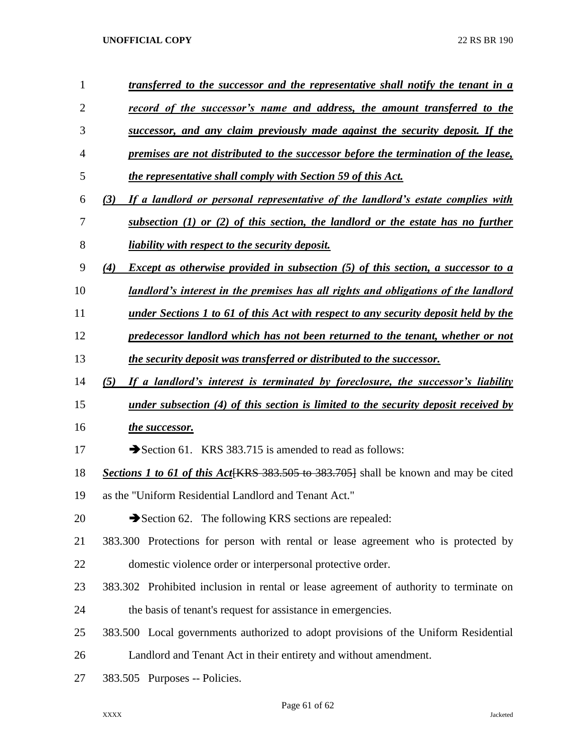| $\mathbf{1}$   | transferred to the successor and the representative shall notify the tenant in a               |
|----------------|------------------------------------------------------------------------------------------------|
| $\overline{2}$ | record of the successor's name and address, the amount transferred to the                      |
| 3              | successor, and any claim previously made against the security deposit. If the                  |
| 4              | premises are not distributed to the successor before the termination of the lease,             |
| 5              | the representative shall comply with Section 59 of this Act.                                   |
| 6              | If a landlord or personal representative of the landlord's estate complies with<br>(3)         |
| 7              | subsection $(1)$ or $(2)$ of this section, the landlord or the estate has no further           |
| 8              | <i>liability with respect to the security deposit.</i>                                         |
| 9              | <b>Except as otherwise provided in subsection (5) of this section, a successor to a</b><br>(4) |
| 10             | landlord's interest in the premises has all rights and obligations of the landlord             |
| 11             | under Sections 1 to 61 of this Act with respect to any security deposit held by the            |
| 12             | predecessor landlord which has not been returned to the tenant, whether or not                 |
| 13             | the security deposit was transferred or distributed to the successor.                          |
| 14             | If a landlord's interest is terminated by foreclosure, the successor's liability<br>(5)        |
| 15             | under subsection (4) of this section is limited to the security deposit received by            |
| 16             | the successor.                                                                                 |
| 17             | Section 61. KRS 383.715 is amended to read as follows:                                         |
| 18             | Sections 1 to 61 of this Act KRS 383.505 to 383.705} shall be known and may be cited           |
| 19             | as the "Uniform Residential Landlord and Tenant Act."                                          |
| 20             | Section 62. The following KRS sections are repealed:                                           |
| 21             | 383.300 Protections for person with rental or lease agreement who is protected by              |
| 22             | domestic violence order or interpersonal protective order.                                     |
| 23             | 383.302 Prohibited inclusion in rental or lease agreement of authority to terminate on         |
| 24             | the basis of tenant's request for assistance in emergencies.                                   |
| 25             | 383.500 Local governments authorized to adopt provisions of the Uniform Residential            |
| 26             | Landlord and Tenant Act in their entirety and without amendment.                               |
| 27             | 383.505 Purposes -- Policies.                                                                  |